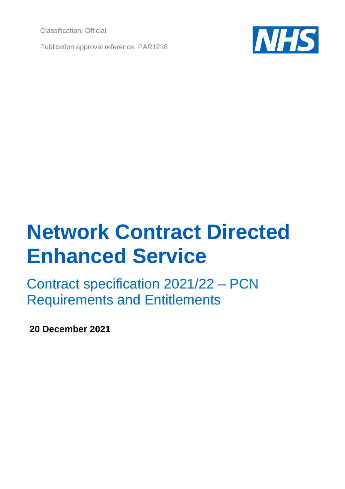Classification: Official

Publication approval reference: PAR1218



# **Network Contract Directed Enhanced Service**

Contract specification 2021/22 – PCN Requirements and Entitlements

**20 December 2021**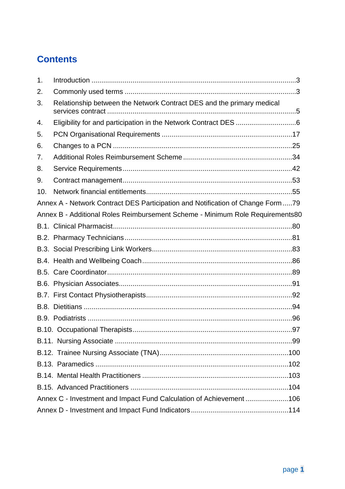# **Contents**

| 1.  |                                                                                |
|-----|--------------------------------------------------------------------------------|
| 2.  |                                                                                |
| 3.  | Relationship between the Network Contract DES and the primary medical          |
| 4.  |                                                                                |
| 5.  |                                                                                |
| 6.  |                                                                                |
| 7.  |                                                                                |
| 8.  |                                                                                |
| 9.  |                                                                                |
| 10. |                                                                                |
|     | Annex A - Network Contract DES Participation and Notification of Change Form79 |
|     | Annex B - Additional Roles Reimbursement Scheme - Minimum Role Requirements80  |
|     |                                                                                |
|     |                                                                                |
|     |                                                                                |
|     |                                                                                |
|     |                                                                                |
|     |                                                                                |
|     |                                                                                |
|     |                                                                                |
|     |                                                                                |
|     |                                                                                |
|     |                                                                                |
|     |                                                                                |
|     |                                                                                |
|     |                                                                                |
|     |                                                                                |
|     | Annex C - Investment and Impact Fund Calculation of Achievement 106            |
|     |                                                                                |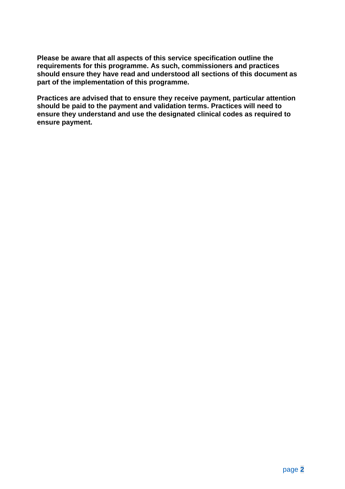**Please be aware that all aspects of this service specification outline the requirements for this programme. As such, commissioners and practices should ensure they have read and understood all sections of this document as part of the implementation of this programme.**

**Practices are advised that to ensure they receive payment, particular attention should be paid to the payment and validation terms. Practices will need to ensure they understand and use the designated clinical codes as required to ensure payment.**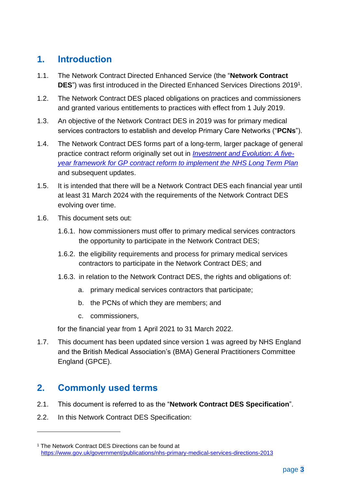# <span id="page-3-0"></span>**1. Introduction**

- 1.1. The Network Contract Directed Enhanced Service (the "**Network Contract DES**") was first introduced in the Directed Enhanced Services Directions 2019<sup>1</sup> .
- 1.2. The Network Contract DES placed obligations on practices and commissioners and granted various entitlements to practices with effect from 1 July 2019.
- 1.3. An objective of the Network Contract DES in 2019 was for primary medical services contractors to establish and develop Primary Care Networks ("**PCNs**").
- 1.4. The Network Contract DES forms part of a long-term, larger package of general practice contract reform originally set out in *[Investment and Evolution: A five](https://www.england.nhs.uk/wp-content/uploads/2019/01/gp-contract-2019.pdf)[year framework for GP contract reform to implement the NHS Long Term Plan](https://www.england.nhs.uk/wp-content/uploads/2019/01/gp-contract-2019.pdf)* and subsequent updates.
- 1.5. It is intended that there will be a Network Contract DES each financial year until at least 31 March 2024 with the requirements of the Network Contract DES evolving over time.
- 1.6. This document sets out:
	- 1.6.1. how commissioners must offer to primary medical services contractors the opportunity to participate in the Network Contract DES;
	- 1.6.2. the eligibility requirements and process for primary medical services contractors to participate in the Network Contract DES; and
	- 1.6.3. in relation to the Network Contract DES, the rights and obligations of:
		- a. primary medical services contractors that participate;
		- b. the PCNs of which they are members; and
		- c. commissioners,

for the financial year from 1 April 2021 to 31 March 2022.

1.7. This document has been updated since version 1 was agreed by NHS England and the British Medical Association's (BMA) General Practitioners Committee England (GPCE).

## <span id="page-3-1"></span>**2. Commonly used terms**

- 2.1. This document is referred to as the "**Network Contract DES Specification**".
- 2.2. In this Network Contract DES Specification:

<sup>&</sup>lt;sup>1</sup> The Network Contract DES Directions can be found at <https://www.gov.uk/government/publications/nhs-primary-medical-services-directions-2013>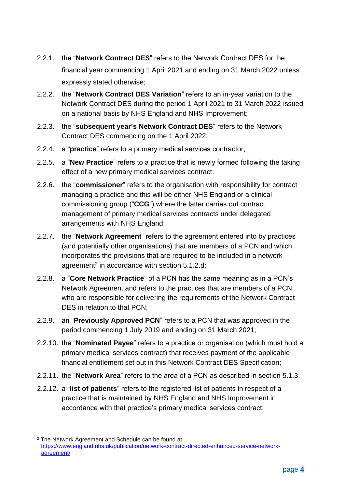- 2.2.1. the "**Network Contract DES**" refers to the Network Contract DES for the financial year commencing 1 April 2021 and ending on 31 March 2022 unless expressly stated otherwise;
- 2.2.2. the "**Network Contract DES Variation**" refers to an in-year variation to the Network Contract DES during the period 1 April 2021 to 31 March 2022 issued on a national basis by NHS England and NHS Improvement;
- 2.2.3. the "**subsequent year's Network Contract DES**" refers to the Network Contract DES commencing on the 1 April 2022;
- 2.2.4. a "**practice**" refers to a primary medical services contractor;
- 2.2.5. a "**New Practice**" refers to a practice that is newly formed following the taking effect of a new primary medical services contract;
- 2.2.6. the "**commissioner**" refers to the organisation with responsibility for contract managing a practice and this will be either NHS England or a clinical commissioning group ("**CCG**") where the latter carries out contract management of primary medical services contracts under delegated arrangements with NHS England;
- 2.2.7. the "**Network Agreement**" refers to the agreement entered into by practices (and potentially other organisations) that are members of a PCN and which incorporates the provisions that are required to be included in a network agreement<sup>2</sup> in accordance with section [5.1.2.d;](#page-18-0)
- 2.2.8. a "**Core Network Practice**" of a PCN has the same meaning as in a PCN's Network Agreement and refers to the practices that are members of a PCN who are responsible for delivering the requirements of the Network Contract DES in relation to that PCN;
- 2.2.9. an "**Previously Approved PCN**" refers to a PCN that was approved in the period commencing 1 July 2019 and ending on 31 March 2021;
- 2.2.10. the "**Nominated Payee**" refers to a practice or organisation (which must hold a primary medical services contract) that receives payment of the applicable financial entitlement set out in this Network Contract DES Specification;
- 2.2.11. the "**Network Area**" refers to the area of a PCN as described in section [5.1.3;](#page-18-1)
- 2.2.12. a "**list of patients**" refers to the registered list of patients in respect of a practice that is maintained by NHS England and NHS Improvement in accordance with that practice's primary medical services contract;

<sup>2</sup> The Network Agreement and Schedule can be found at [https://www.england.nhs.uk/publication/network-contract-directed-enhanced-service-network](https://www.england.nhs.uk/publication/network-contract-directed-enhanced-service-network-agreement/)[agreement/](https://www.england.nhs.uk/publication/network-contract-directed-enhanced-service-network-agreement/)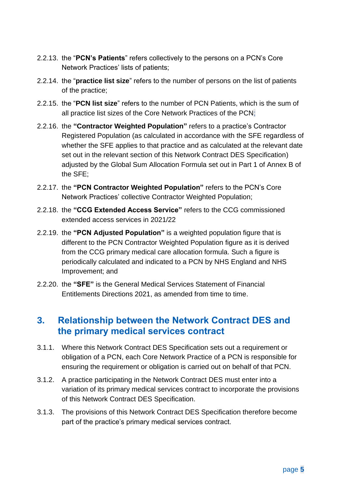- 2.2.13. the "**PCN's Patients**" refers collectively to the persons on a PCN's Core Network Practices' lists of patients;
- 2.2.14. the "**practice list size**" refers to the number of persons on the list of patients of the practice;
- 2.2.15. the "**PCN list size**" refers to the number of PCN Patients, which is the sum of all practice list sizes of the Core Network Practices of the PCN;
- 2.2.16. the **"Contractor Weighted Population"** refers to a practice's Contractor Registered Population (as calculated in accordance with the SFE regardless of whether the SFE applies to that practice and as calculated at the relevant date set out in the relevant section of this Network Contract DES Specification) adjusted by the Global Sum Allocation Formula set out in Part 1 of Annex B of the SFE;
- 2.2.17. the **"PCN Contractor Weighted Population"** refers to the PCN's Core Network Practices' collective Contractor Weighted Population;
- 2.2.18. the **"CCG Extended Access Service"** refers to the CCG commissioned extended access services in 2021/22
- 2.2.19. the **"PCN Adjusted Population"** is a weighted population figure that is different to the PCN Contractor Weighted Population figure as it is derived from the CCG primary medical care allocation formula. Such a figure is periodically calculated and indicated to a PCN by NHS England and NHS Improvement; and
- 2.2.20. the **"SFE"** is the General Medical Services Statement of Financial Entitlements Directions 2021, as amended from time to time.

## <span id="page-5-0"></span>**3. Relationship between the Network Contract DES and the primary medical services contract**

- 3.1.1. Where this Network Contract DES Specification sets out a requirement or obligation of a PCN, each Core Network Practice of a PCN is responsible for ensuring the requirement or obligation is carried out on behalf of that PCN.
- 3.1.2. A practice participating in the Network Contract DES must enter into a variation of its primary medical services contract to incorporate the provisions of this Network Contract DES Specification.
- 3.1.3. The provisions of this Network Contract DES Specification therefore become part of the practice's primary medical services contract.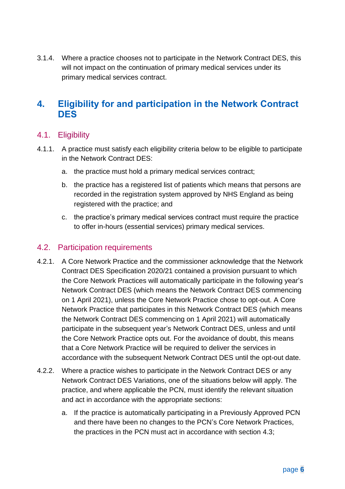3.1.4. Where a practice chooses not to participate in the Network Contract DES, this will not impact on the continuation of primary medical services under its primary medical services contract.

## <span id="page-6-0"></span>**4. Eligibility for and participation in the Network Contract DES**

#### 4.1. Eligibility

- 4.1.1. A practice must satisfy each eligibility criteria below to be eligible to participate in the Network Contract DES:
	- a. the practice must hold a primary medical services contract;
	- b. the practice has a registered list of patients which means that persons are recorded in the registration system approved by NHS England as being registered with the practice; and
	- c. the practice's primary medical services contract must require the practice to offer in-hours (essential services) primary medical services.

#### 4.2. Participation requirements

- 4.2.1. A Core Network Practice and the commissioner acknowledge that the Network Contract DES Specification 2020/21 contained a provision pursuant to which the Core Network Practices will automatically participate in the following year's Network Contract DES (which means the Network Contract DES commencing on 1 April 2021), unless the Core Network Practice chose to opt-out. A Core Network Practice that participates in this Network Contract DES (which means the Network Contract DES commencing on 1 April 2021) will automatically participate in the subsequent year's Network Contract DES, unless and until the Core Network Practice opts out. For the avoidance of doubt, this means that a Core Network Practice will be required to deliver the services in accordance with the subsequent Network Contract DES until the opt-out date.
- 4.2.2. Where a practice wishes to participate in the Network Contract DES or any Network Contract DES Variations, one of the situations below will apply. The practice, and where applicable the PCN, must identify the relevant situation and act in accordance with the appropriate sections:
	- a. If the practice is automatically participating in a Previously Approved PCN and there have been no changes to the PCN's Core Network Practices, the practices in the PCN must act in accordance with section [4.3;](#page-8-0)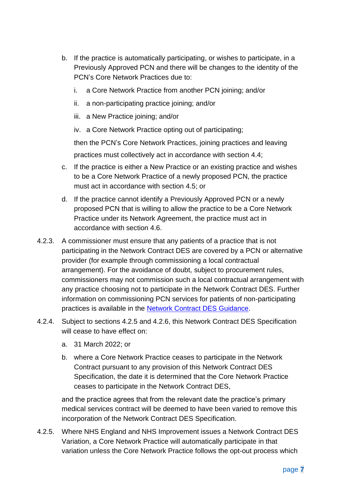- b. If the practice is automatically participating, or wishes to participate, in a Previously Approved PCN and there will be changes to the identity of the PCN's Core Network Practices due to:
	- i. a Core Network Practice from another PCN joining; and/or
	- ii. a non-participating practice joining; and/or
	- iii. a New Practice joining; and/or
	- iv. a Core Network Practice opting out of participating;

then the PCN's Core Network Practices, joining practices and leaving practices must collectively act in accordance with section [4.4;](#page-8-1)

- c. If the practice is either a New Practice or an existing practice and wishes to be a Core Network Practice of a newly proposed PCN, the practice must act in accordance with section [4.5;](#page-10-0) or
- d. If the practice cannot identify a Previously Approved PCN or a newly proposed PCN that is willing to allow the practice to be a Core Network Practice under its Network Agreement, the practice must act in accordance with section [4.6.](#page-12-0)
- 4.2.3. A commissioner must ensure that any patients of a practice that is not participating in the Network Contract DES are covered by a PCN or alternative provider (for example through commissioning a local contractual arrangement). For the avoidance of doubt, subject to procurement rules, commissioners may not commission such a local contractual arrangement with any practice choosing not to participate in the Network Contract DES. Further information on commissioning PCN services for patients of non-participating practices is available in the [Network Contract DES Guidance.](https://www.england.nhs.uk/publication/network-contract-des-guidance-2021-22/)
- <span id="page-7-1"></span>4.2.4. Subject to sections [4.2.5](#page-7-0) and [4.2.6,](#page-8-2) this Network Contract DES Specification will cease to have effect on:
	- a. 31 March 2022; or
	- b. where a Core Network Practice ceases to participate in the Network Contract pursuant to any provision of this Network Contract DES Specification, the date it is determined that the Core Network Practice ceases to participate in the Network Contract DES,

and the practice agrees that from the relevant date the practice's primary medical services contract will be deemed to have been varied to remove this incorporation of the Network Contract DES Specification.

<span id="page-7-0"></span>4.2.5. Where NHS England and NHS Improvement issues a Network Contract DES Variation, a Core Network Practice will automatically participate in that variation unless the Core Network Practice follows the opt-out process which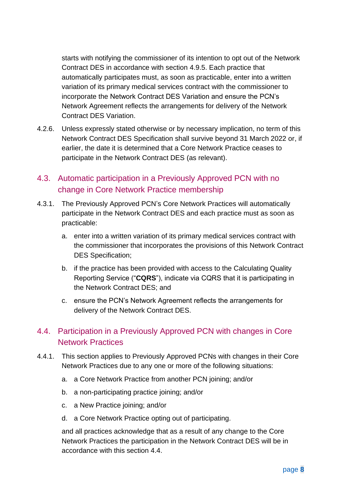starts with notifying the commissioner of its intention to opt out of the Network Contract DES in accordance with section [4.9.5.](#page-16-0) Each practice that automatically participates must, as soon as practicable, enter into a written variation of its primary medical services contract with the commissioner to incorporate the Network Contract DES Variation and ensure the PCN's Network Agreement reflects the arrangements for delivery of the Network Contract DES Variation.

<span id="page-8-2"></span>4.2.6. Unless expressly stated otherwise or by necessary implication, no term of this Network Contract DES Specification shall survive beyond 31 March 2022 or, if earlier, the date it is determined that a Core Network Practice ceases to participate in the Network Contract DES (as relevant).

#### <span id="page-8-0"></span>4.3. Automatic participation in a Previously Approved PCN with no change in Core Network Practice membership

- 4.3.1. The Previously Approved PCN's Core Network Practices will automatically participate in the Network Contract DES and each practice must as soon as practicable:
	- a. enter into a written variation of its primary medical services contract with the commissioner that incorporates the provisions of this Network Contract DES Specification;
	- b. if the practice has been provided with access to the Calculating Quality Reporting Service ("**CQRS**"), indicate via CQRS that it is participating in the Network Contract DES; and
	- c. ensure the PCN's Network Agreement reflects the arrangements for delivery of the Network Contract DES.

### <span id="page-8-1"></span>4.4. Participation in a Previously Approved PCN with changes in Core Network Practices

- <span id="page-8-3"></span>4.4.1. This section applies to Previously Approved PCNs with changes in their Core Network Practices due to any one or more of the following situations:
	- a. a Core Network Practice from another PCN joining; and/or
	- b. a non-participating practice joining; and/or
	- c. a New Practice joining; and/or
	- d. a Core Network Practice opting out of participating.

and all practices acknowledge that as a result of any change to the Core Network Practices the participation in the Network Contract DES will be in accordance with this section [4.4.](#page-8-1)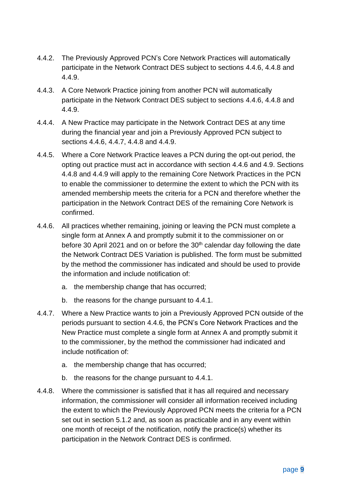- 4.4.2. The Previously Approved PCN's Core Network Practices will automatically participate in the Network Contract DES subject to sections [4.4.6,](#page-9-0) [4.4.8](#page-9-1) and [4.4.9.](#page-10-1)
- 4.4.3. A Core Network Practice joining from another PCN will automatically participate in the Network Contract DES subject to sections [4.4.6,](#page-9-0) [4.4.8](#page-9-1) and [4.4.9.](#page-10-1)
- 4.4.4. A New Practice may participate in the Network Contract DES at any time during the financial year and join a Previously Approved PCN subject to sections [4.4.6,](#page-9-0) [4.4.7,](#page-9-2) [4.4.8](#page-9-1) and [4.4.9.](#page-10-1)
- 4.4.5. Where a Core Network Practice leaves a PCN during the opt-out period, the opting out practice must act in accordance with section [4.4.6](#page-9-0) and [4.9.](#page-14-0) Sections [4.4.8](#page-9-1) and [4.4.9](#page-10-1) will apply to the remaining Core Network Practices in the PCN to enable the commissioner to determine the extent to which the PCN with its amended membership meets the criteria for a PCN and therefore whether the participation in the Network Contract DES of the remaining Core Network is confirmed.
- <span id="page-9-0"></span>4.4.6. All practices whether remaining, joining or leaving the PCN must complete a single form at Annex A and promptly submit it to the commissioner on or before 30 April 2021 and on or before the  $30<sup>th</sup>$  calendar day following the date the Network Contract DES Variation is published. The form must be submitted by the method the commissioner has indicated and should be used to provide the information and include notification of:
	- a. the membership change that has occurred;
	- b. the reasons for the change pursuant to [4.4.1.](#page-8-3)
- <span id="page-9-2"></span>4.4.7. Where a New Practice wants to join a Previously Approved PCN outside of the periods pursuant to section [4.4.6,](#page-9-0) the PCN's Core Network Practices and the New Practice must complete a single form at Annex A and promptly submit it to the commissioner, by the method the commissioner had indicated and include notification of:
	- a. the membership change that has occurred;
	- b. the reasons for the change pursuant to [4.4.1.](#page-8-3)
- <span id="page-9-1"></span>4.4.8. Where the commissioner is satisfied that it has all required and necessary information, the commissioner will consider all information received including the extent to which the Previously Approved PCN meets the criteria for a PCN set out in section [5.1.2](#page-17-1) and, as soon as practicable and in any event within one month of receipt of the notification, notify the practice(s) whether its participation in the Network Contract DES is confirmed.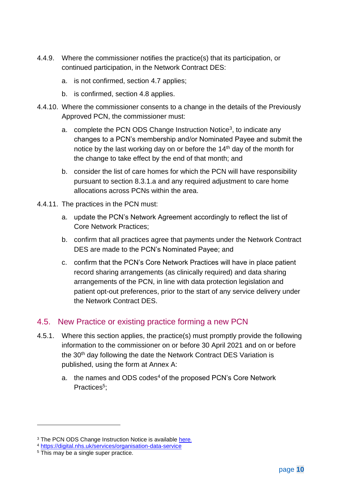- <span id="page-10-1"></span>4.4.9. Where the commissioner notifies the practice(s) that its participation, or continued participation, in the Network Contract DES:
	- a. is not confirmed, section [4.7](#page-14-1) applies;
	- b. is confirmed, section [4.8](#page-14-2) applies.
- 4.4.10. Where the commissioner consents to a change in the details of the Previously Approved PCN, the commissioner must:
	- a. complete the PCN ODS Change Instruction Notice<sup>3</sup>, to indicate any changes to a PCN's membership and/or Nominated Payee and submit the notice by the last working day on or before the 14<sup>th</sup> day of the month for the change to take effect by the end of that month; and
	- b. consider the list of care homes for which the PCN will have responsibility pursuant to section [8.3.1.a](#page-48-0) and any required adjustment to care home allocations across PCNs within the area.
- 4.4.11. The practices in the PCN must:
	- a. update the PCN's Network Agreement accordingly to reflect the list of Core Network Practices;
	- b. confirm that all practices agree that payments under the Network Contract DES are made to the PCN's Nominated Payee; and
	- c. confirm that the PCN's Core Network Practices will have in place patient record sharing arrangements (as clinically required) and data sharing arrangements of the PCN, in line with data protection legislation and patient opt-out preferences, prior to the start of any service delivery under the Network Contract DES.

#### <span id="page-10-0"></span>4.5. New Practice or existing practice forming a new PCN

- 4.5.1. Where this section applies, the practice(s) must promptly provide the following information to the commissioner on or before 30 April 2021 and on or before the 30<sup>th</sup> day following the date the Network Contract DES Variation is published, using the form at Annex A:
	- a. the names and ODS codes<sup>4</sup> of the proposed PCN's Core Network Practices<sup>5</sup>;

<sup>&</sup>lt;sup>3</sup> The PCN ODS Change Instruction Notice is available [here](https://digital.nhs.uk/services/organisation-data-service/services-provided-by-the-organisation-data-service/organisation-data-service-forms#primary-care-networks).

<sup>4</sup> <https://digital.nhs.uk/services/organisation-data-service>

<sup>&</sup>lt;sup>5</sup> This may be a single super practice.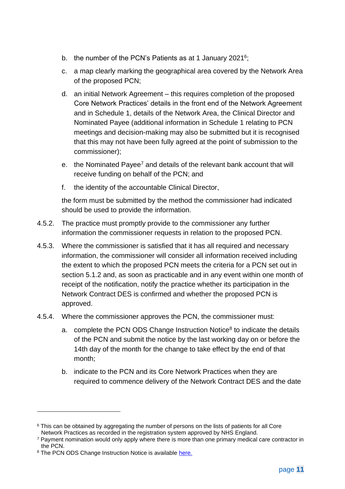- b. the number of the PCN's Patients as at 1 January 2021<sup>6</sup>;
- c. a map clearly marking the geographical area covered by the Network Area of the proposed PCN;
- d. an initial Network Agreement this requires completion of the proposed Core Network Practices' details in the front end of the Network Agreement and in Schedule 1, details of the Network Area, the Clinical Director and Nominated Payee (additional information in Schedule 1 relating to PCN meetings and decision-making may also be submitted but it is recognised that this may not have been fully agreed at the point of submission to the commissioner);
- e. the Nominated Payee<sup>7</sup> and details of the relevant bank account that will receive funding on behalf of the PCN; and
- f. the identity of the accountable Clinical Director,

the form must be submitted by the method the commissioner had indicated should be used to provide the information.

- 4.5.2. The practice must promptly provide to the commissioner any further information the commissioner requests in relation to the proposed PCN.
- 4.5.3. Where the commissioner is satisfied that it has all required and necessary information, the commissioner will consider all information received including the extent to which the proposed PCN meets the criteria for a PCN set out in section [5.1.2](#page-17-1) and, as soon as practicable and in any event within one month of receipt of the notification, notify the practice whether its participation in the Network Contract DES is confirmed and whether the proposed PCN is approved.
- 4.5.4. Where the commissioner approves the PCN, the commissioner must:
	- a. complete the PCN ODS Change Instruction Notice $8$  to indicate the details of the PCN and submit the notice by the last working day on or before the 14th day of the month for the change to take effect by the end of that month;
	- b. indicate to the PCN and its Core Network Practices when they are required to commence delivery of the Network Contract DES and the date

<sup>&</sup>lt;sup>6</sup> This can be obtained by aggregating the number of persons on the lists of patients for all Core Network Practices as recorded in the registration system approved by NHS England.

<sup>7</sup> Payment nomination would only apply where there is more than one primary medical care contractor in the PCN.

<sup>&</sup>lt;sup>8</sup> The PCN ODS Change Instruction Notice is available [here.](https://digital.nhs.uk/services/organisation-data-service/services-provided-by-the-organisation-data-service/organisation-data-service-forms#primary-care-networks)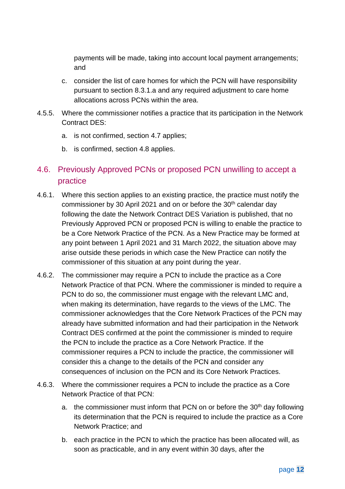payments will be made, taking into account local payment arrangements; and

- c. consider the list of care homes for which the PCN will have responsibility pursuant to section [8.3.1.a](#page-48-0) and any required adjustment to care home allocations across PCNs within the area.
- 4.5.5. Where the commissioner notifies a practice that its participation in the Network Contract DES:
	- a. is not confirmed, section [4.7](#page-14-1) applies;
	- b. is confirmed, section [4.8](#page-14-2) applies.

## <span id="page-12-0"></span>4.6. Previously Approved PCNs or proposed PCN unwilling to accept a practice

- 4.6.1. Where this section applies to an existing practice, the practice must notify the commissioner by 30 April 2021 and on or before the 30<sup>th</sup> calendar day following the date the Network Contract DES Variation is published, that no Previously Approved PCN or proposed PCN is willing to enable the practice to be a Core Network Practice of the PCN. As a New Practice may be formed at any point between 1 April 2021 and 31 March 2022, the situation above may arise outside these periods in which case the New Practice can notify the commissioner of this situation at any point during the year.
- <span id="page-12-2"></span>4.6.2. The commissioner may require a PCN to include the practice as a Core Network Practice of that PCN. Where the commissioner is minded to require a PCN to do so, the commissioner must engage with the relevant LMC and, when making its determination, have regards to the views of the LMC. The commissioner acknowledges that the Core Network Practices of the PCN may already have submitted information and had their participation in the Network Contract DES confirmed at the point the commissioner is minded to require the PCN to include the practice as a Core Network Practice. If the commissioner requires a PCN to include the practice, the commissioner will consider this a change to the details of the PCN and consider any consequences of inclusion on the PCN and its Core Network Practices.
- <span id="page-12-1"></span>4.6.3. Where the commissioner requires a PCN to include the practice as a Core Network Practice of that PCN:
	- a. the commissioner must inform that PCN on or before the 30<sup>th</sup> day following its determination that the PCN is required to include the practice as a Core Network Practice; and
	- b. each practice in the PCN to which the practice has been allocated will, as soon as practicable, and in any event within 30 days, after the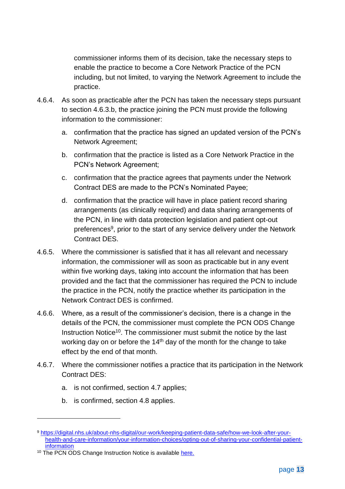commissioner informs them of its decision, take the necessary steps to enable the practice to become a Core Network Practice of the PCN including, but not limited, to varying the Network Agreement to include the practice.

- 4.6.4. As soon as practicable after the PCN has taken the necessary steps pursuant to section [4.6.3.b,](#page-12-1) the practice joining the PCN must provide the following information to the commissioner:
	- a. confirmation that the practice has signed an updated version of the PCN's Network Agreement;
	- b. confirmation that the practice is listed as a Core Network Practice in the PCN's Network Agreement;
	- c. confirmation that the practice agrees that payments under the Network Contract DES are made to the PCN's Nominated Payee;
	- d. confirmation that the practice will have in place patient record sharing arrangements (as clinically required) and data sharing arrangements of the PCN, in line with data protection legislation and patient opt-out preferences<sup>9</sup>, prior to the start of any service delivery under the Network Contract DES.
- 4.6.5. Where the commissioner is satisfied that it has all relevant and necessary information, the commissioner will as soon as practicable but in any event within five working days, taking into account the information that has been provided and the fact that the commissioner has required the PCN to include the practice in the PCN, notify the practice whether its participation in the Network Contract DES is confirmed.
- 4.6.6. Where, as a result of the commissioner's decision, there is a change in the details of the PCN, the commissioner must complete the PCN ODS Change Instruction Notice<sup>10</sup>. The commissioner must submit the notice by the last working day on or before the 14<sup>th</sup> day of the month for the change to take effect by the end of that month.
- <span id="page-13-0"></span>4.6.7. Where the commissioner notifies a practice that its participation in the Network Contract DES:
	- a. is not confirmed, section [4.7](#page-14-1) applies;
	- b. is confirmed, section [4.8](#page-14-2) applies.

<sup>9</sup> [https://digital.nhs.uk/about-nhs-digital/our-work/keeping-patient-data-safe/how-we-look-after-your](https://digital.nhs.uk/about-nhs-digital/our-work/keeping-patient-data-safe/how-we-look-after-your-health-and-care-information/your-information-choices/opting-out-of-sharing-your-confidential-patient-information)[health-and-care-information/your-information-choices/opting-out-of-sharing-your-confidential-patient](https://digital.nhs.uk/about-nhs-digital/our-work/keeping-patient-data-safe/how-we-look-after-your-health-and-care-information/your-information-choices/opting-out-of-sharing-your-confidential-patient-information)[information](https://digital.nhs.uk/about-nhs-digital/our-work/keeping-patient-data-safe/how-we-look-after-your-health-and-care-information/your-information-choices/opting-out-of-sharing-your-confidential-patient-information) 

<sup>&</sup>lt;sup>10</sup> The PCN ODS Change Instruction Notice is available [here.](https://digital.nhs.uk/services/organisation-data-service/services-provided-by-the-organisation-data-service/organisation-data-service-forms#primary-care-networks)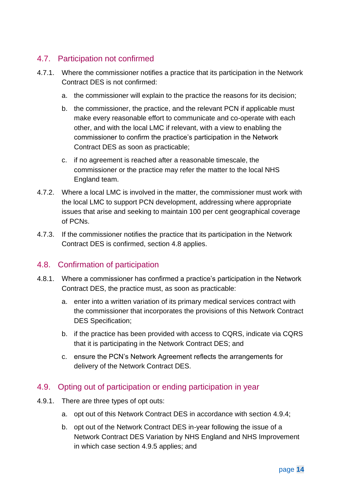#### <span id="page-14-1"></span>4.7. Participation not confirmed

- <span id="page-14-6"></span>4.7.1. Where the commissioner notifies a practice that its participation in the Network Contract DES is not confirmed:
	- a. the commissioner will explain to the practice the reasons for its decision;
	- b. the commissioner, the practice, and the relevant PCN if applicable must make every reasonable effort to communicate and co-operate with each other, and with the local LMC if relevant, with a view to enabling the commissioner to confirm the practice's participation in the Network Contract DES as soon as practicable;
	- c. if no agreement is reached after a reasonable timescale, the commissioner or the practice may refer the matter to the local NHS England team.
- 4.7.2. Where a local LMC is involved in the matter, the commissioner must work with the local LMC to support PCN development, addressing where appropriate issues that arise and seeking to maintain 100 per cent geographical coverage of PCNs.
- 4.7.3. If the commissioner notifies the practice that its participation in the Network Contract DES is confirmed, section [4.8](#page-14-2) applies.

#### <span id="page-14-2"></span>4.8. Confirmation of participation

- 4.8.1. Where a commissioner has confirmed a practice's participation in the Network Contract DES, the practice must, as soon as practicable:
	- a. enter into a written variation of its primary medical services contract with the commissioner that incorporates the provisions of this Network Contract DES Specification;
	- b. if the practice has been provided with access to CQRS, indicate via CQRS that it is participating in the Network Contract DES; and
	- c. ensure the PCN's Network Agreement reflects the arrangements for delivery of the Network Contract DES.

#### <span id="page-14-0"></span>4.9. Opting out of participation or ending participation in year

- <span id="page-14-5"></span><span id="page-14-4"></span><span id="page-14-3"></span>4.9.1. There are three types of opt outs:
	- a. opt out of this Network Contract DES in accordance with section [4.9.4;](#page-15-0)
	- b. opt out of the Network Contract DES in-year following the issue of a Network Contract DES Variation by NHS England and NHS Improvement in which case section [4.9.5](#page-16-0) applies; and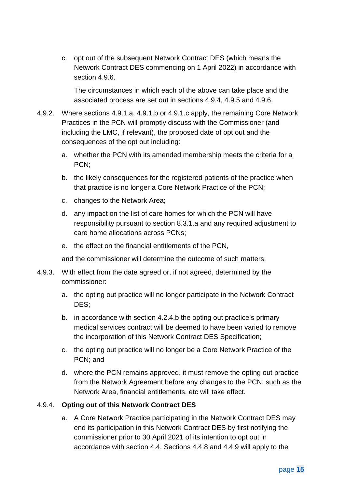<span id="page-15-1"></span>c. opt out of the subsequent Network Contract DES (which means the Network Contract DES commencing on 1 April 2022) in accordance with section [4.9.6.](#page-16-1)

The circumstances in which each of the above can take place and the associated process are set out in sections [4.9.4,](#page-15-0) [4.9.5](#page-16-0) and [4.9.6.](#page-16-1)

- <span id="page-15-2"></span>4.9.2. Where sections [4.9.1.a,](#page-14-3) [4.9.1.b](#page-14-4) or [4.9.1.c](#page-15-1) apply, the remaining Core Network Practices in the PCN will promptly discuss with the Commissioner (and including the LMC, if relevant), the proposed date of opt out and the consequences of the opt out including:
	- a. whether the PCN with its amended membership meets the criteria for a PCN;
	- b. the likely consequences for the registered patients of the practice when that practice is no longer a Core Network Practice of the PCN;
	- c. changes to the Network Area;
	- d. any impact on the list of care homes for which the PCN will have responsibility pursuant to section [8.3.1.a](#page-48-0) and any required adjustment to care home allocations across PCNs;
	- e. the effect on the financial entitlements of the PCN,

and the commissioner will determine the outcome of such matters.

- <span id="page-15-3"></span>4.9.3. With effect from the date agreed or, if not agreed, determined by the commissioner:
	- a. the opting out practice will no longer participate in the Network Contract DES;
	- b. in accordance with section [4.2.4.b](#page-7-1) the opting out practice's primary medical services contract will be deemed to have been varied to remove the incorporation of this Network Contract DES Specification;
	- c. the opting out practice will no longer be a Core Network Practice of the PCN; and
	- d. where the PCN remains approved, it must remove the opting out practice from the Network Agreement before any changes to the PCN, such as the Network Area, financial entitlements, etc will take effect.

#### <span id="page-15-0"></span>4.9.4. **Opting out of this Network Contract DES**

a. A Core Network Practice participating in the Network Contract DES may end its participation in this Network Contract DES by first notifying the commissioner prior to 30 April 2021 of its intention to opt out in accordance with section [4.4.](#page-8-1) Sections [4.4.8](#page-9-1) and [4.4.9](#page-10-1) will apply to the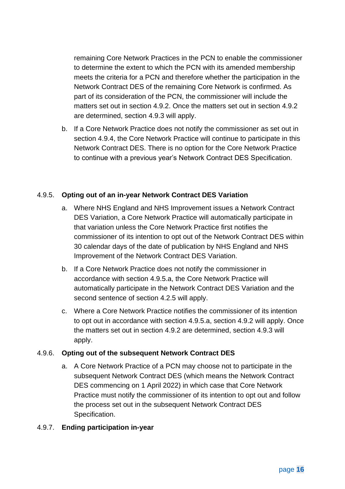remaining Core Network Practices in the PCN to enable the commissioner to determine the extent to which the PCN with its amended membership meets the criteria for a PCN and therefore whether the participation in the Network Contract DES of the remaining Core Network is confirmed. As part of its consideration of the PCN, the commissioner will include the matters set out in section [4.9.2.](#page-15-2) Once the matters set out in section [4.9.2](#page-15-2) are determined, section [4.9.3](#page-15-3) will apply.

b. If a Core Network Practice does not notify the commissioner as set out in section [4.9.4,](#page-15-0) the Core Network Practice will continue to participate in this Network Contract DES. There is no option for the Core Network Practice to continue with a previous year's Network Contract DES Specification.

#### <span id="page-16-2"></span><span id="page-16-0"></span>4.9.5. **Opting out of an in-year Network Contract DES Variation**

- a. Where NHS England and NHS Improvement issues a Network Contract DES Variation, a Core Network Practice will automatically participate in that variation unless the Core Network Practice first notifies the commissioner of its intention to opt out of the Network Contract DES within 30 calendar days of the date of publication by NHS England and NHS Improvement of the Network Contract DES Variation.
- b. If a Core Network Practice does not notify the commissioner in accordance with section [4.9.5.a,](#page-16-2) the Core Network Practice will automatically participate in the Network Contract DES Variation and the second sentence of section [4.2.5](#page-7-0) will apply.
- c. Where a Core Network Practice notifies the commissioner of its intention to opt out in accordance with section [4.9.5.a,](#page-16-2) section [4.9.2](#page-15-2) will apply. Once the matters set out in section [4.9.2](#page-15-2) are determined, section [4.9.3](#page-15-3) will apply.

#### <span id="page-16-1"></span>4.9.6. **Opting out of the subsequent Network Contract DES**

a. A Core Network Practice of a PCN may choose not to participate in the subsequent Network Contract DES (which means the Network Contract DES commencing on 1 April 2022) in which case that Core Network Practice must notify the commissioner of its intention to opt out and follow the process set out in the subsequent Network Contract DES Specification.

#### 4.9.7. **Ending participation in-year**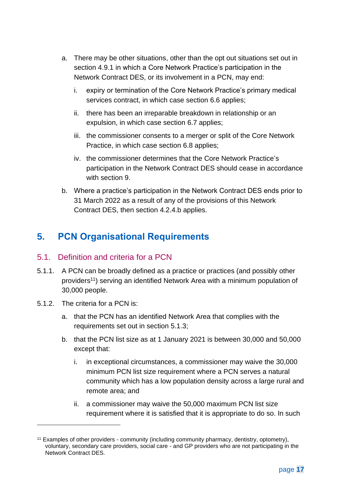- a. There may be other situations, other than the opt out situations set out in section [4.9.1](#page-14-5) in which a Core Network Practice's participation in the Network Contract DES, or its involvement in a PCN, may end:
	- i. expiry or termination of the Core Network Practice's primary medical services contract, in which case section [6.6](#page-28-0) applies;
	- ii. there has been an irreparable breakdown in relationship or an expulsion, in which case section [6.7](#page-29-0) applies;
	- iii. the commissioner consents to a merger or split of the Core Network Practice, in which case section [6.8](#page-30-0) applies;
	- iv. the commissioner determines that the Core Network Practice's participation in the Network Contract DES should cease in accordance with section [9.](#page-53-0)
- b. Where a practice's participation in the Network Contract DES ends prior to 31 March 2022 as a result of any of the provisions of this Network Contract DES, then section [4.2.4.b](#page-7-1) applies.

# <span id="page-17-0"></span>**5. PCN Organisational Requirements**

#### <span id="page-17-2"></span>5.1. Definition and criteria for a PCN

- 5.1.1. A PCN can be broadly defined as a practice or practices (and possibly other providers<sup>11</sup>) serving an identified Network Area with a minimum population of 30,000 people.
- <span id="page-17-1"></span>5.1.2. The criteria for a PCN is:
	- a. that the PCN has an identified Network Area that complies with the requirements set out in section [5.1.3;](#page-18-1)
	- b. that the PCN list size as at 1 January 2021 is between 30,000 and 50,000 except that:
		- i. in exceptional circumstances, a commissioner may waive the 30,000 minimum PCN list size requirement where a PCN serves a natural community which has a low population density across a large rural and remote area; and
		- ii. a commissioner may waive the 50,000 maximum PCN list size requirement where it is satisfied that it is appropriate to do so. In such

<sup>&</sup>lt;sup>11</sup> Examples of other providers - community (including community pharmacy, dentistry, optometry), voluntary, secondary care providers, social care - and GP providers who are not participating in the Network Contract DES.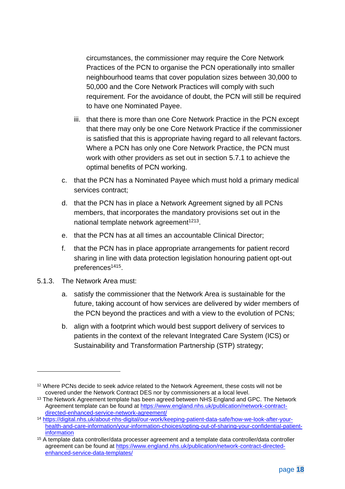circumstances, the commissioner may require the Core Network Practices of the PCN to organise the PCN operationally into smaller neighbourhood teams that cover population sizes between 30,000 to 50,000 and the Core Network Practices will comply with such requirement. For the avoidance of doubt, the PCN will still be required to have one Nominated Payee.

- iii. that there is more than one Core Network Practice in the PCN except that there may only be one Core Network Practice if the commissioner is satisfied that this is appropriate having regard to all relevant factors. Where a PCN has only one Core Network Practice, the PCN must work with other providers as set out in section [5.7.1](#page-25-1) to achieve the optimal benefits of PCN working.
- <span id="page-18-2"></span>c. that the PCN has a Nominated Payee which must hold a primary medical services contract;
- <span id="page-18-0"></span>d. that the PCN has in place a Network Agreement signed by all PCNs members, that incorporates the mandatory provisions set out in the national template network agreement<sup>1213</sup>.
- e. that the PCN has at all times an accountable Clinical Director;
- f. that the PCN has in place appropriate arrangements for patient record sharing in line with data protection legislation honouring patient opt-out preferences<sup>1415</sup>.
- <span id="page-18-1"></span>5.1.3. The Network Area must:
	- a. satisfy the commissioner that the Network Area is sustainable for the future, taking account of how services are delivered by wider members of the PCN beyond the practices and with a view to the evolution of PCNs;
	- b. align with a footprint which would best support delivery of services to patients in the context of the relevant Integrated Care System (ICS) or Sustainability and Transformation Partnership (STP) strategy;

<sup>&</sup>lt;sup>12</sup> Where PCNs decide to seek advice related to the Network Agreement, these costs will not be covered under the Network Contract DES nor by commissioners at a local level.

<sup>&</sup>lt;sup>13</sup> The Network Agreement template has been agreed between NHS England and GPC. The Network Agreement template can be found at [https://www.england.nhs.uk/publication/network-contract](https://www.england.nhs.uk/publication/network-contract-directed-enhanced-service-network-agreement/)[directed-enhanced-service-network-agreement/](https://www.england.nhs.uk/publication/network-contract-directed-enhanced-service-network-agreement/)

<sup>14</sup> [https://digital.nhs.uk/about-nhs-digital/our-work/keeping-patient-data-safe/how-we-look-after-your](https://digital.nhs.uk/about-nhs-digital/our-work/keeping-patient-data-safe/how-we-look-after-your-health-and-care-information/your-information-choices/opting-out-of-sharing-your-confidential-patient-information)[health-and-care-information/your-information-choices/opting-out-of-sharing-your-confidential-patient](https://digital.nhs.uk/about-nhs-digital/our-work/keeping-patient-data-safe/how-we-look-after-your-health-and-care-information/your-information-choices/opting-out-of-sharing-your-confidential-patient-information)[information](https://digital.nhs.uk/about-nhs-digital/our-work/keeping-patient-data-safe/how-we-look-after-your-health-and-care-information/your-information-choices/opting-out-of-sharing-your-confidential-patient-information)

<sup>15</sup> A template data controller/data processer agreement and a template data controller/data controller agreement can be found at [https://www.england.nhs.uk/publication/network-contract-directed](https://www.england.nhs.uk/publication/network-contract-directed-enhanced-service-data-templates/)[enhanced-service-data-templates/](https://www.england.nhs.uk/publication/network-contract-directed-enhanced-service-data-templates/)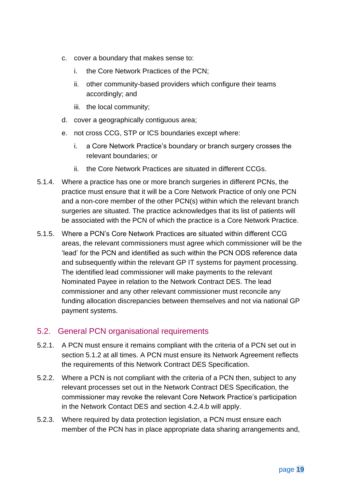- c. cover a boundary that makes sense to:
	- i. the Core Network Practices of the PCN;
	- ii. other community-based providers which configure their teams accordingly; and
	- iii. the local community;
- d. cover a geographically contiguous area;
- e. not cross CCG, STP or ICS boundaries except where:
	- i. a Core Network Practice's boundary or branch surgery crosses the relevant boundaries; or
	- ii. the Core Network Practices are situated in different CCGs.
- 5.1.4. Where a practice has one or more branch surgeries in different PCNs, the practice must ensure that it will be a Core Network Practice of only one PCN and a non-core member of the other PCN(s) within which the relevant branch surgeries are situated. The practice acknowledges that its list of patients will be associated with the PCN of which the practice is a Core Network Practice.
- 5.1.5. Where a PCN's Core Network Practices are situated within different CCG areas, the relevant commissioners must agree which commissioner will be the 'lead' for the PCN and identified as such within the PCN ODS reference data and subsequently within the relevant GP IT systems for payment processing. The identified lead commissioner will make payments to the relevant Nominated Payee in relation to the Network Contract DES. The lead commissioner and any other relevant commissioner must reconcile any funding allocation discrepancies between themselves and not via national GP payment systems.

#### 5.2. General PCN organisational requirements

- 5.2.1. A PCN must ensure it remains compliant with the criteria of a PCN set out in section [5.1.2](#page-17-1) at all times. A PCN must ensure its Network Agreement reflects the requirements of this Network Contract DES Specification.
- <span id="page-19-0"></span>5.2.2. Where a PCN is not compliant with the criteria of a PCN then, subject to any relevant processes set out in the Network Contract DES Specification, the commissioner may revoke the relevant Core Network Practice's participation in the Network Contact DES and section [4.2.4.b](#page-7-1) will apply.
- 5.2.3. Where required by data protection legislation, a PCN must ensure each member of the PCN has in place appropriate data sharing arrangements and,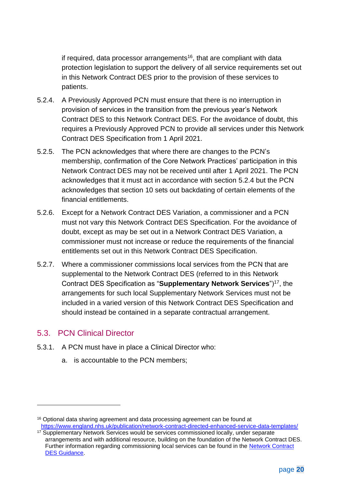if required, data processor arrangements<sup>16</sup>, that are compliant with data protection legislation to support the delivery of all service requirements set out in this Network Contract DES prior to the provision of these services to patients.

- <span id="page-20-0"></span>5.2.4. A Previously Approved PCN must ensure that there is no interruption in provision of services in the transition from the previous year's Network Contract DES to this Network Contract DES. For the avoidance of doubt, this requires a Previously Approved PCN to provide all services under this Network Contract DES Specification from 1 April 2021.
- 5.2.5. The PCN acknowledges that where there are changes to the PCN's membership, confirmation of the Core Network Practices' participation in this Network Contract DES may not be received until after 1 April 2021. The PCN acknowledges that it must act in accordance with section [5.2.4](#page-20-0) but the PCN acknowledges that section [10](#page-55-0) sets out backdating of certain elements of the financial entitlements.
- 5.2.6. Except for a Network Contract DES Variation, a commissioner and a PCN must not vary this Network Contract DES Specification. For the avoidance of doubt, except as may be set out in a Network Contract DES Variation, a commissioner must not increase or reduce the requirements of the financial entitlements set out in this Network Contract DES Specification.
- 5.2.7. Where a commissioner commissions local services from the PCN that are supplemental to the Network Contract DES (referred to in this Network Contract DES Specification as "**Supplementary Network Services**")<sup>17</sup>, the arrangements for such local Supplementary Network Services must not be included in a varied version of this Network Contract DES Specification and should instead be contained in a separate contractual arrangement.

#### 5.3. PCN Clinical Director

- 5.3.1. A PCN must have in place a Clinical Director who:
	- a. is accountable to the PCN members;

<sup>&</sup>lt;sup>16</sup> Optional data sharing agreement and data processing agreement can be found at <https://www.england.nhs.uk/publication/network-contract-directed-enhanced-service-data-templates/>

<sup>&</sup>lt;sup>17</sup> Supplementary Network Services would be services commissioned locally, under separate arrangements and with additional resource, building on the foundation of the Network Contract DES. Further information regarding commissioning local services can be found in the Network Contract [DES Guidance.](https://www.england.nhs.uk/publication/network-contract-des-guidance-2021-22/)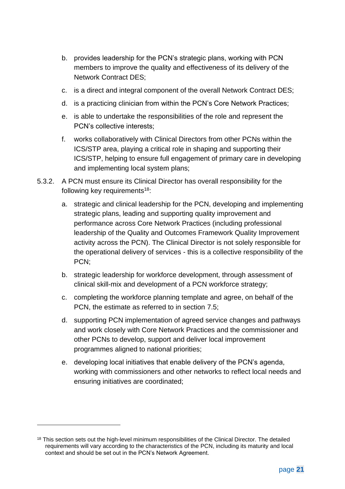- b. provides leadership for the PCN's strategic plans, working with PCN members to improve the quality and effectiveness of its delivery of the Network Contract DES;
- c. is a direct and integral component of the overall Network Contract DES;
- d. is a practicing clinician from within the PCN's Core Network Practices;
- e. is able to undertake the responsibilities of the role and represent the PCN's collective interests;
- f. works collaboratively with Clinical Directors from other PCNs within the ICS/STP area, playing a critical role in shaping and supporting their ICS/STP, helping to ensure full engagement of primary care in developing and implementing local system plans;
- 5.3.2. A PCN must ensure its Clinical Director has overall responsibility for the following key requirements<sup>18</sup>:
	- a. strategic and clinical leadership for the PCN, developing and implementing strategic plans, leading and supporting quality improvement and performance across Core Network Practices (including professional leadership of the Quality and Outcomes Framework Quality Improvement activity across the PCN). The Clinical Director is not solely responsible for the operational delivery of services - this is a collective responsibility of the PCN;
	- b. strategic leadership for workforce development, through assessment of clinical skill-mix and development of a PCN workforce strategy;
	- c. completing the workforce planning template and agree, on behalf of the PCN, the estimate as referred to in section [7.5;](#page-40-0)
	- d. supporting PCN implementation of agreed service changes and pathways and work closely with Core Network Practices and the commissioner and other PCNs to develop, support and deliver local improvement programmes aligned to national priorities;
	- e. developing local initiatives that enable delivery of the PCN's agenda, working with commissioners and other networks to reflect local needs and ensuring initiatives are coordinated;

<sup>&</sup>lt;sup>18</sup> This section sets out the high-level minimum responsibilities of the Clinical Director. The detailed requirements will vary according to the characteristics of the PCN, including its maturity and local context and should be set out in the PCN's Network Agreement.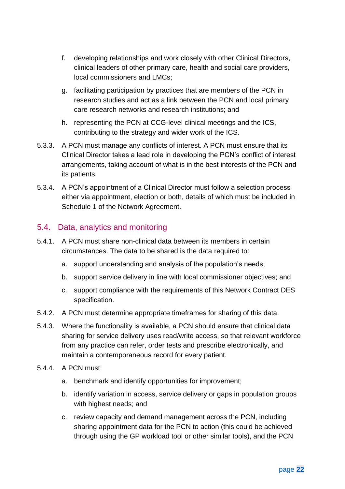- f. developing relationships and work closely with other Clinical Directors, clinical leaders of other primary care, health and social care providers, local commissioners and LMCs;
- g. facilitating participation by practices that are members of the PCN in research studies and act as a link between the PCN and local primary care research networks and research institutions; and
- h. representing the PCN at CCG-level clinical meetings and the ICS, contributing to the strategy and wider work of the ICS.
- 5.3.3. A PCN must manage any conflicts of interest. A PCN must ensure that its Clinical Director takes a lead role in developing the PCN's conflict of interest arrangements, taking account of what is in the best interests of the PCN and its patients.
- 5.3.4. A PCN's appointment of a Clinical Director must follow a selection process either via appointment, election or both, details of which must be included in Schedule 1 of the Network Agreement.

#### 5.4. Data, analytics and monitoring

- 5.4.1. A PCN must share non-clinical data between its members in certain circumstances. The data to be shared is the data required to:
	- a. support understanding and analysis of the population's needs;
	- b. support service delivery in line with local commissioner objectives; and
	- c. support compliance with the requirements of this Network Contract DES specification.
- 5.4.2. A PCN must determine appropriate timeframes for sharing of this data.
- 5.4.3. Where the functionality is available, a PCN should ensure that clinical data sharing for service delivery uses read/write access, so that relevant workforce from any practice can refer, order tests and prescribe electronically, and maintain a contemporaneous record for every patient.
- 5.4.4. A PCN must:
	- a. benchmark and identify opportunities for improvement;
	- b. identify variation in access, service delivery or gaps in population groups with highest needs; and
	- c. review capacity and demand management across the PCN, including sharing appointment data for the PCN to action (this could be achieved through using the GP workload tool or other similar tools), and the PCN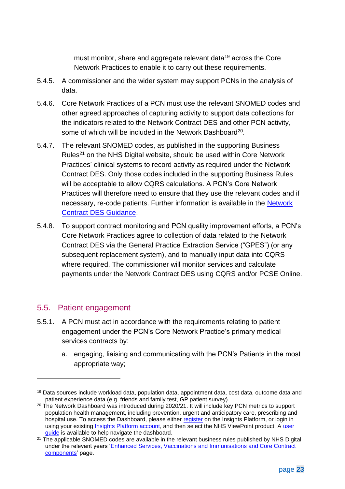must monitor, share and aggregate relevant data<sup>19</sup> across the Core Network Practices to enable it to carry out these requirements.

- 5.4.5. A commissioner and the wider system may support PCNs in the analysis of data.
- 5.4.6. Core Network Practices of a PCN must use the relevant SNOMED codes and other agreed approaches of capturing activity to support data collections for the indicators related to the Network Contract DES and other PCN activity, some of which will be included in the Network Dashboard<sup>20</sup>.
- 5.4.7. The relevant SNOMED codes, as published in the supporting Business Rules<sup>21</sup> on the [NHS Digital website,](https://digital.nhs.uk/data-and-information/data-collections-and-data-sets/data-collections/quality-and-outcomes-framework-qof/quality-and-outcome-framework-qof-business-rules/enhanced-services-es-vaccination-and-immunisation-vi-and-core-contract-components-2020-2021) should be used within Core Network Practices' clinical systems to record activity as required under the Network Contract DES. Only those codes included in the supporting Business Rules will be acceptable to allow CQRS calculations. A PCN's Core Network Practices will therefore need to ensure that they use the relevant codes and if necessary, re-code patients. Further information is available in the Network [Contract DES Guidance.](https://www.england.nhs.uk/publication/network-contract-des-guidance-2021-22/)
- 5.4.8. To support contract monitoring and PCN quality improvement efforts, a PCN's Core Network Practices agree to collection of data related to the Network Contract DES via the General Practice Extraction Service ("GPES") (or any subsequent replacement system), and to manually input data into CQRS where required. The commissioner will monitor services and calculate payments under the Network Contract DES using CQRS and/or PCSE Online.

#### 5.5. Patient engagement

- 5.5.1. A PCN must act in accordance with the requirements relating to patient engagement under the PCN's Core Network Practice's primary medical services contracts by:
	- a. engaging, liaising and communicating with the PCN's Patients in the most appropriate way;

<sup>19</sup> Data sources include workload data, population data, appointment data, cost data, outcome data and patient experience data (e.g. friends and family test, GP patient survey).

<sup>&</sup>lt;sup>20</sup> The Network Dashboard was introduced during 2020/21. It will include key PCN metrics to support population health management, including prevention, urgent and anticipatory care, prescribing and hospital use. To access the Dashboard, please either [register](https://apps.model.nhs.uk/register?app=3028bc6c-4b07-4e1a-8d6e-84aa20ea42e1) on the Insights Platform, or login in using your existing *Insights Platform account*, and then select the NHS ViewPoint product. A user [guide](https://future.nhs.uk/P_C_N/view?objectId=95080741) is available to help navigate the dashboard.

 $21$  The applicable SNOMED codes are available in the relevant business rules published by NHS Digital under the relevant years ['Enhanced Services, Vaccinations and Immunisations and Core Contract](https://digital.nhs.uk/data-and-information/data-collections-and-data-sets/data-collections/quality-and-outcomes-framework-qof)  [components'](https://digital.nhs.uk/data-and-information/data-collections-and-data-sets/data-collections/quality-and-outcomes-framework-qof) page.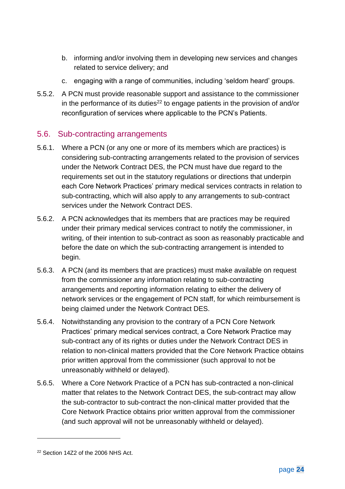- b. informing and/or involving them in developing new services and changes related to service delivery; and
- c. engaging with a range of communities, including 'seldom heard' groups.
- 5.5.2. A PCN must provide reasonable support and assistance to the commissioner in the performance of its duties<sup>22</sup> to engage patients in the provision of and/or reconfiguration of services where applicable to the PCN's Patients.

#### 5.6. Sub-contracting arrangements

- 5.6.1. Where a PCN (or any one or more of its members which are practices) is considering sub-contracting arrangements related to the provision of services under the Network Contract DES, the PCN must have due regard to the requirements set out in the statutory regulations or directions that underpin each Core Network Practices' primary medical services contracts in relation to sub-contracting, which will also apply to any arrangements to sub-contract services under the Network Contract DES.
- 5.6.2. A PCN acknowledges that its members that are practices may be required under their primary medical services contract to notify the commissioner, in writing, of their intention to sub-contract as soon as reasonably practicable and before the date on which the sub-contracting arrangement is intended to begin.
- 5.6.3. A PCN (and its members that are practices) must make available on request from the commissioner any information relating to sub-contracting arrangements and reporting information relating to either the delivery of network services or the engagement of PCN staff, for which reimbursement is being claimed under the Network Contract DES.
- 5.6.4. Notwithstanding any provision to the contrary of a PCN Core Network Practices' primary medical services contract, a Core Network Practice may sub-contract any of its rights or duties under the Network Contract DES in relation to non-clinical matters provided that the Core Network Practice obtains prior written approval from the commissioner (such approval to not be unreasonably withheld or delayed).
- 5.6.5. Where a Core Network Practice of a PCN has sub-contracted a non-clinical matter that relates to the Network Contract DES, the sub-contract may allow the sub-contractor to sub-contract the non-clinical matter provided that the Core Network Practice obtains prior written approval from the commissioner (and such approval will not be unreasonably withheld or delayed).

<sup>22</sup> Section 14Z2 of the 2006 NHS Act.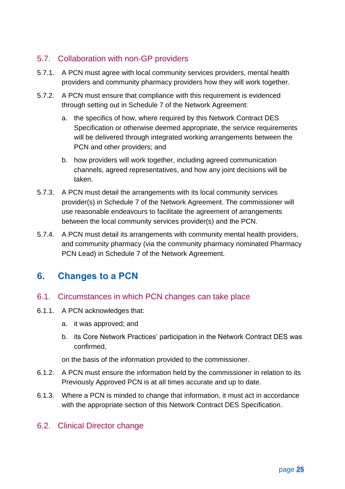### 5.7. Collaboration with non-GP providers

- <span id="page-25-1"></span>5.7.1. A PCN must agree with local community services providers, mental health providers and community pharmacy providers how they will work together.
- 5.7.2. A PCN must ensure that compliance with this requirement is evidenced through setting out in Schedule 7 of the Network Agreement:
	- a. the specifics of how, where required by this Network Contract DES Specification or otherwise deemed appropriate, the service requirements will be delivered through integrated working arrangements between the PCN and other providers; and
	- b. how providers will work together, including agreed communication channels, agreed representatives, and how any joint decisions will be taken.
- 5.7.3. A PCN must detail the arrangements with its local community services provider(s) in Schedule 7 of the Network Agreement. The commissioner will use reasonable endeavours to facilitate the agreement of arrangements between the local community services provider(s) and the PCN.
- 5.7.4. A PCN must detail its arrangements with community mental health providers, and community pharmacy (via the community pharmacy nominated Pharmacy PCN Lead) in Schedule 7 of the Network Agreement.

## <span id="page-25-0"></span>**6. Changes to a PCN**

#### 6.1. Circumstances in which PCN changes can take place

- 6.1.1. A PCN acknowledges that:
	- a. it was approved; and
	- b. its Core Network Practices' participation in the Network Contract DES was confirmed,

on the basis of the information provided to the commissioner.

- 6.1.2. A PCN must ensure the information held by the commissioner in relation to its Previously Approved PCN is at all times accurate and up to date.
- 6.1.3. Where a PCN is minded to change that information, it must act in accordance with the appropriate section of this Network Contract DES Specification.

### 6.2. Clinical Director change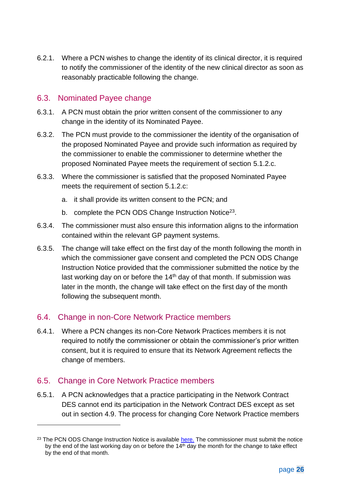6.2.1. Where a PCN wishes to change the identity of its clinical director, it is required to notify the commissioner of the identity of the new clinical director as soon as reasonably practicable following the change.

#### 6.3. Nominated Payee change

- 6.3.1. A PCN must obtain the prior written consent of the commissioner to any change in the identity of its Nominated Payee.
- 6.3.2. The PCN must provide to the commissioner the identity of the organisation of the proposed Nominated Payee and provide such information as required by the commissioner to enable the commissioner to determine whether the proposed Nominated Payee meets the requirement of section [5.1.2.c.](#page-18-2)
- 6.3.3. Where the commissioner is satisfied that the proposed Nominated Payee meets the requirement of section [5.1.2.c:](#page-18-2)
	- a. it shall provide its written consent to the PCN; and
	- b. complete the PCN ODS Change Instruction Notice<sup>23</sup>.
- 6.3.4. The commissioner must also ensure this information aligns to the information contained within the relevant GP payment systems.
- 6.3.5. The change will take effect on the first day of the month following the month in which the commissioner gave consent and completed the PCN ODS Change Instruction Notice provided that the commissioner submitted the notice by the last working day on or before the 14<sup>th</sup> day of that month. If submission was later in the month, the change will take effect on the first day of the month following the subsequent month.

#### 6.4. Change in non-Core Network Practice members

6.4.1. Where a PCN changes its non-Core Network Practices members it is not required to notify the commissioner or obtain the commissioner's prior written consent, but it is required to ensure that its Network Agreement reflects the change of members.

#### 6.5. Change in Core Network Practice members

6.5.1. A PCN acknowledges that a practice participating in the Network Contract DES cannot end its participation in the Network Contract DES except as set out in section [4.9.](#page-14-0) The process for changing Core Network Practice members

<sup>&</sup>lt;sup>23</sup> The PCN ODS Change Instruction Notice is available [here.](https://digital.nhs.uk/services/organisation-data-service/services-provided-by-the-organisation-data-service/organisation-data-service-forms#primary-care-networks) The commissioner must submit the notice by the end of the last working day on or before the  $14<sup>th</sup>$  day the month for the change to take effect by the end of that month.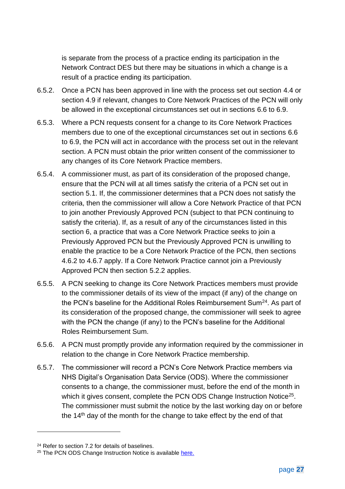is separate from the process of a practice ending its participation in the Network Contract DES but there may be situations in which a change is a result of a practice ending its participation.

- 6.5.2. Once a PCN has been approved in line with the process set out section [4.4](#page-8-1) or section [4.9](#page-14-0) if relevant, changes to Core Network Practices of the PCN will only be allowed in the exceptional circumstances set out in sections [6.6](#page-28-0) to [6.9.](#page-32-0)
- 6.5.3. Where a PCN requests consent for a change to its Core Network Practices members due to one of the exceptional circumstances set out in sections [6.6](#page-28-0) to [6.9,](#page-32-0) the PCN will act in accordance with the process set out in the relevant section. A PCN must obtain the prior written consent of the commissioner to any changes of its Core Network Practice members.
- 6.5.4. A commissioner must, as part of its consideration of the proposed change, ensure that the PCN will at all times satisfy the criteria of a PCN set out in section [5.1.](#page-17-2) If, the commissioner determines that a PCN does not satisfy the criteria, then the commissioner will allow a Core Network Practice of that PCN to join another Previously Approved PCN (subject to that PCN continuing to satisfy the criteria). If, as a result of any of the circumstances listed in this section [6,](#page-25-0) a practice that was a Core Network Practice seeks to join a Previously Approved PCN but the Previously Approved PCN is unwilling to enable the practice to be a Core Network Practice of the PCN, then sections [4.6.2](#page-12-2) to [4.6.7](#page-13-0) apply. If a Core Network Practice cannot join a Previously Approved PCN then section [5.2.2](#page-19-0) applies.
- 6.5.5. A PCN seeking to change its Core Network Practices members must provide to the commissioner details of its view of the impact (if any) of the change on the PCN's baseline for the Additional Roles Reimbursement Sum<sup>24</sup>. As part of its consideration of the proposed change, the commissioner will seek to agree with the PCN the change (if any) to the PCN's baseline for the Additional Roles Reimbursement Sum.
- 6.5.6. A PCN must promptly provide any information required by the commissioner in relation to the change in Core Network Practice membership.
- 6.5.7. The commissioner will record a PCN's Core Network Practice members via [NHS Digital's Organisation Data Service \(ODS\)](https://digital.nhs.uk/services/organisation-data-service/primary-care-networks---publication-of-organisational-data-service-ods-codes). Where the commissioner consents to a change, the commissioner must, before the end of the month in which it gives consent, complete the PCN ODS Change Instruction Notice<sup>25</sup>. The commissioner must submit the notice by the last working day on or before the 14<sup>th</sup> day of the month for the change to take effect by the end of that

<sup>24</sup> Refer to section [7.2](#page-35-0) for details of baselines.

<sup>&</sup>lt;sup>25</sup> The PCN ODS Change Instruction Notice is available [here.](https://digital.nhs.uk/services/organisation-data-service/services-provided-by-the-organisation-data-service/organisation-data-service-forms#primary-care-networks)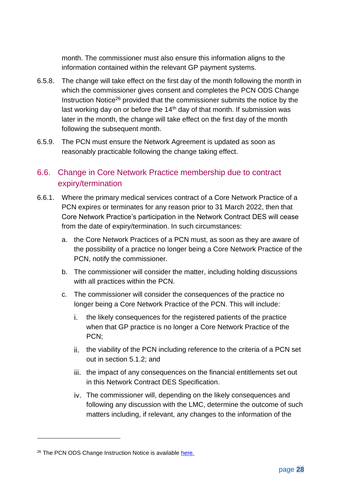month. The commissioner must also ensure this information aligns to the information contained within the relevant GP payment systems.

- 6.5.8. The change will take effect on the first day of the month following the month in which the commissioner gives consent and completes the PCN ODS Change Instruction Notice<sup>26</sup> provided that the commissioner submits the notice by the last working day on or before the 14<sup>th</sup> day of that month. If submission was later in the month, the change will take effect on the first day of the month following the subsequent month.
- 6.5.9. The PCN must ensure the Network Agreement is updated as soon as reasonably practicable following the change taking effect.

### <span id="page-28-0"></span>6.6. Change in Core Network Practice membership due to contract expiry/termination

- 6.6.1. Where the primary medical services contract of a Core Network Practice of a PCN expires or terminates for any reason prior to 31 March 2022, then that Core Network Practice's participation in the Network Contract DES will cease from the date of expiry/termination. In such circumstances:
	- a. the Core Network Practices of a PCN must, as soon as they are aware of the possibility of a practice no longer being a Core Network Practice of the PCN, notify the commissioner.
	- b. The commissioner will consider the matter, including holding discussions with all practices within the PCN.
	- c. The commissioner will consider the consequences of the practice no longer being a Core Network Practice of the PCN. This will include:
		- the likely consequences for the registered patients of the practice i. I when that GP practice is no longer a Core Network Practice of the PCN;
		- ii. the viability of the PCN including reference to the criteria of a PCN set out in section [5.1.2;](#page-17-1) and
		- iii. the impact of any consequences on the financial entitlements set out in this Network Contract DES Specification.
		- iv. The commissioner will, depending on the likely consequences and following any discussion with the LMC, determine the outcome of such matters including, if relevant, any changes to the information of the

<sup>&</sup>lt;sup>26</sup> The PCN ODS Change Instruction Notice is available [here.](https://digital.nhs.uk/services/organisation-data-service/services-provided-by-the-organisation-data-service/organisation-data-service-forms#primary-care-networks)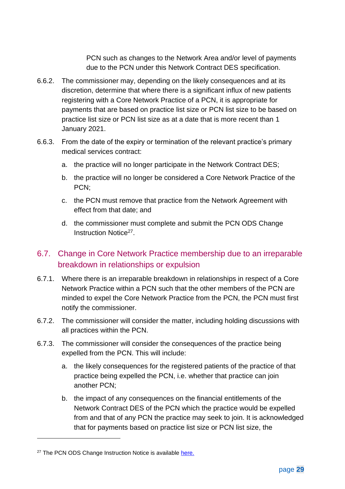PCN such as changes to the Network Area and/or level of payments due to the PCN under this Network Contract DES specification.

- 6.6.2. The commissioner may, depending on the likely consequences and at its discretion, determine that where there is a significant influx of new patients registering with a Core Network Practice of a PCN, it is appropriate for payments that are based on practice list size or PCN list size to be based on practice list size or PCN list size as at a date that is more recent than 1 January 2021.
- 6.6.3. From the date of the expiry or termination of the relevant practice's primary medical services contract:
	- a. the practice will no longer participate in the Network Contract DES;
	- b. the practice will no longer be considered a Core Network Practice of the PCN;
	- c. the PCN must remove that practice from the Network Agreement with effect from that date; and
	- d. the commissioner must complete and submit the PCN ODS Change Instruction Notice<sup>27</sup>.

### <span id="page-29-0"></span>6.7. Change in Core Network Practice membership due to an irreparable breakdown in relationships or expulsion

- 6.7.1. Where there is an irreparable breakdown in relationships in respect of a Core Network Practice within a PCN such that the other members of the PCN are minded to expel the Core Network Practice from the PCN, the PCN must first notify the commissioner.
- 6.7.2. The commissioner will consider the matter, including holding discussions with all practices within the PCN.
- 6.7.3. The commissioner will consider the consequences of the practice being expelled from the PCN. This will include:
	- a. the likely consequences for the registered patients of the practice of that practice being expelled the PCN, i.e. whether that practice can join another PCN;
	- b. the impact of any consequences on the financial entitlements of the Network Contract DES of the PCN which the practice would be expelled from and that of any PCN the practice may seek to join. It is acknowledged that for payments based on practice list size or PCN list size, the

<sup>&</sup>lt;sup>27</sup> The PCN ODS Change Instruction Notice is available [here.](https://digital.nhs.uk/services/organisation-data-service/services-provided-by-the-organisation-data-service/organisation-data-service-forms#primary-care-networks)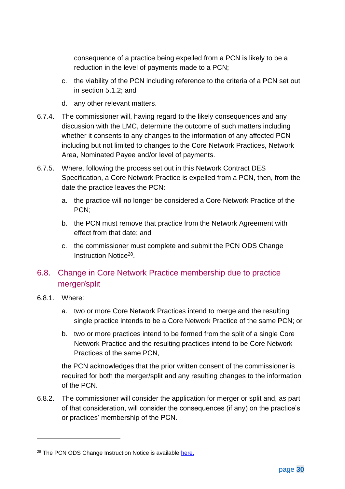consequence of a practice being expelled from a PCN is likely to be a reduction in the level of payments made to a PCN;

- c. the viability of the PCN including reference to the criteria of a PCN set out in section [5.1.2;](#page-17-1) and
- d. any other relevant matters.
- 6.7.4. The commissioner will, having regard to the likely consequences and any discussion with the LMC, determine the outcome of such matters including whether it consents to any changes to the information of any affected PCN including but not limited to changes to the Core Network Practices, Network Area, Nominated Payee and/or level of payments.
- 6.7.5. Where, following the process set out in this Network Contract DES Specification, a Core Network Practice is expelled from a PCN, then, from the date the practice leaves the PCN:
	- a. the practice will no longer be considered a Core Network Practice of the PCN;
	- b. the PCN must remove that practice from the Network Agreement with effect from that date; and
	- c. the commissioner must complete and submit the PCN ODS Change Instruction Notice<sup>28</sup>.

## <span id="page-30-0"></span>6.8. Change in Core Network Practice membership due to practice merger/split

- <span id="page-30-1"></span>6.8.1. Where:
	- a. two or more Core Network Practices intend to merge and the resulting single practice intends to be a Core Network Practice of the same PCN; or
	- b. two or more practices intend to be formed from the split of a single Core Network Practice and the resulting practices intend to be Core Network Practices of the same PCN,

the PCN acknowledges that the prior written consent of the commissioner is required for both the merger/split and any resulting changes to the information of the PCN.

6.8.2. The commissioner will consider the application for merger or split and, as part of that consideration, will consider the consequences (if any) on the practice's or practices' membership of the PCN.

<sup>&</sup>lt;sup>28</sup> The PCN ODS Change Instruction Notice is available [here.](https://digital.nhs.uk/services/organisation-data-service/services-provided-by-the-organisation-data-service/organisation-data-service-forms#primary-care-networks)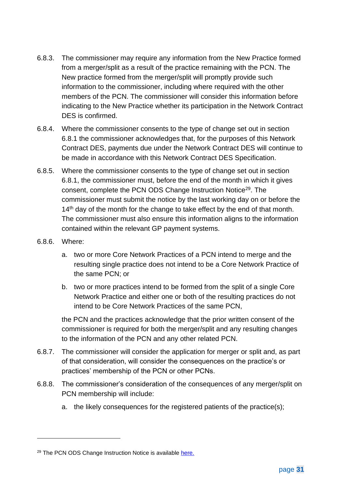- 6.8.3. The commissioner may require any information from the New Practice formed from a merger/split as a result of the practice remaining with the PCN. The New practice formed from the merger/split will promptly provide such information to the commissioner, including where required with the other members of the PCN. The commissioner will consider this information before indicating to the New Practice whether its participation in the Network Contract DES is confirmed.
- 6.8.4. Where the commissioner consents to the type of change set out in section [6.8.1](#page-30-1) the commissioner acknowledges that, for the purposes of this Network Contract DES, payments due under the Network Contract DES will continue to be made in accordance with this Network Contract DES Specification.
- 6.8.5. Where the commissioner consents to the type of change set out in section [6.8.1,](#page-30-1) the commissioner must, before the end of the month in which it gives consent, complete the PCN ODS Change Instruction Notice<sup>29</sup>. The commissioner must submit the notice by the last working day on or before the  $14<sup>th</sup>$  day of the month for the change to take effect by the end of that month. The commissioner must also ensure this information aligns to the information contained within the relevant GP payment systems.
- 6.8.6. Where:
	- a. two or more Core Network Practices of a PCN intend to merge and the resulting single practice does not intend to be a Core Network Practice of the same PCN; or
	- b. two or more practices intend to be formed from the split of a single Core Network Practice and either one or both of the resulting practices do not intend to be Core Network Practices of the same PCN,

the PCN and the practices acknowledge that the prior written consent of the commissioner is required for both the merger/split and any resulting changes to the information of the PCN and any other related PCN.

- 6.8.7. The commissioner will consider the application for merger or split and, as part of that consideration, will consider the consequences on the practice's or practices' membership of the PCN or other PCNs.
- <span id="page-31-0"></span>6.8.8. The commissioner's consideration of the consequences of any merger/split on PCN membership will include:
	- a. the likely consequences for the registered patients of the practice(s);

<sup>&</sup>lt;sup>29</sup> The PCN ODS Change Instruction Notice is available [here.](https://digital.nhs.uk/services/organisation-data-service/services-provided-by-the-organisation-data-service/organisation-data-service-forms#primary-care-networks)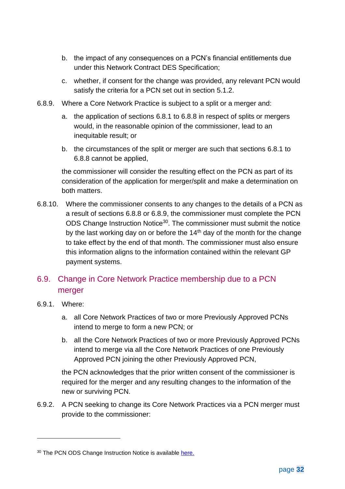- b. the impact of any consequences on a PCN's financial entitlements due under this Network Contract DES Specification;
- c. whether, if consent for the change was provided, any relevant PCN would satisfy the criteria for a PCN set out in section [5.1.2.](#page-17-1)
- <span id="page-32-1"></span>6.8.9. Where a Core Network Practice is subject to a split or a merger and:
	- a. the application of sections [6.8.1](#page-30-1) to [6.8.8](#page-31-0) in respect of splits or mergers would, in the reasonable opinion of the commissioner, lead to an inequitable result; or
	- b. the circumstances of the split or merger are such that sections [6.8.1](#page-30-1) to [6.8.8](#page-31-0) cannot be applied,

the commissioner will consider the resulting effect on the PCN as part of its consideration of the application for merger/split and make a determination on both matters.

6.8.10. Where the commissioner consents to any changes to the details of a PCN as a result of sections [6.8.8](#page-31-0) or [6.8.9,](#page-32-1) the commissioner must complete the PCN ODS Change Instruction Notice<sup>30</sup>. The commissioner must submit the notice by the last working day on or before the  $14<sup>th</sup>$  day of the month for the change to take effect by the end of that month. The commissioner must also ensure this information aligns to the information contained within the relevant GP payment systems.

## <span id="page-32-0"></span>6.9. Change in Core Network Practice membership due to a PCN merger

- <span id="page-32-2"></span>6.9.1. Where:
	- a. all Core Network Practices of two or more Previously Approved PCNs intend to merge to form a new PCN; or
	- b. all the Core Network Practices of two or more Previously Approved PCNs intend to merge via all the Core Network Practices of one Previously Approved PCN joining the other Previously Approved PCN,

the PCN acknowledges that the prior written consent of the commissioner is required for the merger and any resulting changes to the information of the new or surviving PCN.

6.9.2. A PCN seeking to change its Core Network Practices via a PCN merger must provide to the commissioner:

<sup>&</sup>lt;sup>30</sup> The PCN ODS Change Instruction Notice is available [here.](https://digital.nhs.uk/services/organisation-data-service/services-provided-by-the-organisation-data-service/organisation-data-service-forms#primary-care-networks)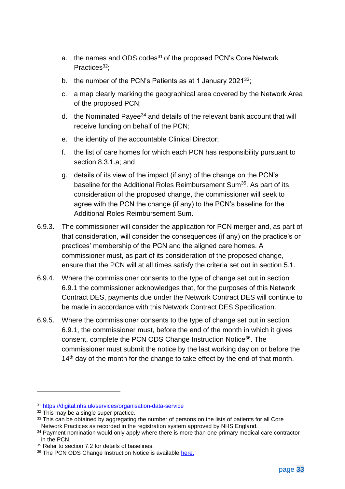- a. the names and ODS codes<sup>31</sup> of the proposed PCN's Core Network Practices<sup>32</sup>:
- b. the number of the PCN's Patients as at 1 January 2021 $33$ ;
- c. a map clearly marking the geographical area covered by the Network Area of the proposed PCN;
- d. the Nominated Payee<sup>34</sup> and details of the relevant bank account that will receive funding on behalf of the PCN;
- e. the identity of the accountable Clinical Director;
- f. the list of care homes for which each PCN has responsibility pursuant to section [8.3.1.a;](#page-48-0) and
- g. details of its view of the impact (if any) of the change on the PCN's baseline for the Additional Roles Reimbursement Sum<sup>35</sup>. As part of its consideration of the proposed change, the commissioner will seek to agree with the PCN the change (if any) to the PCN's baseline for the Additional Roles Reimbursement Sum.
- 6.9.3. The commissioner will consider the application for PCN merger and, as part of that consideration, will consider the consequences (if any) on the practice's or practices' membership of the PCN and the aligned care homes. A commissioner must, as part of its consideration of the proposed change, ensure that the PCN will at all times satisfy the criteria set out in section [5.1.](#page-17-2)
- 6.9.4. Where the commissioner consents to the type of change set out in section [6.9.1](#page-32-2) the commissioner acknowledges that, for the purposes of this Network Contract DES, payments due under the Network Contract DES will continue to be made in accordance with this Network Contract DES Specification.
- 6.9.5. Where the commissioner consents to the type of change set out in section [6.9.1,](#page-32-2) the commissioner must, before the end of the month in which it gives consent, complete the PCN ODS Change Instruction Notice<sup>36</sup>. The commissioner must submit the notice by the last working day on or before the  $14<sup>th</sup>$  day of the month for the change to take effect by the end of that month.

<sup>31</sup> <https://digital.nhs.uk/services/organisation-data-service>

<sup>32</sup> This may be a single super practice.

<sup>33</sup> This can be obtained by aggregating the number of persons on the lists of patients for all Core Network Practices as recorded in the registration system approved by NHS England.

<sup>&</sup>lt;sup>34</sup> Payment nomination would only apply where there is more than one primary medical care contractor in the PCN.

<sup>35</sup> Refer to section [7.2](#page-35-0) for details of baselines.

<sup>&</sup>lt;sup>36</sup> The PCN ODS Change Instruction Notice is available [here.](https://digital.nhs.uk/services/organisation-data-service/services-provided-by-the-organisation-data-service/organisation-data-service-forms#primary-care-networks)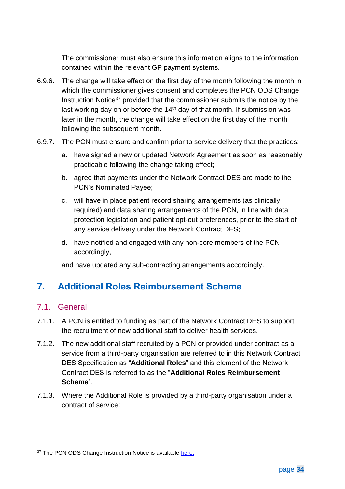The commissioner must also ensure this information aligns to the information contained within the relevant GP payment systems.

- 6.9.6. The change will take effect on the first day of the month following the month in which the commissioner gives consent and completes the PCN ODS Change Instruction Notice<sup>37</sup> provided that the commissioner submits the notice by the last working day on or before the 14<sup>th</sup> day of that month. If submission was later in the month, the change will take effect on the first day of the month following the subsequent month.
- 6.9.7. The PCN must ensure and confirm prior to service delivery that the practices:
	- a. have signed a new or updated Network Agreement as soon as reasonably practicable following the change taking effect;
	- b. agree that payments under the Network Contract DES are made to the PCN's Nominated Payee;
	- c. will have in place patient record sharing arrangements (as clinically required) and data sharing arrangements of the PCN, in line with data protection legislation and patient opt-out preferences, prior to the start of any service delivery under the Network Contract DES;
	- d. have notified and engaged with any non-core members of the PCN accordingly,

and have updated any sub-contracting arrangements accordingly.

## <span id="page-34-0"></span>**7. Additional Roles Reimbursement Scheme**

#### 7.1. General

- 7.1.1. A PCN is entitled to funding as part of the Network Contract DES to support the recruitment of new additional staff to deliver health services.
- 7.1.2. The new additional staff recruited by a PCN or provided under contract as a service from a third-party organisation are referred to in this Network Contract DES Specification as "**Additional Roles**" and this element of the Network Contract DES is referred to as the "**Additional Roles Reimbursement Scheme**".
- 7.1.3. Where the Additional Role is provided by a third-party organisation under a contract of service:

<sup>&</sup>lt;sup>37</sup> The PCN ODS Change Instruction Notice is available [here.](https://digital.nhs.uk/services/organisation-data-service/services-provided-by-the-organisation-data-service/organisation-data-service-forms#primary-care-networks)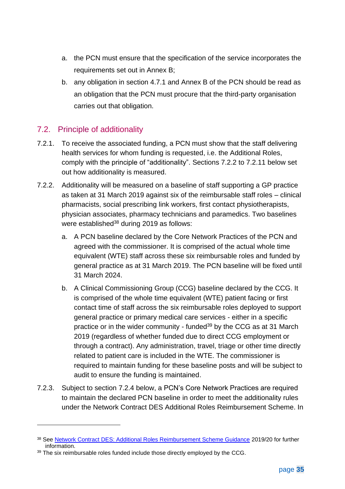- a. the PCN must ensure that the specification of the service incorporates the requirements set out in Annex B;
- b. any obligation in section [4.7.1](#page-14-6) and Annex B of the PCN should be read as an obligation that the PCN must procure that the third-party organisation carries out that obligation.

#### <span id="page-35-0"></span>7.2. Principle of additionality

- 7.2.1. To receive the associated funding, a PCN must show that the staff delivering health services for whom funding is requested, i.e. the Additional Roles, comply with the principle of "additionality". Sections [7.2.2](#page-35-1) to [7.2.11](#page-37-0) below set out how additionality is measured.
- <span id="page-35-1"></span>7.2.2. Additionality will be measured on a baseline of staff supporting a GP practice as taken at 31 March 2019 against six of the reimbursable staff roles – clinical pharmacists, social prescribing link workers, first contact physiotherapists, physician associates, pharmacy technicians and paramedics. Two baselines were established<sup>38</sup> during 2019 as follows:
	- a. A PCN baseline declared by the Core Network Practices of the PCN and agreed with the commissioner. It is comprised of the actual whole time equivalent (WTE) staff across these six reimbursable roles and funded by general practice as at 31 March 2019. The PCN baseline will be fixed until 31 March 2024.
	- b. A Clinical Commissioning Group (CCG) baseline declared by the CCG. It is comprised of the whole time equivalent (WTE) patient facing or first contact time of staff across the six reimbursable roles deployed to support general practice or primary medical care services - either in a specific practice or in the wider community - funded<sup>39</sup> by the CCG as at 31 March 2019 (regardless of whether funded due to direct CCG employment or through a contract). Any administration, travel, triage or other time directly related to patient care is included in the WTE. The commissioner is required to maintain funding for these baseline posts and will be subject to audit to ensure the funding is maintained.
- 7.2.3. Subject to section [7.2.4](#page-36-0) below, a PCN's Core Network Practices are required to maintain the declared PCN baseline in order to meet the additionality rules under the Network Contract DES Additional Roles Reimbursement Scheme. In

<sup>38</sup> See [Network Contract DES: Additional Roles Reimbursement Scheme Guidance](https://www.england.nhs.uk/wp-content/uploads/2019/12/network-contract-des-additional-roles-reimbursement-scheme-guidance-december2019.pdf) 2019/20 for further information.

<sup>&</sup>lt;sup>39</sup> The six reimbursable roles funded include those directly employed by the CCG.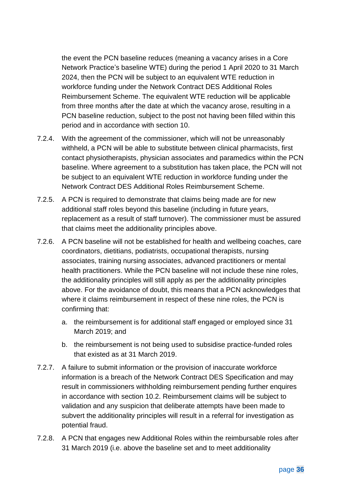the event the PCN baseline reduces (meaning a vacancy arises in a Core Network Practice's baseline WTE) during the period 1 April 2020 to 31 March 2024, then the PCN will be subject to an equivalent WTE reduction in workforce funding under the Network Contract DES Additional Roles Reimbursement Scheme. The equivalent WTE reduction will be applicable from three months after the date at which the vacancy arose, resulting in a PCN baseline reduction, subject to the post not having been filled within this period and in accordance with section [10.](#page-55-0)

- 7.2.4. With the agreement of the commissioner, which will not be unreasonably withheld, a PCN will be able to substitute between clinical pharmacists, first contact physiotherapists, physician associates and paramedics within the PCN baseline. Where agreement to a substitution has taken place, the PCN will not be subject to an equivalent WTE reduction in workforce funding under the Network Contract DES Additional Roles Reimbursement Scheme.
- 7.2.5. A PCN is required to demonstrate that claims being made are for new additional staff roles beyond this baseline (including in future years, replacement as a result of staff turnover). The commissioner must be assured that claims meet the additionality principles above.
- 7.2.6. A PCN baseline will not be established for health and wellbeing coaches, care coordinators, dietitians, podiatrists, occupational therapists, nursing associates, training nursing associates, advanced practitioners or mental health practitioners. While the PCN baseline will not include these nine roles, the additionality principles will still apply as per the additionality principles above. For the avoidance of doubt, this means that a PCN acknowledges that where it claims reimbursement in respect of these nine roles, the PCN is confirming that:
	- a. the reimbursement is for additional staff engaged or employed since 31 March 2019; and
	- b. the reimbursement is not being used to subsidise practice-funded roles that existed as at 31 March 2019.
- 7.2.7. A failure to submit information or the provision of inaccurate workforce information is a breach of the Network Contract DES Specification and may result in commissioners withholding reimbursement pending further enquires in accordance with section [10.2.](#page-57-0) Reimbursement claims will be subject to validation and any suspicion that deliberate attempts have been made to subvert the additionality principles will result in a referral for investigation as potential fraud.
- 7.2.8. A PCN that engages new Additional Roles within the reimbursable roles after 31 March 2019 (i.e. above the baseline set and to meet additionality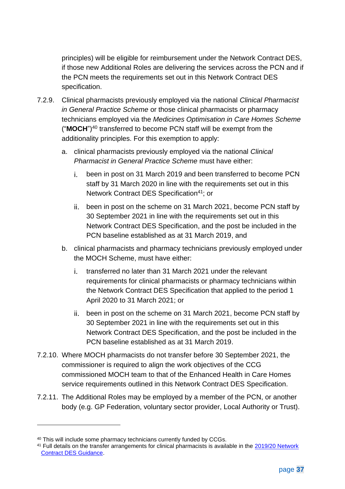principles) will be eligible for reimbursement under the Network Contract DES, if those new Additional Roles are delivering the services across the PCN and if the PCN meets the requirements set out in this Network Contract DES specification.

- 7.2.9. Clinical pharmacists previously employed via the national *[Clinical Pharmacist](https://www.england.nhs.uk/gp/gpfv/workforce/building-the-general-practice-workforce/cp-gp/)  [in General Practice Scheme](https://www.england.nhs.uk/gp/gpfv/workforce/building-the-general-practice-workforce/cp-gp/)* or those clinical pharmacists or pharmacy technicians employed via the *[Medicines Optimisation in Care Homes Scheme](https://www.england.nhs.uk/primary-care/pharmacy/medicines-optimisation-in-care-homes/)* ("MOCH")<sup>40</sup> transferred to become PCN staff will be exempt from the additionality principles. For this exemption to apply:
	- a. clinical pharmacists previously employed via the national *Clinical Pharmacist in General Practice Scheme* must have either:
		- been in post on 31 March 2019 and been transferred to become PCN i. staff by 31 March 2020 in line with the requirements set out in this Network Contract DES Specification<sup>41</sup>; or
		- ii. been in post on the scheme on 31 March 2021, become PCN staff by 30 September 2021 in line with the requirements set out in this Network Contract DES Specification, and the post be included in the PCN baseline established as at 31 March 2019, and
	- b. clinical pharmacists and pharmacy technicians previously employed under the MOCH Scheme, must have either:
		- transferred no later than 31 March 2021 under the relevant i. I requirements for clinical pharmacists or pharmacy technicians within the Network Contract DES Specification that applied to the period 1 April 2020 to 31 March 2021; or
		- been in post on the scheme on 31 March 2021, become PCN staff by 30 September 2021 in line with the requirements set out in this Network Contract DES Specification, and the post be included in the PCN baseline established as at 31 March 2019.
- 7.2.10. Where MOCH pharmacists do not transfer before 30 September 2021, the commissioner is required to align the work objectives of the CCG commissioned MOCH team to that of the Enhanced Health in Care Homes service requirements outlined in this Network Contract DES Specification.
- 7.2.11. The Additional Roles may be employed by a member of the PCN, or another body (e.g. GP Federation, voluntary sector provider, Local Authority or Trust).

<sup>&</sup>lt;sup>40</sup> This will include some pharmacy technicians currently funded by CCGs.

<sup>&</sup>lt;sup>41</sup> Full details on the transfer arrangements for clinical pharmacists is available in the 2019/20 Network [Contract DES Guidance.](https://www.england.nhs.uk/wp-content/uploads/2019/12/network-contract-des-guidance-v3-updated.pdf)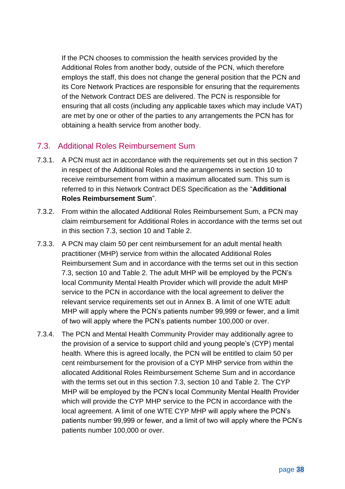If the PCN chooses to commission the health services provided by the Additional Roles from another body, outside of the PCN, which therefore employs the staff, this does not change the general position that the PCN and its Core Network Practices are responsible for ensuring that the requirements of the Network Contract DES are delivered. The PCN is responsible for ensuring that all costs (including any applicable taxes which may include VAT) are met by one or other of the parties to any arrangements the PCN has for obtaining a health service from another body.

### <span id="page-38-0"></span>7.3. Additional Roles Reimbursement Sum

- 7.3.1. A PCN must act in accordance with the requirements set out in this section [7](#page-34-0) in respect of the Additional Roles and the arrangements in section [10](#page-55-0) to receive reimbursement from within a maximum allocated sum. This sum is referred to in this Network Contract DES Specification as the "**Additional Roles Reimbursement Sum**".
- 7.3.2. From within the allocated Additional Roles Reimbursement Sum, a PCN may claim reimbursement for Additional Roles in accordance with the terms set out in this section [7.3,](#page-38-0) section [10](#page-55-0) and Table 2.
- 7.3.3. A PCN may claim 50 per cent reimbursement for an adult mental health practitioner (MHP) service from within the allocated Additional Roles Reimbursement Sum and in accordance with the terms set out in this section [7.3,](#page-38-0) section [10](#page-55-0) and Table 2. The adult MHP will be employed by the PCN's local Community Mental Health Provider which will provide the adult MHP service to the PCN in accordance with the local agreement to deliver the relevant service requirements set out in Annex B. A limit of one WTE adult MHP will apply where the PCN's patients number 99,999 or fewer, and a limit of two will apply where the PCN's patients number 100,000 or over.
- 7.3.4. The PCN and Mental Health Community Provider may additionally agree to the provision of a service to support child and young people's (CYP) mental health. Where this is agreed locally, the PCN will be entitled to claim 50 per cent reimbursement for the provision of a CYP MHP service from within the allocated Additional Roles Reimbursement Scheme Sum and in accordance with the terms set out in this section [7.3,](#page-38-0) section [10](#page-55-0) and Table 2. The CYP MHP will be employed by the PCN's local Community Mental Health Provider which will provide the CYP MHP service to the PCN in accordance with the local agreement. A limit of one WTE CYP MHP will apply where the PCN's patients number 99,999 or fewer, and a limit of two will apply where the PCN's patients number 100,000 or over.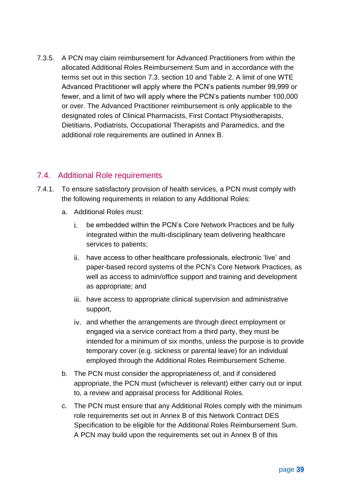7.3.5. A PCN may claim reimbursement for Advanced Practitioners from within the allocated Additional Roles Reimbursement Sum and in accordance with the terms set out in this section [7.3,](#page-38-0) section [10](#page-55-0) and Table 2. A limit of one WTE Advanced Practitioner will apply where the PCN's patients number 99,999 or fewer, and a limit of two will apply where the PCN's patients number 100,000 or over. The Advanced Practitioner reimbursement is only applicable to the designated roles of Clinical Pharmacists, First Contact Physiotherapists, Dietitians, Podiatrists, Occupational Therapists and Paramedics, and the additional role requirements are outlined in Annex B.

### 7.4. Additional Role requirements

- 7.4.1. To ensure satisfactory provision of health services, a PCN must comply with the following requirements in relation to any Additional Roles:
	- a. Additional Roles must:
		- i. I be embedded within the PCN's Core Network Practices and be fully integrated within the multi-disciplinary team delivering healthcare services to patients;
		- ii. have access to other healthcare professionals, electronic 'live' and paper-based record systems of the PCN's Core Network Practices, as well as access to admin/office support and training and development as appropriate; and
		- iii. have access to appropriate clinical supervision and administrative support,
		- and whether the arrangements are through direct employment or engaged via a service contract from a third party, they must be intended for a minimum of six months, unless the purpose is to provide temporary cover (e.g. sickness or parental leave) for an individual employed through the Additional Roles Reimbursement Scheme.
	- b. The PCN must consider the appropriateness of, and if considered appropriate, the PCN must (whichever is relevant) either carry out or input to, a review and appraisal process for Additional Roles.
	- c. The PCN must ensure that any Additional Roles comply with the minimum role requirements set out in [Annex B](#page-80-0) of this Network Contract DES Specification to be eligible for the Additional Roles Reimbursement Sum. A PCN may build upon the requirements set out in Annex B of this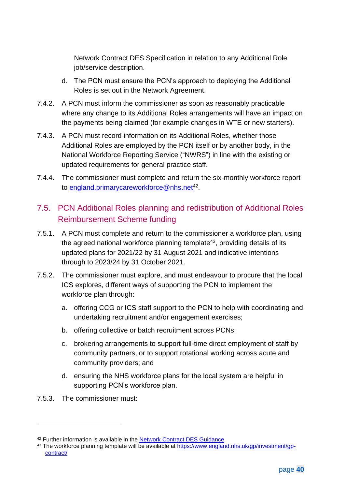Network Contract DES Specification in relation to any Additional Role job/service description.

- d. The PCN must ensure the PCN's approach to deploying the Additional Roles is set out in the Network Agreement.
- 7.4.2. A PCN must inform the commissioner as soon as reasonably practicable where any change to its Additional Roles arrangements will have an impact on the payments being claimed (for example changes in WTE or new starters).
- 7.4.3. A PCN must record information on its Additional Roles, whether those Additional Roles are employed by the PCN itself or by another body, in the National Workforce Reporting Service ("NWRS") in line with the existing or updated requirements for general practice staff.
- 7.4.4. The commissioner must complete and return the six-monthly workforce report to <u>england.primarycareworkforce@nhs.net</u><sup>42</sup>.

# 7.5. PCN Additional Roles planning and redistribution of Additional Roles Reimbursement Scheme funding

- 7.5.1. A PCN must complete and return to the commissioner a workforce plan, using the agreed national workforce planning template<sup>43</sup>, providing details of its updated plans for 2021/22 by 31 August 2021 and indicative intentions through to 2023/24 by 31 October 2021.
- 7.5.2. The commissioner must explore, and must endeavour to procure that the local ICS explores, different ways of supporting the PCN to implement the workforce plan through:
	- a. offering CCG or ICS staff support to the PCN to help with coordinating and undertaking recruitment and/or engagement exercises;
	- b. offering collective or batch recruitment across PCNs;
	- c. brokering arrangements to support full-time direct employment of staff by community partners, or to support rotational working across acute and community providers; and
	- d. ensuring the NHS workforce plans for the local system are helpful in supporting PCN's workforce plan.
- 7.5.3. The commissioner must:

<sup>&</sup>lt;sup>42</sup> Further information is available in the **Network Contract DES Guidance**.

<sup>43</sup> The workforce planning template will be available at [https://www.england.nhs.uk/gp/investment/gp](https://www.england.nhs.uk/gp/investment/gp-contract/)[contract/](https://www.england.nhs.uk/gp/investment/gp-contract/)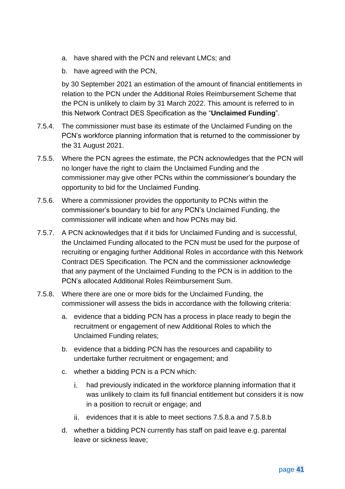- a. have shared with the PCN and relevant LMCs; and
- b. have agreed with the PCN,

by 30 September 2021 an estimation of the amount of financial entitlements in relation to the PCN under the Additional Roles Reimbursement Scheme that the PCN is unlikely to claim by 31 March 2022. This amount is referred to in this Network Contract DES Specification as the "**Unclaimed Funding**".

- 7.5.4. The commissioner must base its estimate of the Unclaimed Funding on the PCN's workforce planning information that is returned to the commissioner by the 31 August 2021.
- 7.5.5. Where the PCN agrees the estimate, the PCN acknowledges that the PCN will no longer have the right to claim the Unclaimed Funding and the commissioner may give other PCNs within the commissioner's boundary the opportunity to bid for the Unclaimed Funding.
- 7.5.6. Where a commissioner provides the opportunity to PCNs within the commissioner's boundary to bid for any PCN's Unclaimed Funding, the commissioner will indicate when and how PCNs may bid.
- 7.5.7. A PCN acknowledges that if it bids for Unclaimed Funding and is successful, the Unclaimed Funding allocated to the PCN must be used for the purpose of recruiting or engaging further Additional Roles in accordance with this Network Contract DES Specification. The PCN and the commissioner acknowledge that any payment of the Unclaimed Funding to the PCN is in addition to the PCN's allocated Additional Roles Reimbursement Sum.
- <span id="page-41-3"></span><span id="page-41-2"></span><span id="page-41-1"></span><span id="page-41-0"></span>7.5.8. Where there are one or more bids for the Unclaimed Funding, the commissioner will assess the bids in accordance with the following criteria:
	- a. evidence that a bidding PCN has a process in place ready to begin the recruitment or engagement of new Additional Roles to which the Unclaimed Funding relates;
	- b. evidence that a bidding PCN has the resources and capability to undertake further recruitment or engagement; and
	- c. whether a bidding PCN is a PCN which:
		- had previously indicated in the workforce planning information that it i. I was unlikely to claim its full financial entitlement but considers it is now in a position to recruit or engage; and
		- evidences that it is able to meet sections [7.5.8](#page-41-0)[.a](#page-41-1) and [7.5.8](#page-41-0)[.b](#page-41-2)
	- d. whether a bidding PCN currently has staff on paid leave e.g. parental leave or sickness leave;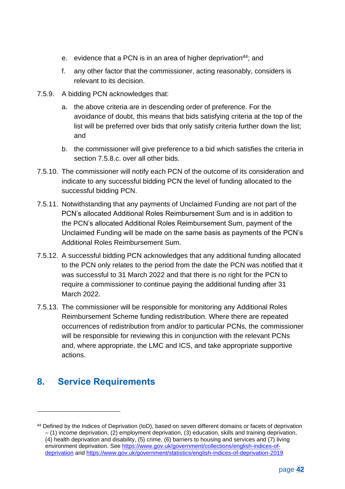- e. evidence that a PCN is in an area of higher deprivation<sup>44</sup>; and
- f. any other factor that the commissioner, acting reasonably, considers is relevant to its decision.
- 7.5.9. A bidding PCN acknowledges that:
	- a. the above criteria are in descending order of preference. For the avoidance of doubt, this means that bids satisfying criteria at the top of the list will be preferred over bids that only satisfy criteria further down the list; and
	- b. the commissioner will give preference to a bid which satisfies the criteria in section [7.5.8.c.](#page-41-3) over all other bids.
- 7.5.10. The commissioner will notify each PCN of the outcome of its consideration and indicate to any successful bidding PCN the level of funding allocated to the successful bidding PCN.
- 7.5.11. Notwithstanding that any payments of Unclaimed Funding are not part of the PCN's allocated Additional Roles Reimbursement Sum and is in addition to the PCN's allocated Additional Roles Reimbursement Sum, payment of the Unclaimed Funding will be made on the same basis as payments of the PCN's Additional Roles Reimbursement Sum.
- 7.5.12. A successful bidding PCN acknowledges that any additional funding allocated to the PCN only relates to the period from the date the PCN was notified that it was successful to 31 March 2022 and that there is no right for the PCN to require a commissioner to continue paying the additional funding after 31 March 2022.
- 7.5.13. The commissioner will be responsible for monitoring any Additional Roles Reimbursement Scheme funding redistribution. Where there are repeated occurrences of redistribution from and/or to particular PCNs, the commissioner will be responsible for reviewing this in conjunction with the relevant PCNs and, where appropriate, the LMC and ICS, and take appropriate supportive actions.

# **8. Service Requirements**

<sup>44</sup> Defined by the Indices of Deprivation (IoD), based on seven different domains or facets of deprivation – (1) income deprivation, (2) employment deprivation, (3) education, skills and training deprivation, (4) health deprivation and disability, (5) crime, (6) barriers to housing and services and (7) living environment deprivation. See [https://www.gov.uk/government/collections/english-indices-of](https://www.gov.uk/government/collections/english-indices-of-deprivation)[deprivation](https://www.gov.uk/government/collections/english-indices-of-deprivation) and<https://www.gov.uk/government/statistics/english-indices-of-deprivation-2019>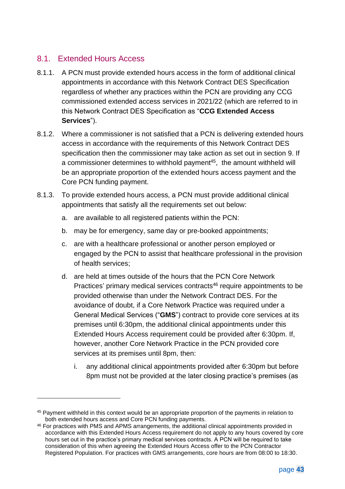### 8.1. Extended Hours Access

- 8.1.1. A PCN must provide extended hours access in the form of additional clinical appointments in accordance with this Network Contract DES Specification regardless of whether any practices within the PCN are providing any CCG commissioned extended access services in 2021/22 (which are referred to in this Network Contract DES Specification as "**CCG Extended Access Services**").
- 8.1.2. Where a commissioner is not satisfied that a PCN is delivering extended hours access in accordance with the requirements of this Network Contract DES specification then the commissioner may take action as set out in section [9.](#page-53-0) If a commissioner determines to withhold payment<sup>45</sup>, the amount withheld will be an appropriate proportion of the extended hours access payment and the Core PCN funding payment.
- 8.1.3. To provide extended hours access, a PCN must provide additional clinical appointments that satisfy all the requirements set out below:
	- a. are available to all registered patients within the PCN:
	- b. may be for emergency, same day or pre-booked appointments;
	- c. are with a healthcare professional or another person employed or engaged by the PCN to assist that healthcare professional in the provision of health services;
	- d. are held at times outside of the hours that the PCN Core Network Practices' primary medical services contracts<sup>46</sup> require appointments to be provided otherwise than under the Network Contract DES. For the avoidance of doubt, if a Core Network Practice was required under a General Medical Services ("**GMS**") contract to provide core services at its premises until 6:30pm, the additional clinical appointments under this Extended Hours Access requirement could be provided after 6:30pm. If, however, another Core Network Practice in the PCN provided core services at its premises until 8pm, then:
		- i. any additional clinical appointments provided after 6:30pm but before 8pm must not be provided at the later closing practice's premises (as

<sup>45</sup> Payment withheld in this context would be an appropriate proportion of the payments in relation to both extended hours access and Core PCN funding payments.

<sup>46</sup> For practices with PMS and APMS arrangements, the additional clinical appointments provided in accordance with this Extended Hours Access requirement do not apply to any hours covered by core hours set out in the practice's primary medical services contracts. A PCN will be required to take consideration of this when agreeing the Extended Hours Access offer to the PCN Contractor Registered Population. For practices with GMS arrangements, core hours are from 08:00 to 18:30.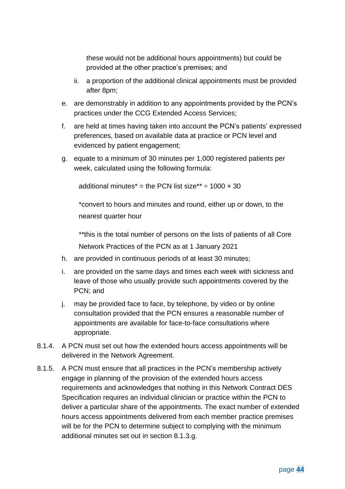these would not be additional hours appointments) but could be provided at the other practice's premises; and

- ii. a proportion of the additional clinical appointments must be provided after 8pm;
- e. are demonstrably in addition to any appointments provided by the PCN's practices under the CCG Extended Access Services;
- f. are held at times having taken into account the PCN's patients' expressed preferences, based on available data at practice or PCN level and evidenced by patient engagement;
- <span id="page-44-0"></span>g. equate to a minimum of 30 minutes per 1,000 registered patients per week, calculated using the following formula:

additional minutes\* = the PCN list size\*\*  $\div$  1000  $\times$  30

\*convert to hours and minutes and round, either up or down, to the nearest quarter hour

\*\*this is the total number of persons on the lists of patients of all Core Network Practices of the PCN as at 1 January 2021

- h. are provided in continuous periods of at least 30 minutes;
- i. are provided on the same days and times each week with sickness and leave of those who usually provide such appointments covered by the PCN; and
- j. may be provided face to face, by telephone, by video or by online consultation provided that the PCN ensures a reasonable number of appointments are available for face-to-face consultations where appropriate.
- 8.1.4. A PCN must set out how the extended hours access appointments will be delivered in the Network Agreement.
- 8.1.5. A PCN must ensure that all practices in the PCN's membership actively engage in planning of the provision of the extended hours access requirements and acknowledges that nothing in this Network Contract DES Specification requires an individual clinician or practice within the PCN to deliver a particular share of the appointments. The exact number of extended hours access appointments delivered from each member practice premises will be for the PCN to determine subject to complying with the minimum additional minutes set out in section [8.1.3.g.](#page-44-0)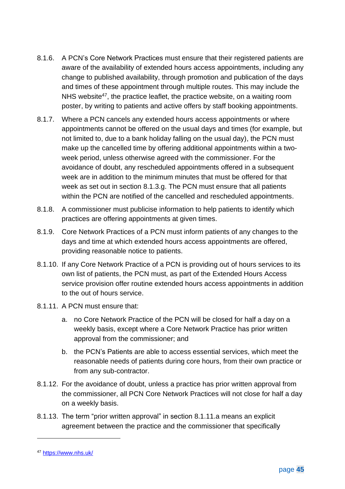- 8.1.6. A PCN's Core Network Practices must ensure that their registered patients are aware of the availability of extended hours access appointments, including any change to published availability, through promotion and publication of the days and times of these appointment through multiple routes. This may include the NHS website<sup>47</sup>, the practice leaflet, the practice website, on a waiting room poster, by writing to patients and active offers by staff booking appointments.
- 8.1.7. Where a PCN cancels any extended hours access appointments or where appointments cannot be offered on the usual days and times (for example, but not limited to, due to a bank holiday falling on the usual day), the PCN must make up the cancelled time by offering additional appointments within a twoweek period, unless otherwise agreed with the commissioner. For the avoidance of doubt, any rescheduled appointments offered in a subsequent week are in addition to the minimum minutes that must be offered for that week as set out in section [8.1.3.g.](#page-44-0) The PCN must ensure that all patients within the PCN are notified of the cancelled and rescheduled appointments.
- 8.1.8. A commissioner must publicise information to help patients to identify which practices are offering appointments at given times.
- 8.1.9. Core Network Practices of a PCN must inform patients of any changes to the days and time at which extended hours access appointments are offered, providing reasonable notice to patients.
- 8.1.10. If any Core Network Practice of a PCN is providing out of hours services to its own list of patients, the PCN must, as part of the Extended Hours Access service provision offer routine extended hours access appointments in addition to the out of hours service.
- <span id="page-45-0"></span>8.1.11. A PCN must ensure that:
	- a. no Core Network Practice of the PCN will be closed for half a day on a weekly basis, except where a Core Network Practice has prior written approval from the commissioner; and
	- b. the PCN's Patients are able to access essential services, which meet the reasonable needs of patients during core hours, from their own practice or from any sub-contractor.
- 8.1.12. For the avoidance of doubt, unless a practice has prior written approval from the commissioner, all PCN Core Network Practices will not close for half a day on a weekly basis.
- 8.1.13. The term "prior written approval" in section [8.1.11.a](#page-45-0) means an explicit agreement between the practice and the commissioner that specifically

<sup>47</sup> <https://www.nhs.uk/>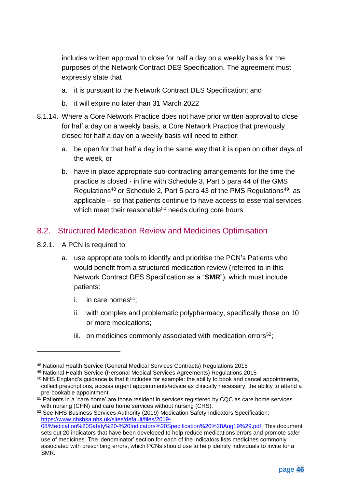includes written approval to close for half a day on a weekly basis for the purposes of the Network Contract DES Specification. The agreement must expressly state that

- a. it is pursuant to the Network Contract DES Specification; and
- b. it will expire no later than 31 March 2022
- 8.1.14. Where a Core Network Practice does not have prior written approval to close for half a day on a weekly basis, a Core Network Practice that previously closed for half a day on a weekly basis will need to either:
	- a. be open for that half a day in the same way that it is open on other days of the week, or
	- b. have in place appropriate sub-contracting arrangements for the time the practice is closed - in line with Schedule 3, Part 5 para 44 of the GMS Regulations<sup>48</sup> or Schedule 2, Part 5 para 43 of the PMS Regulations<sup>49</sup>, as applicable – so that patients continue to have access to essential services which meet their reasonable<sup>50</sup> needs during core hours.

#### <span id="page-46-0"></span>8.2. Structured Medication Review and Medicines Optimisation

- 8.2.1. A PCN is required to:
	- a. use appropriate tools to identify and prioritise the PCN's Patients who would benefit from a structured medication review (referred to in this Network Contract DES Specification as a "**SMR**"), which must include patients:
		- i. in care homes $51$ :
		- ii. with complex and problematic polypharmacy, specifically those on 10 or more medications;
		- iii. on medicines commonly associated with medication errors<sup>52</sup>;

<sup>48</sup> National Health Service (General Medical Services Contracts) Regulations 2015

<sup>49</sup> National Health Service (Personal Medical Services Agreements) Regulations 2015

<sup>50</sup> NHS England's guidance is that it includes for example: the ability to book and cancel appointments, collect prescriptions, access urgent appointments/advice as clinically necessary, the ability to attend a pre-bookable appointment.

<sup>&</sup>lt;sup>51</sup> Patients in a 'care home' are those resident in services registered by CQC as care home services with nursing (CHN) and care home services without nursing (CHS).

<sup>52</sup> See NHS Business Services Authority (2019) Medication Safety Indicators Specification: [https://www.nhsbsa.nhs.uk/sites/default/files/2019-](https://www.nhsbsa.nhs.uk/sites/default/files/2019-08/Medication%20Safety%20-%20Indicators%20Specification%20%28Aug19%29.pdf) [08/Medication%20Safety%20-%20Indicators%20Specification%20%28Aug19%29.pdf](https://www.nhsbsa.nhs.uk/sites/default/files/2019-08/Medication%20Safety%20-%20Indicators%20Specification%20%28Aug19%29.pdf) This document sets out 20 indicators that have been developed to help reduce medications errors and promote safer use of medicines. The 'denominator' section for each of the indicators lists medicines commonly associated with prescribing errors, which PCNs should use to help identify individuals to invite for a SMR.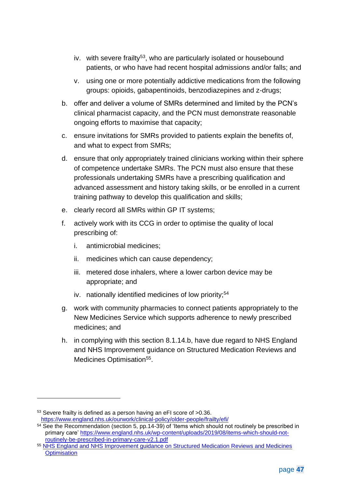- iv. with severe frailty<sup>53</sup>, who are particularly isolated or housebound patients, or who have had recent hospital admissions and/or falls; and
- v. using one or more potentially addictive medications from the following groups: opioids, gabapentinoids, benzodiazepines and z-drugs;
- b. offer and deliver a volume of SMRs determined and limited by the PCN's clinical pharmacist capacity, and the PCN must demonstrate reasonable ongoing efforts to maximise that capacity;
- c. ensure invitations for SMRs provided to patients explain the benefits of, and what to expect from SMRs;
- d. ensure that only appropriately trained clinicians working within their sphere of competence undertake SMRs. The PCN must also ensure that these professionals undertaking SMRs have a prescribing qualification and advanced assessment and history taking skills, or be enrolled in a current training pathway to develop this qualification and skills;
- e. clearly record all SMRs within GP IT systems;
- f. actively work with its CCG in order to optimise the quality of local prescribing of:
	- i. antimicrobial medicines;
	- ii. medicines which can cause dependency;
	- iii. metered dose inhalers, where a lower carbon device may be appropriate; and
	- iv. nationally identified medicines of low priority;<sup>54</sup>
- g. work with community pharmacies to connect patients appropriately to the New Medicines Service which supports adherence to newly prescribed medicines; and
- h. in complying with this section [8.1.14.b,](#page-46-0) have due regard to NHS England and NHS Improvement guidance on Structured Medication Reviews and Medicines Optimisation<sup>55</sup>.

<sup>53</sup> Severe frailty is defined as a person having an eFI score of >0.36. <https://www.england.nhs.uk/ourwork/clinical-policy/older-people/frailty/efi/>

<sup>&</sup>lt;sup>54</sup> See the Recommendation (section 5, pp.14-39) of 'Items which should not routinely be prescribed in primary care' [https://www.england.nhs.uk/wp-content/uploads/2019/08/items-which-should-not](https://www.england.nhs.uk/wp-content/uploads/2019/08/items-which-should-not-routinely-be-prescribed-in-primary-care-v2.1.pdf)[routinely-be-prescribed-in-primary-care-v2.1.pdf](https://www.england.nhs.uk/wp-content/uploads/2019/08/items-which-should-not-routinely-be-prescribed-in-primary-care-v2.1.pdf)

<sup>55</sup> [NHS England and NHS Improvement guidance on Structured Medication Reviews and Medicines](https://www.england.nhs.uk/publication/structured-medication-reviews-and-medicines-optimisation-2021-22/)  **[Optimisation](https://www.england.nhs.uk/publication/structured-medication-reviews-and-medicines-optimisation-2021-22/)**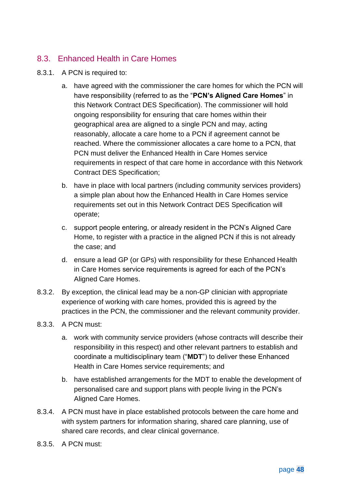# <span id="page-48-1"></span>8.3. Enhanced Health in Care Homes

- 8.3.1. A PCN is required to:
	- a. have agreed with the commissioner the care homes for which the PCN will have responsibility (referred to as the "**PCN's Aligned Care Homes**" in this Network Contract DES Specification). The commissioner will hold ongoing responsibility for ensuring that care homes within their geographical area are aligned to a single PCN and may, acting reasonably, allocate a care home to a PCN if agreement cannot be reached. Where the commissioner allocates a care home to a PCN, that PCN must deliver the Enhanced Health in Care Homes service requirements in respect of that care home in accordance with this Network Contract DES Specification;
	- b. have in place with local partners (including community services providers) a simple plan about how the Enhanced Health in Care Homes service requirements set out in this Network Contract DES Specification will operate;
	- c. support people entering, or already resident in the PCN's Aligned Care Home, to register with a practice in the aligned PCN if this is not already the case; and
	- d. ensure a lead GP (or GPs) with responsibility for these Enhanced Health in Care Homes service requirements is agreed for each of the PCN's Aligned Care Homes.
- 8.3.2. By exception, the clinical lead may be a non-GP clinician with appropriate experience of working with care homes, provided this is agreed by the practices in the PCN, the commissioner and the relevant community provider.
- <span id="page-48-0"></span>8.3.3. A PCN must:
	- a. work with community service providers (whose contracts will describe their responsibility in this respect) and other relevant partners to establish and coordinate a multidisciplinary team ("**MDT**") to deliver these Enhanced Health in Care Homes service requirements; and
	- b. have established arrangements for the MDT to enable the development of personalised care and support plans with people living in the PCN's Aligned Care Homes.
- 8.3.4. A PCN must have in place established protocols between the care home and with system partners for information sharing, shared care planning, use of shared care records, and clear clinical governance.
- 8.3.5. A PCN must: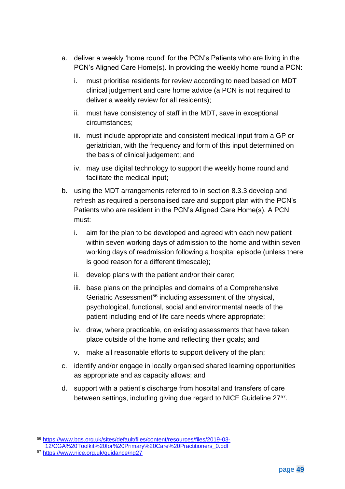- a. deliver a weekly 'home round' for the PCN's Patients who are living in the PCN's Aligned Care Home(s). In providing the weekly home round a PCN:
	- i. must prioritise residents for review according to need based on MDT clinical judgement and care home advice (a PCN is not required to deliver a weekly review for all residents);
	- ii. must have consistency of staff in the MDT, save in exceptional circumstances;
	- iii. must include appropriate and consistent medical input from a GP or geriatrician, with the frequency and form of this input determined on the basis of clinical judgement; and
	- iv. may use digital technology to support the weekly home round and facilitate the medical input;
- b. using the MDT arrangements referred to in section [8.3.3](#page-48-0) develop and refresh as required a personalised care and support plan with the PCN's Patients who are resident in the PCN's Aligned Care Home(s). A PCN must:
	- i. aim for the plan to be developed and agreed with each new patient within seven working days of admission to the home and within seven working days of readmission following a hospital episode (unless there is good reason for a different timescale);
	- ii. develop plans with the patient and/or their carer;
	- iii. base plans on the principles and domains of a Comprehensive Geriatric Assessment<sup>56</sup> including assessment of the physical, psychological, functional, social and environmental needs of the patient including end of life care needs where appropriate;
	- iv. draw, where practicable, on existing assessments that have taken place outside of the home and reflecting their goals; and
	- v. make all reasonable efforts to support delivery of the plan;
- c. identify and/or engage in locally organised shared learning opportunities as appropriate and as capacity allows; and
- d. support with a patient's discharge from hospital and transfers of care between settings, including giving due regard to NICE Guideline 2757.

<sup>56</sup> [https://www.bgs.org.uk/sites/default/files/content/resources/files/2019-03-](https://www.bgs.org.uk/sites/default/files/content/resources/files/2019-03-12/CGA%20Toolkit%20for%20Primary%20Care%20Practitioners_0.pdf) [12/CGA%20Toolkit%20for%20Primary%20Care%20Practitioners\\_0.pdf](https://www.bgs.org.uk/sites/default/files/content/resources/files/2019-03-12/CGA%20Toolkit%20for%20Primary%20Care%20Practitioners_0.pdf)

<sup>57</sup> <https://www.nice.org.uk/guidance/ng27>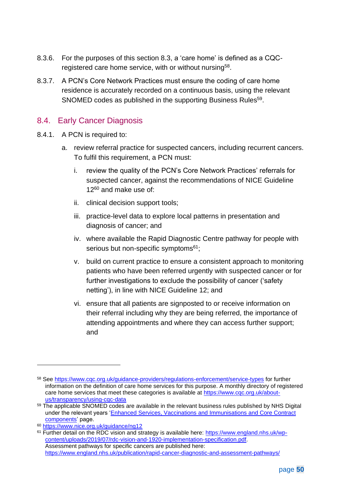- 8.3.6. For the purposes of this section [8.3,](#page-48-1) a 'care home' is defined as a CQCregistered care home service, with or without nursing<sup>58</sup>.
- 8.3.7. A PCN's Core Network Practices must ensure the coding of care home residence is accurately recorded on a continuous basis, using the relevant SNOMED codes as published in the supporting Business Rules<sup>59</sup>.

### 8.4. Early Cancer Diagnosis

- <span id="page-50-3"></span><span id="page-50-2"></span><span id="page-50-0"></span>8.4.1. A PCN is required to:
	- a. review referral practice for suspected cancers, including recurrent cancers. To fulfil this requirement, a PCN must:
		- i. review the quality of the PCN's Core Network Practices' referrals for suspected cancer, against the recommendations of NICE Guideline 12<sup>60</sup> and make use of:
		- ii. clinical decision support tools;
		- iii. practice-level data to explore local patterns in presentation and diagnosis of cancer; and
		- iv. where available the Rapid Diagnostic Centre pathway for people with serious but non-specific symptoms<sup>61</sup>;
		- v. build on current practice to ensure a consistent approach to monitoring patients who have been referred urgently with suspected cancer or for further investigations to exclude the possibility of cancer ('safety netting'), in line with NICE Guideline 12; and
		- vi. ensure that all patients are signposted to or receive information on their referral including why they are being referred, the importance of attending appointments and where they can access further support; and

<span id="page-50-1"></span><sup>58</sup> See<https://www.cqc.org.uk/guidance-providers/regulations-enforcement/service-types> for further information on the definition of care home services for this purpose. A monthly directory of registered care home services that meet these categories is available at [https://www.cqc.org.uk/about](https://www.cqc.org.uk/about-us/transparency/using-cqc-data)[us/transparency/using-cqc-data](https://www.cqc.org.uk/about-us/transparency/using-cqc-data)

<sup>&</sup>lt;sup>59</sup> The applicable SNOMED codes are available in the relevant business rules published by NHS Digital under the relevant years ['Enhanced Services, Vaccinations and Immunisations and Core Contract](https://digital.nhs.uk/data-and-information/data-collections-and-data-sets/data-collections/quality-and-outcomes-framework-qof)  [components'](https://digital.nhs.uk/data-and-information/data-collections-and-data-sets/data-collections/quality-and-outcomes-framework-qof) page.

<sup>60</sup> <https://www.nice.org.uk/guidance/ng12>

<sup>61</sup> Further detail on the RDC vision and strategy is available here: [https://www.england.nhs.uk/wp](https://www.england.nhs.uk/wp-content/uploads/2019/07/rdc-vision-and-1920-implementation-specification.pdf)[content/uploads/2019/07/rdc-vision-and-1920-implementation-specification.pdf.](https://www.england.nhs.uk/wp-content/uploads/2019/07/rdc-vision-and-1920-implementation-specification.pdf) Assessment pathways for specific cancers are published here: <https://www.england.nhs.uk/publication/rapid-cancer-diagnostic-and-assessment-pathways/>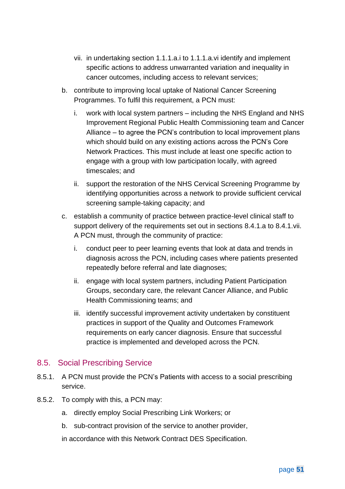- <span id="page-51-0"></span>vii. in undertaking section [1.1.1.a.i](#page-50-0) to [1.1.1.a.vi](#page-50-1) identify and implement specific actions to address unwarranted variation and inequality in cancer outcomes, including access to relevant services;
- b. contribute to improving local uptake of National Cancer Screening Programmes. To fulfil this requirement, a PCN must:
	- i. work with local system partners including the NHS England and NHS Improvement Regional Public Health Commissioning team and Cancer Alliance – to agree the PCN's contribution to local improvement plans which should build on any existing actions across the PCN's Core Network Practices. This must include at least one specific action to engage with a group with low participation locally, with agreed timescales; and
	- ii. support the restoration of the NHS Cervical Screening Programme by identifying opportunities across a network to provide sufficient cervical screening sample-taking capacity; and
- c. establish a community of practice between practice-level clinical staff to support delivery of the requirements set out in sections [8.4.1.](#page-50-2)[a](#page-50-3) to [8.4.1](#page-50-2)[.vii.](#page-51-0) A PCN must, through the community of practice:
	- i. conduct peer to peer learning events that look at data and trends in diagnosis across the PCN, including cases where patients presented repeatedly before referral and late diagnoses;
	- ii. engage with local system partners, including Patient Participation Groups, secondary care, the relevant Cancer Alliance, and Public Health Commissioning teams; and
	- iii. identify successful improvement activity undertaken by constituent practices in support of the Quality and Outcomes Framework requirements on early cancer diagnosis. Ensure that successful practice is implemented and developed across the PCN.

#### 8.5. Social Prescribing Service

- 8.5.1. A PCN must provide the PCN's Patients with access to a social prescribing service.
- 8.5.2. To comply with this, a PCN may:
	- a. directly employ Social Prescribing Link Workers; or
	- b. sub-contract provision of the service to another provider,

in accordance with this Network Contract DES Specification.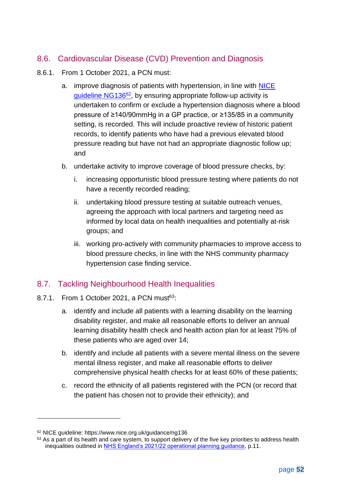# 8.6. Cardiovascular Disease (CVD) Prevention and Diagnosis

- 8.6.1. From 1 October 2021, a PCN must:
	- a. improve diagnosis of patients with hypertension, in line with NICE guideline NG136<sup>62</sup>, by ensuring appropriate follow-up activity is undertaken to confirm or exclude a hypertension diagnosis where a blood pressure of ≥140/90mmHg in a GP practice, or ≥135/85 in a community setting, is recorded. This will include proactive review of historic patient records, to identify patients who have had a previous elevated blood pressure reading but have not had an appropriate diagnostic follow up; and
	- b. undertake activity to improve coverage of blood pressure checks, by:
		- increasing opportunistic blood pressure testing where patients do not have a recently recorded reading;
		- ii. undertaking blood pressure testing at suitable outreach venues, agreeing the approach with local partners and targeting need as informed by local data on health inequalities and potentially at-risk groups; and
		- iii. working pro-actively with community pharmacies to improve access to blood pressure checks, in line with the NHS community pharmacy hypertension case finding service.

### 8.7. Tackling Neighbourhood Health Inequalities

- 8.7.1. From 1 October 2021, a PCN must $63$ :
	- a. identify and include all patients with a learning disability on the learning disability register, and make all reasonable efforts to deliver an annual learning disability health check and health action plan for at least 75% of these patients who are aged over 14;
	- b. identify and include all patients with a severe mental illness on the severe mental illness register, and make all reasonable efforts to deliver comprehensive physical health checks for at least 60% of these patients;
	- c. record the ethnicity of all patients registered with the PCN (or record that the patient has chosen not to provide their ethnicity); and

<sup>62</sup> NICE guideline: https://www.nice.org.uk/guidance/ng136

 $63$  As a part of its health and care system, to support delivery of the five key priorities to address health inequalities outlined in [NHS England's 2021/22 operational planning guidance,](https://www.england.nhs.uk/publication/implementation-guidance/) p.11.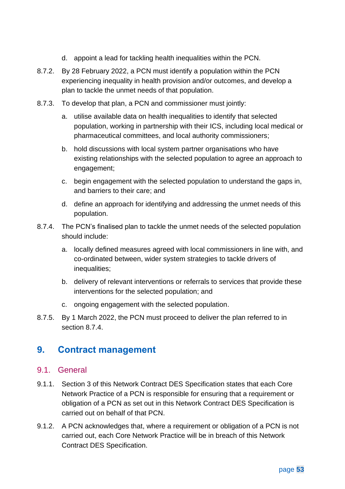- d. appoint a lead for tackling health inequalities within the PCN.
- 8.7.2. By 28 February 2022, a PCN must identify a population within the PCN experiencing inequality in health provision and/or outcomes, and develop a plan to tackle the unmet needs of that population.
- 8.7.3. To develop that plan, a PCN and commissioner must jointly:
	- a. utilise available data on health inequalities to identify that selected population, working in partnership with their ICS, including local medical or pharmaceutical committees, and local authority commissioners;
	- b. hold discussions with local system partner organisations who have existing relationships with the selected population to agree an approach to engagement;
	- c. begin engagement with the selected population to understand the gaps in, and barriers to their care; and
	- d. define an approach for identifying and addressing the unmet needs of this population.
- 8.7.4. The PCN's finalised plan to tackle the unmet needs of the selected population should include:
	- a. locally defined measures agreed with local commissioners in line with, and co-ordinated between, wider system strategies to tackle drivers of inequalities;
	- b. delivery of relevant interventions or referrals to services that provide these interventions for the selected population; and
	- c. ongoing engagement with the selected population.
- 8.7.5. By 1 March 2022, the PCN must proceed to deliver the plan referred to in section 8.7.4.

# <span id="page-53-0"></span>**9. Contract management**

#### 9.1. General

- 9.1.1. Section [3](#page-5-0) of this Network Contract DES Specification states that each Core Network Practice of a PCN is responsible for ensuring that a requirement or obligation of a PCN as set out in this Network Contract DES Specification is carried out on behalf of that PCN.
- 9.1.2. A PCN acknowledges that, where a requirement or obligation of a PCN is not carried out, each Core Network Practice will be in breach of this Network Contract DES Specification.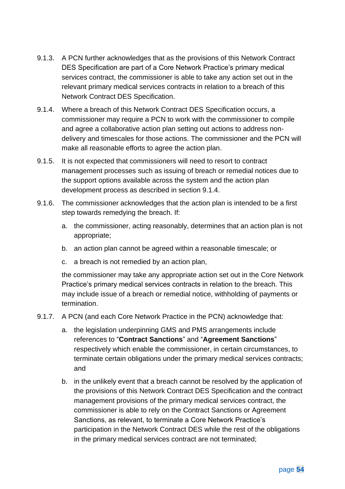- 9.1.3. A PCN further acknowledges that as the provisions of this Network Contract DES Specification are part of a Core Network Practice's primary medical services contract, the commissioner is able to take any action set out in the relevant primary medical services contracts in relation to a breach of this Network Contract DES Specification.
- <span id="page-54-0"></span>9.1.4. Where a breach of this Network Contract DES Specification occurs, a commissioner may require a PCN to work with the commissioner to compile and agree a collaborative action plan setting out actions to address nondelivery and timescales for those actions. The commissioner and the PCN will make all reasonable efforts to agree the action plan.
- 9.1.5. It is not expected that commissioners will need to resort to contract management processes such as issuing of breach or remedial notices due to the support options available across the system and the action plan development process as described in section [9.1.4.](#page-54-0)
- 9.1.6. The commissioner acknowledges that the action plan is intended to be a first step towards remedying the breach. If:
	- a. the commissioner, acting reasonably, determines that an action plan is not appropriate;
	- b. an action plan cannot be agreed within a reasonable timescale; or
	- c. a breach is not remedied by an action plan,

the commissioner may take any appropriate action set out in the Core Network Practice's primary medical services contracts in relation to the breach. This may include issue of a breach or remedial notice, withholding of payments or termination.

- 9.1.7. A PCN (and each Core Network Practice in the PCN) acknowledge that:
	- a. the legislation underpinning GMS and PMS arrangements include references to "**Contract Sanctions**" and "**Agreement Sanctions**" respectively which enable the commissioner, in certain circumstances, to terminate certain obligations under the primary medical services contracts; and
	- b. in the unlikely event that a breach cannot be resolved by the application of the provisions of this Network Contract DES Specification and the contract management provisions of the primary medical services contract, the commissioner is able to rely on the Contract Sanctions or Agreement Sanctions, as relevant, to terminate a Core Network Practice's participation in the Network Contract DES while the rest of the obligations in the primary medical services contract are not terminated;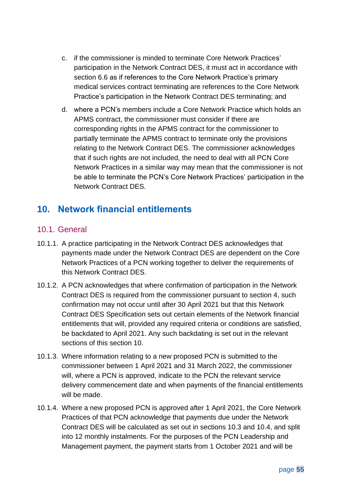- c. if the commissioner is minded to terminate Core Network Practices' participation in the Network Contract DES, it must act in accordance with section [6.6](#page-28-0) as if references to the Core Network Practice's primary medical services contract terminating are references to the Core Network Practice's participation in the Network Contract DES terminating; and
- d. where a PCN's members include a Core Network Practice which holds an APMS contract, the commissioner must consider if there are corresponding rights in the APMS contract for the commissioner to partially terminate the APMS contract to terminate only the provisions relating to the Network Contract DES. The commissioner acknowledges that if such rights are not included, the need to deal with all PCN Core Network Practices in a similar way may mean that the commissioner is not be able to terminate the PCN's Core Network Practices' participation in the Network Contract DES.

# <span id="page-55-0"></span>**10. Network financial entitlements**

### 10.1. General

- 10.1.1. A practice participating in the Network Contract DES acknowledges that payments made under the Network Contract DES are dependent on the Core Network Practices of a PCN working together to deliver the requirements of this Network Contract DES.
- 10.1.2. A PCN acknowledges that where confirmation of participation in the Network Contract DES is required from the commissioner pursuant to section 4, such confirmation may not occur until after 30 April 2021 but that this Network Contract DES Specification sets out certain elements of the Network financial entitlements that will, provided any required criteria or conditions are satisfied, be backdated to April 2021. Any such backdating is set out in the relevant sections of this section [10.](#page-55-0)
- 10.1.3. Where information relating to a new proposed PCN is submitted to the commissioner between 1 April 2021 and 31 March 2022, the commissioner will, where a PCN is approved, indicate to the PCN the relevant service delivery commencement date and when payments of the financial entitlements will be made.
- <span id="page-55-1"></span>10.1.4. Where a new proposed PCN is approved after 1 April 2021, the Core Network Practices of that PCN acknowledge that payments due under the Network Contract DES will be calculated as set out in sections [10.3](#page-59-0) and [10.4,](#page-60-0) and split into 12 monthly instalments. For the purposes of the PCN Leadership and Management payment, the payment starts from 1 October 2021 and will be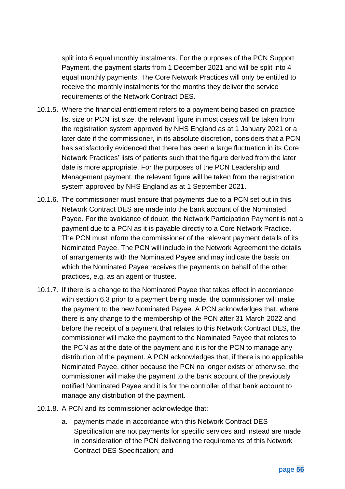split into 6 equal monthly instalments. For the purposes of the PCN Support Payment, the payment starts from 1 December 2021 and will be split into 4 equal monthly payments. The Core Network Practices will only be entitled to receive the monthly instalments for the months they deliver the service requirements of the Network Contract DES.

- 10.1.5. Where the financial entitlement refers to a payment being based on practice list size or PCN list size, the relevant figure in most cases will be taken from the registration system approved by NHS England as at 1 January 2021 or a later date if the commissioner, in its absolute discretion, considers that a PCN has satisfactorily evidenced that there has been a large fluctuation in its Core Network Practices' lists of patients such that the figure derived from the later date is more appropriate. For the purposes of the PCN Leadership and Management payment, the relevant figure will be taken from the registration system approved by NHS England as at 1 September 2021.
- 10.1.6. The commissioner must ensure that payments due to a PCN set out in this Network Contract DES are made into the bank account of the Nominated Payee. For the avoidance of doubt, the Network Participation Payment is not a payment due to a PCN as it is payable directly to a Core Network Practice. The PCN must inform the commissioner of the relevant payment details of its Nominated Payee. The PCN will include in the Network Agreement the details of arrangements with the Nominated Payee and may indicate the basis on which the Nominated Payee receives the payments on behalf of the other practices, e.g. as an agent or trustee.
- 10.1.7. If there is a change to the Nominated Payee that takes effect in accordance with section [6.3](#page-26-0) prior to a payment being made, the commissioner will make the payment to the new Nominated Payee. A PCN acknowledges that, where there is any change to the membership of the PCN after 31 March 2022 and before the receipt of a payment that relates to this Network Contract DES, the commissioner will make the payment to the Nominated Payee that relates to the PCN as at the date of the payment and it is for the PCN to manage any distribution of the payment. A PCN acknowledges that, if there is no applicable Nominated Payee, either because the PCN no longer exists or otherwise, the commissioner will make the payment to the bank account of the previously notified Nominated Payee and it is for the controller of that bank account to manage any distribution of the payment.
- 10.1.8. A PCN and its commissioner acknowledge that:
	- a. payments made in accordance with this Network Contract DES Specification are not payments for specific services and instead are made in consideration of the PCN delivering the requirements of this Network Contract DES Specification; and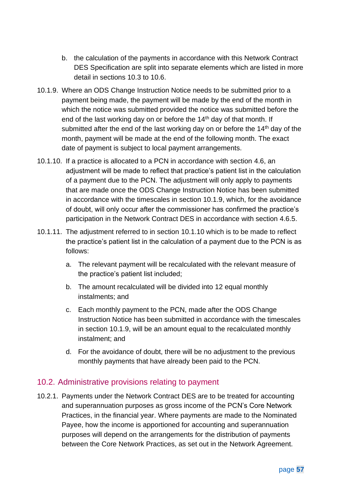- b. the calculation of the payments in accordance with this Network Contract DES Specification are split into separate elements which are listed in more detail in sections [10.3](#page-59-0) to [10.6.](#page-70-0)
- <span id="page-57-1"></span>10.1.9. Where an ODS Change Instruction Notice needs to be submitted prior to a payment being made, the payment will be made by the end of the month in which the notice was submitted provided the notice was submitted before the end of the last working day on or before the  $14<sup>th</sup>$  day of that month. If submitted after the end of the last working day on or before the  $14<sup>th</sup>$  day of the month, payment will be made at the end of the following month. The exact date of payment is subject to local payment arrangements.
- <span id="page-57-2"></span>10.1.10. If a practice is allocated to a PCN in accordance with section [4.6,](#page-12-0) an adjustment will be made to reflect that practice's patient list in the calculation of a payment due to the PCN. The adjustment will only apply to payments that are made once the ODS Change Instruction Notice has been submitted in accordance with the timescales in section [10.1.9,](#page-57-1) which, for the avoidance of doubt, will only occur after the commissioner has confirmed the practice's participation in the Network Contract DES in accordance with section [4.6.5.](#page-13-0)
- 10.1.11. The adjustment referred to in section [10.1.10](#page-57-2) which is to be made to reflect the practice's patient list in the calculation of a payment due to the PCN is as follows:
	- a. The relevant payment will be recalculated with the relevant measure of the practice's patient list included;
	- b. The amount recalculated will be divided into 12 equal monthly instalments; and
	- c. Each monthly payment to the PCN, made after the ODS Change Instruction Notice has been submitted in accordance with the timescales in section [10.1.9,](#page-57-1) will be an amount equal to the recalculated monthly instalment; and
	- d. For the avoidance of doubt, there will be no adjustment to the previous monthly payments that have already been paid to the PCN.

#### <span id="page-57-0"></span>10.2. Administrative provisions relating to payment

10.2.1. Payments under the Network Contract DES are to be treated for accounting and superannuation purposes as gross income of the PCN's Core Network Practices, in the financial year. Where payments are made to the Nominated Payee, how the income is apportioned for accounting and superannuation purposes will depend on the arrangements for the distribution of payments between the Core Network Practices, as set out in the Network Agreement.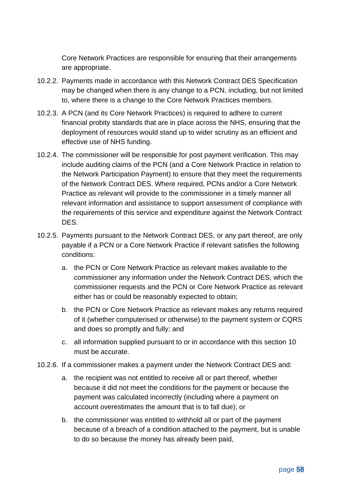Core Network Practices are responsible for ensuring that their arrangements are appropriate.

- 10.2.2. Payments made in accordance with this Network Contract DES Specification may be changed when there is any change to a PCN, including, but not limited to, where there is a change to the Core Network Practices members.
- 10.2.3. A PCN (and its Core Network Practices) is required to adhere to current financial probity standards that are in place across the NHS, ensuring that the deployment of resources would stand up to wider scrutiny as an efficient and effective use of NHS funding.
- 10.2.4. The commissioner will be responsible for post payment verification. This may include auditing claims of the PCN (and a Core Network Practice in relation to the Network Participation Payment) to ensure that they meet the requirements of the Network Contract DES. Where required, PCNs and/or a Core Network Practice as relevant will provide to the commissioner in a timely manner all relevant information and assistance to support assessment of compliance with the requirements of this service and expenditure against the Network Contract DES.
- 10.2.5. Payments pursuant to the Network Contract DES, or any part thereof, are only payable if a PCN or a Core Network Practice if relevant satisfies the following conditions:
	- a. the PCN or Core Network Practice as relevant makes available to the commissioner any information under the Network Contract DES, which the commissioner requests and the PCN or Core Network Practice as relevant either has or could be reasonably expected to obtain;
	- b. the PCN or Core Network Practice as relevant makes any returns required of it (whether computerised or otherwise) to the payment system or CQRS and does so promptly and fully; and
	- c. all information supplied pursuant to or in accordance with this section [10](#page-55-0) must be accurate.
- 10.2.6. If a commissioner makes a payment under the Network Contract DES and:
	- a. the recipient was not entitled to receive all or part thereof, whether because it did not meet the conditions for the payment or because the payment was calculated incorrectly (including where a payment on account overestimates the amount that is to fall due); or
	- b. the commissioner was entitled to withhold all or part of the payment because of a breach of a condition attached to the payment, but is unable to do so because the money has already been paid,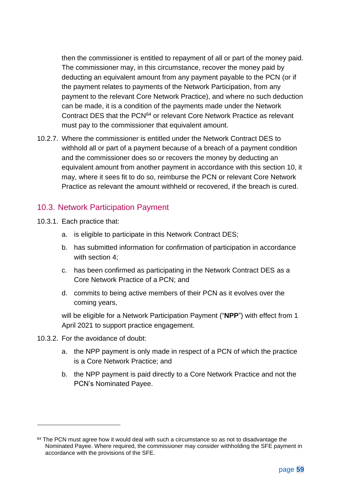then the commissioner is entitled to repayment of all or part of the money paid. The commissioner may, in this circumstance, recover the money paid by deducting an equivalent amount from any payment payable to the PCN (or if the payment relates to payments of the Network Participation, from any payment to the relevant Core Network Practice), and where no such deduction can be made, it is a condition of the payments made under the Network Contract DES that the PCN<sup>64</sup> or relevant Core Network Practice as relevant must pay to the commissioner that equivalent amount.

10.2.7. Where the commissioner is entitled under the Network Contract DES to withhold all or part of a payment because of a breach of a payment condition and the commissioner does so or recovers the money by deducting an equivalent amount from another payment in accordance with this section [10,](#page-55-0) it may, where it sees fit to do so, reimburse the PCN or relevant Core Network Practice as relevant the amount withheld or recovered, if the breach is cured.

#### <span id="page-59-0"></span>10.3. Network Participation Payment

- 10.3.1. Each practice that:
	- a. is eligible to participate in this Network Contract DES;
	- b. has submitted information for confirmation of participation in accordance with section [4;](#page-6-0)
	- c. has been confirmed as participating in the Network Contract DES as a Core Network Practice of a PCN; and
	- d. commits to being active members of their PCN as it evolves over the coming years,

will be eligible for a Network Participation Payment ("**NPP**") with effect from 1 April 2021 to support practice engagement.

- 10.3.2. For the avoidance of doubt:
	- a. the NPP payment is only made in respect of a PCN of which the practice is a Core Network Practice; and
	- b. the NPP payment is paid directly to a Core Network Practice and not the PCN's Nominated Payee.

<sup>&</sup>lt;sup>64</sup> The PCN must agree how it would deal with such a circumstance so as not to disadvantage the Nominated Payee. Where required, the commissioner may consider withholding the SFE payment in accordance with the provisions of the SFE.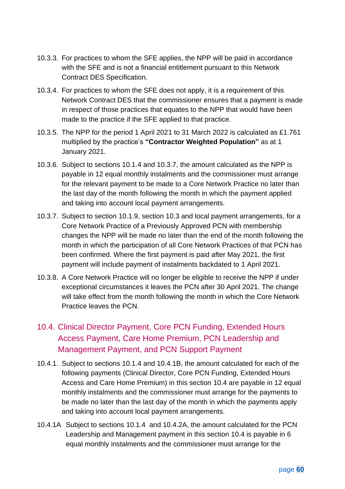- 10.3.3. For practices to whom the SFE applies, the NPP will be paid in accordance with the SFE and is not a financial entitlement pursuant to this Network Contract DES Specification.
- 10.3.4. For practices to whom the SFE does not apply, it is a requirement of this Network Contract DES that the commissioner ensures that a payment is made in respect of those practices that equates to the NPP that would have been made to the practice if the SFE applied to that practice.
- 10.3.5. The NPP for the period 1 April 2021 to 31 March 2022 is calculated as £1.761 multiplied by the practice's **"Contractor Weighted Population"** as at 1 January 2021.
- 10.3.6. Subject to sections [10.1.4](#page-55-1) and [10.3.7,](#page-60-1) the amount calculated as the NPP is payable in 12 equal monthly instalments and the commissioner must arrange for the relevant payment to be made to a Core Network Practice no later than the last day of the month following the month in which the payment applied and taking into account local payment arrangements.
- <span id="page-60-1"></span>10.3.7. Subject to section [10.1.9,](#page-57-1) section [10.3](#page-59-0) and local payment arrangements, for a Core Network Practice of a Previously Approved PCN with membership changes the NPP will be made no later than the end of the month following the month in which the participation of all Core Network Practices of that PCN has been confirmed. Where the first payment is paid after May 2021, the first payment will include payment of instalments backdated to 1 April 2021.
- 10.3.8. A Core Network Practice will no longer be eligible to receive the NPP if under exceptional circumstances it leaves the PCN after 30 April 2021. The change will take effect from the month following the month in which the Core Network Practice leaves the PCN.

## <span id="page-60-0"></span>10.4. Clinical Director Payment, Core PCN Funding, Extended Hours Access Payment, Care Home Premium, PCN Leadership and Management Payment, and PCN Support Payment

- 10.4.1. Subject to sections [10.1.4](#page-55-1) and [10.4.1B,](#page-61-0) the amount calculated for each of the following payments (Clinical Director, Core PCN Funding, Extended Hours Access and Care Home Premium) in this section [10.4](#page-60-0) are payable in 12 equal monthly instalments and the commissioner must arrange for the payments to be made no later than the last day of the month in which the payments apply and taking into account local payment arrangements.
- 10.4.1A Subject to sections [10.1.4](#page-55-1) and [10.4.2A,](#page-61-1) the amount calculated for the PCN Leadership and Management payment in this section [10.4](#page-60-0) is payable in 6 equal monthly instalments and the commissioner must arrange for the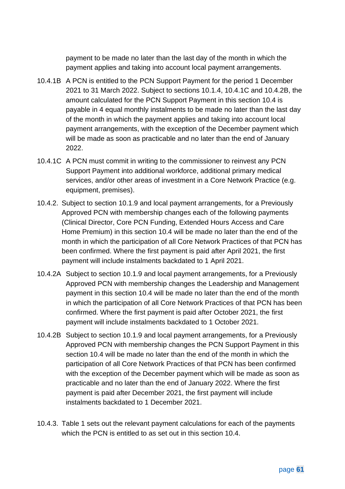payment to be made no later than the last day of the month in which the payment applies and taking into account local payment arrangements.

- <span id="page-61-0"></span>10.4.1B A PCN is entitled to the PCN Support Payment for the period 1 December 2021 to 31 March 2022. Subject to sections 10.1.4, 10.4.1C and 10.4.2B, the amount calculated for the PCN Support Payment in this section 10.4 is payable in 4 equal monthly instalments to be made no later than the last day of the month in which the payment applies and taking into account local payment arrangements, with the exception of the December payment which will be made as soon as practicable and no later than the end of January 2022.
- 10.4.1C A PCN must commit in writing to the commissioner to reinvest any PCN Support Payment into additional workforce, additional primary medical services, and/or other areas of investment in a Core Network Practice (e.g. equipment, premises).
- 10.4.2. Subject to section [10.1.9](#page-57-1) and local payment arrangements, for a Previously Approved PCN with membership changes each of the following payments (Clinical Director, Core PCN Funding, Extended Hours Access and Care Home Premium) in this section [10.4](#page-60-0) will be made no later than the end of the month in which the participation of all Core Network Practices of that PCN has been confirmed. Where the first payment is paid after April 2021, the first payment will include instalments backdated to 1 April 2021.
- <span id="page-61-1"></span>10.4.2A Subject to section [10.1.9](#page-57-1) and local payment arrangements, for a Previously Approved PCN with membership changes the Leadership and Management payment in this section [10.4](#page-60-0) will be made no later than the end of the month in which the participation of all Core Network Practices of that PCN has been confirmed. Where the first payment is paid after October 2021, the first payment will include instalments backdated to 1 October 2021.
- 10.4.2B Subject to section [10.1.9](#page-57-1) and local payment arrangements, for a Previously Approved PCN with membership changes the PCN Support Payment in this section [10.4](#page-60-0) will be made no later than the end of the month in which the participation of all Core Network Practices of that PCN has been confirmed with the exception of the December payment which will be made as soon as practicable and no later than the end of January 2022. Where the first payment is paid after December 2021, the first payment will include instalments backdated to 1 December 2021.
- 10.4.3. Table 1 sets out the relevant payment calculations for each of the payments which the PCN is entitled to as set out in this section [10.4.](#page-60-0)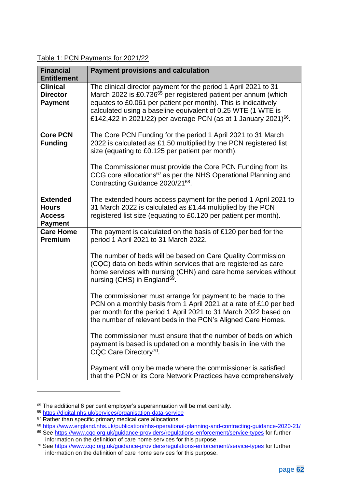Table 1: PCN Payments for 2021/22

| <b>Financial</b><br><b>Entitlement</b>                             | <b>Payment provisions and calculation</b>                                                                                                                                                                                                                                                                                                                                                                                                                                                                                                                                                                                                                                                                                                                                                                                                                                                                                                    |
|--------------------------------------------------------------------|----------------------------------------------------------------------------------------------------------------------------------------------------------------------------------------------------------------------------------------------------------------------------------------------------------------------------------------------------------------------------------------------------------------------------------------------------------------------------------------------------------------------------------------------------------------------------------------------------------------------------------------------------------------------------------------------------------------------------------------------------------------------------------------------------------------------------------------------------------------------------------------------------------------------------------------------|
| <b>Clinical</b><br><b>Director</b><br><b>Payment</b>               | The clinical director payment for the period 1 April 2021 to 31<br>March 2022 is £0.736 <sup>65</sup> per registered patient per annum (which<br>equates to £0.061 per patient per month). This is indicatively<br>calculated using a baseline equivalent of 0.25 WTE (1 WTE is<br>£142,422 in 2021/22) per average PCN (as at 1 January 2021) <sup>66</sup> .                                                                                                                                                                                                                                                                                                                                                                                                                                                                                                                                                                               |
| <b>Core PCN</b><br><b>Funding</b>                                  | The Core PCN Funding for the period 1 April 2021 to 31 March<br>2022 is calculated as £1.50 multiplied by the PCN registered list<br>size (equating to £0.125 per patient per month).<br>The Commissioner must provide the Core PCN Funding from its<br>CCG core allocations <sup>67</sup> as per the NHS Operational Planning and<br>Contracting Guidance 2020/2168.                                                                                                                                                                                                                                                                                                                                                                                                                                                                                                                                                                        |
| <b>Extended</b><br><b>Hours</b><br><b>Access</b><br><b>Payment</b> | The extended hours access payment for the period 1 April 2021 to<br>31 March 2022 is calculated as £1.44 multiplied by the PCN<br>registered list size (equating to £0.120 per patient per month).                                                                                                                                                                                                                                                                                                                                                                                                                                                                                                                                                                                                                                                                                                                                           |
| <b>Care Home</b><br><b>Premium</b>                                 | The payment is calculated on the basis of £120 per bed for the<br>period 1 April 2021 to 31 March 2022.<br>The number of beds will be based on Care Quality Commission<br>(CQC) data on beds within services that are registered as care<br>home services with nursing (CHN) and care home services without<br>nursing (CHS) in England <sup>69</sup> .<br>The commissioner must arrange for payment to be made to the<br>PCN on a monthly basis from 1 April 2021 at a rate of £10 per bed<br>per month for the period 1 April 2021 to 31 March 2022 based on<br>the number of relevant beds in the PCN's Aligned Care Homes.<br>The commissioner must ensure that the number of beds on which<br>payment is based is updated on a monthly basis in line with the<br>CQC Care Directory <sup>70</sup> .<br>Payment will only be made where the commissioner is satisfied<br>that the PCN or its Core Network Practices have comprehensively |

<sup>65</sup> The additional 6 per cent employer's superannuation will be met centrally.

<sup>66</sup> <https://digital.nhs.uk/services/organisation-data-service>

<sup>&</sup>lt;sup>67</sup> Rather than specific primary medical care allocations.

<sup>68</sup> <https://www.england.nhs.uk/publication/nhs-operational-planning-and-contracting-guidance-2020-21/>

<sup>69</sup> See<https://www.cqc.org.uk/guidance-providers/regulations-enforcement/service-types> for further information on the definition of care home services for this purpose.

<sup>70</sup> See [https://www.cqc.org.uk/guidance-providers/regulations-enforcement/service-types](https://protect-eu.mimecast.com/s/AhPCCy8yKumgLjytQEbKz?domain=cqc.org.uk) for further information on the definition of care home services for this purpose.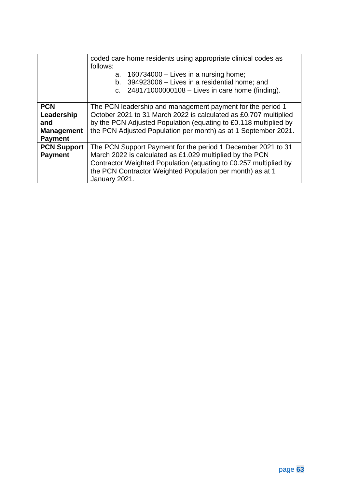<span id="page-63-0"></span>

|                    | coded care home residents using appropriate clinical codes as                                                                                                          |  |  |  |  |  |  |
|--------------------|------------------------------------------------------------------------------------------------------------------------------------------------------------------------|--|--|--|--|--|--|
|                    | follows:<br>160734000 $-$ Lives in a nursing home;<br>a.<br>394923006 - Lives in a residential home; and<br>b.<br>c. $248171000000108 -$ Lives in care home (finding). |  |  |  |  |  |  |
| <b>PCN</b>         | The PCN leadership and management payment for the period 1                                                                                                             |  |  |  |  |  |  |
| Leadership         | October 2021 to 31 March 2022 is calculated as £0.707 multiplied                                                                                                       |  |  |  |  |  |  |
| and                | by the PCN Adjusted Population (equating to £0.118 multiplied by                                                                                                       |  |  |  |  |  |  |
| <b>Management</b>  | the PCN Adjusted Population per month) as at 1 September 2021.                                                                                                         |  |  |  |  |  |  |
| <b>Payment</b>     |                                                                                                                                                                        |  |  |  |  |  |  |
| <b>PCN Support</b> | The PCN Support Payment for the period 1 December 2021 to 31                                                                                                           |  |  |  |  |  |  |
| <b>Payment</b>     | March 2022 is calculated as £1.029 multiplied by the PCN                                                                                                               |  |  |  |  |  |  |
|                    | Contractor Weighted Population (equating to £0.257 multiplied by                                                                                                       |  |  |  |  |  |  |
|                    | the PCN Contractor Weighted Population per month) as at 1                                                                                                              |  |  |  |  |  |  |
|                    | January 2021.                                                                                                                                                          |  |  |  |  |  |  |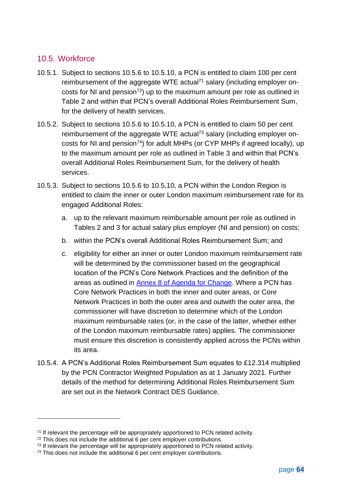### <span id="page-64-0"></span>10.5. Workforce

- <span id="page-64-1"></span>10.5.1. Subject to sections [10.5.6](#page-65-0) to [10.5.10,](#page-70-1) a PCN is entitled to claim 100 per cent reimbursement of the aggregate WTE actual<sup>71</sup> salary (including employer oncosts for NI and pension<sup>72</sup>) up to the maximum amount per role as outlined in Table 2 and within that PCN's overall Additional Roles Reimbursement Sum, for the delivery of health services.
- <span id="page-64-2"></span>10.5.2. Subject to sections [10.5.6](#page-65-0) to [10.5.10,](#page-70-1) a PCN is entitled to claim 50 per cent reimbursement of the aggregate WTE actual<sup>73</sup> salary (including employer oncosts for NI and pension<sup>74</sup>) for adult MHPs (or CYP MHPs if agreed locally), up to the maximum amount per role as outlined in Table 3 and within that PCN's overall Additional Roles Reimbursement Sum, for the delivery of health services.
- <span id="page-64-3"></span>10.5.3. Subject to sections [10.5.6](#page-65-0) to [10.5.10,](#page-70-1) a PCN within the London Region is entitled to claim the inner or outer London maximum reimbursement rate for its engaged Additional Roles:
	- a. up to the relevant maximum reimbursable amount per role as outlined in Tables 2 and 3 for actual salary plus employer (NI and pension) on costs;
	- b. within the PCN's overall Additional Roles Reimbursement Sum; and
	- c. eligibility for either an inner or outer London maximum reimbursement rate will be determined by the commissioner based on the geographical location of the PCN's Core Network Practices and the definition of the areas as outlined in [Annex 8 of Agenda for Change.](https://www.nhsemployers.org/tchandbook/annex-4-to-10/annex-8-high-cost-area-payment-zones) Where a PCN has Core Network Practices in both the inner and outer areas, or Core Network Practices in both the outer area and outwith the outer area, the commissioner will have discretion to determine which of the London maximum reimbursable rates (or, in the case of the latter, whether either of the London maximum reimbursable rates) applies. The commissioner must ensure this discretion is consistently applied across the PCNs within its area.
- 10.5.4. A PCN's Additional Roles Reimbursement Sum equates to £12.314 multiplied by the PCN Contractor Weighted Population as at 1 January 2021. Further details of the method for determining Additional Roles Reimbursement Sum are set out in the Network Contract DES Guidance.

<sup>&</sup>lt;sup>71</sup> If relevant the percentage will be appropriately apportioned to PCN related activity.

<sup>72</sup> This does not include the additional 6 per cent employer contributions.

<sup>&</sup>lt;sup>73</sup> If relevant the percentage will be appropriately apportioned to PCN related activity.

<sup>&</sup>lt;sup>74</sup> This does not include the additional 6 per cent employer contributions.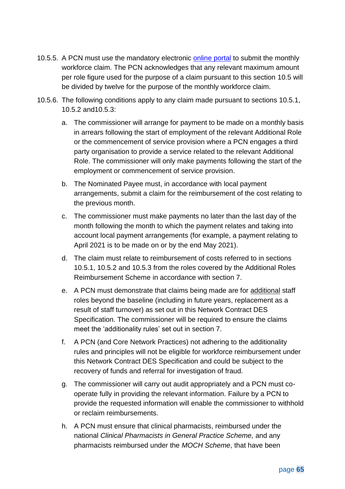- 10.5.5. A PCN must use the mandatory electronic [online portal](https://www.primarycareworkforce.nhs.uk/) to submit the monthly workforce claim. The PCN acknowledges that any relevant maximum amount per role figure used for the purpose of a claim pursuant to this section [10.5](#page-64-0) will be divided by twelve for the purpose of the monthly workforce claim.
- <span id="page-65-0"></span>10.5.6. The following conditions apply to any claim made pursuant to sections [10.5.1,](#page-64-1) [10.5.2](#page-64-2) an[d10.5.3:](#page-64-3)
	- a. The commissioner will arrange for payment to be made on a monthly basis in arrears following the start of employment of the relevant Additional Role or the commencement of service provision where a PCN engages a third party organisation to provide a service related to the relevant Additional Role. The commissioner will only make payments following the start of the employment or commencement of service provision.
	- b. The Nominated Payee must, in accordance with local payment arrangements, submit a claim for the reimbursement of the cost relating to the previous month.
	- c. The commissioner must make payments no later than the last day of the month following the month to which the payment relates and taking into account local payment arrangements (for example, a payment relating to April 2021 is to be made on or by the end May 2021).
	- d. The claim must relate to reimbursement of costs referred to in sections [10.5.1,](#page-64-1) [10.5.2](#page-64-2) and [10.5.3](#page-64-3) from the roles covered by the Additional Roles Reimbursement Scheme in accordance with section [7.](#page-34-0)
	- e. A PCN must demonstrate that claims being made are for additional staff roles beyond the baseline (including in future years, replacement as a result of staff turnover) as set out in this Network Contract DES Specification. The commissioner will be required to ensure the claims meet the 'additionality rules' set out in section [7.](#page-34-0)
	- f. A PCN (and Core Network Practices) not adhering to the additionality rules and principles will not be eligible for workforce reimbursement under this Network Contract DES Specification and could be subject to the recovery of funds and referral for investigation of fraud.
	- g. The commissioner will carry out audit appropriately and a PCN must cooperate fully in providing the relevant information. Failure by a PCN to provide the requested information will enable the commissioner to withhold or reclaim reimbursements.
	- h. A PCN must ensure that clinical pharmacists, reimbursed under the national *Clinical Pharmacists in General Practice Scheme,* and any pharmacists reimbursed under the *MOCH Scheme*, that have been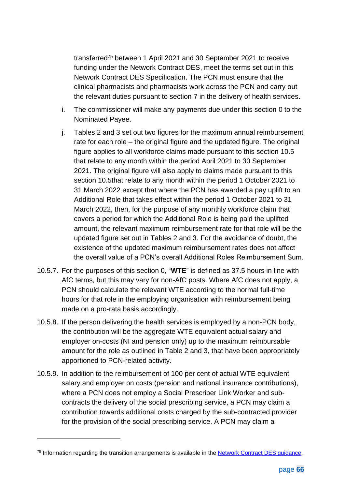transferred<sup>75</sup> between 1 April 2021 and 30 September 2021 to receive funding under the Network Contract DES, meet the terms set out in this Network Contract DES Specification. The PCN must ensure that the clinical pharmacists and pharmacists work across the PCN and carry out the relevant duties pursuant to section [7](#page-34-0) in the delivery of health services.

- i. The commissioner will make any payments due under this section [0](#page-63-0) to the Nominated Payee.
- j. Tables 2 and 3 set out two figures for the maximum annual reimbursement rate for each role – the original figure and the updated figure. The original figure applies to all workforce claims made pursuant to this section [10.5](#page-64-0) that relate to any month within the period April 2021 to 30 September 2021. The original figure will also apply to claims made pursuant to this section [10.5t](#page-64-0)hat relate to any month within the period 1 October 2021 to 31 March 2022 except that where the PCN has awarded a pay uplift to an Additional Role that takes effect within the period 1 October 2021 to 31 March 2022, then, for the purpose of any monthly workforce claim that covers a period for which the Additional Role is being paid the uplifted amount, the relevant maximum reimbursement rate for that role will be the updated figure set out in Tables 2 and 3. For the avoidance of doubt, the existence of the updated maximum reimbursement rates does not affect the overall value of a PCN's overall Additional Roles Reimbursement Sum.
- 10.5.7. For the purposes of this section [0,](#page-63-0) "**WTE**" is defined as 37.5 hours in line with AfC terms, but this may vary for non-AfC posts. Where AfC does not apply, a PCN should calculate the relevant WTE according to the normal full-time hours for that role in the employing organisation with reimbursement being made on a pro-rata basis accordingly.
- 10.5.8. If the person delivering the health services is employed by a non-PCN body, the contribution will be the aggregate WTE equivalent actual salary and employer on-costs (NI and pension only) up to the maximum reimbursable amount for the role as outlined in Table 2 and 3, that have been appropriately apportioned to PCN-related activity.
- 10.5.9. In addition to the reimbursement of 100 per cent of actual WTE equivalent salary and employer on costs (pension and national insurance contributions), where a PCN does not employ a Social Prescriber Link Worker and subcontracts the delivery of the social prescribing service, a PCN may claim a contribution towards additional costs charged by the sub-contracted provider for the provision of the social prescribing service. A PCN may claim a

<sup>&</sup>lt;sup>75</sup> Information regarding the transition arrangements is available in the **Network Contract DES** guidance.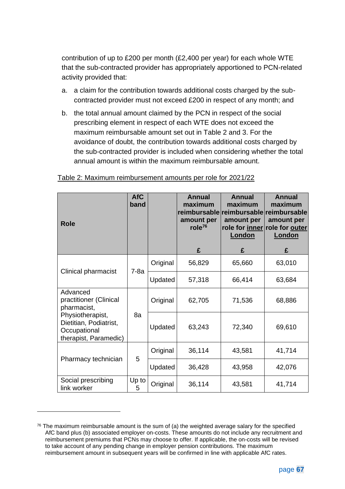contribution of up to £200 per month (£2,400 per year) for each whole WTE that the sub-contracted provider has appropriately apportioned to PCN-related activity provided that:

- a. a claim for the contribution towards additional costs charged by the subcontracted provider must not exceed £200 in respect of any month; and
- b. the total annual amount claimed by the PCN in respect of the social prescribing element in respect of each WTE does not exceed the maximum reimbursable amount set out in Table 2 and 3. For the avoidance of doubt, the contribution towards additional costs charged by the sub-contracted provider is included when considering whether the total annual amount is within the maximum reimbursable amount.

| <b>Role</b>                                                                         | <b>AfC</b><br>band |          | <b>Annual</b><br>maximum<br>amount per<br>role $76$<br>£ | Annual<br>maximum<br>reimbursable reimbursable reimbursable<br>amount per<br>role for inner role for outer<br>London<br>£ | Annual<br>maximum<br>amount per<br>London<br>£ |
|-------------------------------------------------------------------------------------|--------------------|----------|----------------------------------------------------------|---------------------------------------------------------------------------------------------------------------------------|------------------------------------------------|
|                                                                                     | $7-8a$             | Original | 56,829                                                   | 65,660                                                                                                                    | 63,010                                         |
| Clinical pharmacist                                                                 |                    | Updated  | 57,318                                                   | 66,414                                                                                                                    | 63,684                                         |
| Advanced<br>practitioner (Clinical<br>pharmacist,                                   | 8a                 | Original | 62,705                                                   | 71,536                                                                                                                    | 68,886                                         |
| Physiotherapist,<br>Dietitian, Podiatrist,<br>Occupational<br>therapist, Paramedic) |                    | Updated  | 63,243                                                   | 72,340                                                                                                                    | 69,610                                         |
|                                                                                     | 5                  | Original | 36,114                                                   | 43,581                                                                                                                    | 41,714                                         |
| Pharmacy technician                                                                 |                    | Updated  | 36,428                                                   | 43,958                                                                                                                    | 42,076                                         |
| Social prescribing<br>link worker                                                   | Up to<br>5         | Original | 36,114                                                   | 43,581                                                                                                                    | 41,714                                         |

#### Table 2: Maximum reimbursement amounts per role for 2021/22

 $76$  The maximum reimbursable amount is the sum of (a) the weighted average salary for the specified AfC band plus (b) associated employer on-costs. These amounts do not include any recruitment and reimbursement premiums that PCNs may choose to offer. If applicable, the on-costs will be revised to take account of any pending change in employer pension contributions. The maximum reimbursement amount in subsequent years will be confirmed in line with applicable AfC rates.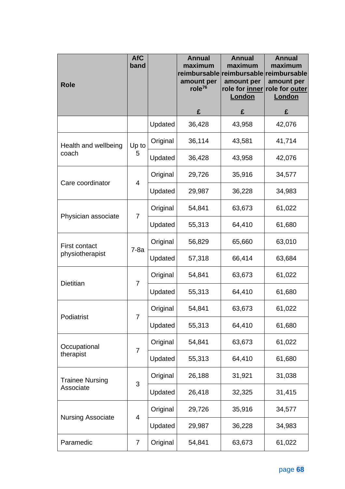| <b>Role</b>                             | <b>AfC</b><br>band |          | <b>Annual</b><br>maximum<br>amount per<br>role $76$ | <b>Annual</b><br>maximum<br>amount per<br>role for inner<br>London | <b>Annual</b><br>maximum<br>amount per<br>role for outer<br>London                                                                                                                           |
|-----------------------------------------|--------------------|----------|-----------------------------------------------------|--------------------------------------------------------------------|----------------------------------------------------------------------------------------------------------------------------------------------------------------------------------------------|
|                                         |                    |          | £                                                   | £                                                                  | £                                                                                                                                                                                            |
|                                         |                    | Updated  | 36,428                                              | 43,958                                                             | 42,076                                                                                                                                                                                       |
| Health and wellbeing                    | Up to              | Original | 36,114                                              | 43,581                                                             | 41,714                                                                                                                                                                                       |
| coach                                   | 5                  | Updated  | 36,428                                              | 43,958                                                             | reimbursable reimbursable reimbursable<br>42,076<br>34,577<br>34,983<br>61,022<br>61,680<br>63,010<br>63,684<br>61,022<br>61,680<br>61,022<br>61,680<br>61,022<br>61,680<br>31,038<br>31,415 |
| Care coordinator                        | 4                  | Original | 29,726                                              | 35,916                                                             |                                                                                                                                                                                              |
|                                         |                    | Updated  | 29,987                                              | 36,228                                                             |                                                                                                                                                                                              |
|                                         |                    | Original | 54,841                                              | 63,673                                                             |                                                                                                                                                                                              |
| Physician associate                     | 7                  | Updated  | 55,313                                              | 64,410                                                             |                                                                                                                                                                                              |
| <b>First contact</b><br>physiotherapist |                    | Original | 56,829                                              | 65,660                                                             |                                                                                                                                                                                              |
|                                         | $7-8a$             | Updated  | 57,318                                              | 66,414                                                             | 34,577<br>34,983<br>61,022                                                                                                                                                                   |
|                                         | 7                  | Original | 54,841                                              | 63,673                                                             |                                                                                                                                                                                              |
| <b>Dietitian</b>                        |                    | Updated  | 55,313                                              | 64,410                                                             |                                                                                                                                                                                              |
| Podiatrist                              |                    | Original | 54,841                                              | 63,673                                                             |                                                                                                                                                                                              |
|                                         | 7                  | Updated  | 55,313                                              | 64,410                                                             |                                                                                                                                                                                              |
| Occupational                            | 7                  | Original | 54,841                                              | 63,673                                                             |                                                                                                                                                                                              |
| therapist                               |                    | Updated  | 55,313                                              | 64,410                                                             |                                                                                                                                                                                              |
| <b>Trainee Nursing</b><br>Associate     |                    | Original | 26,188                                              | 31,921                                                             |                                                                                                                                                                                              |
|                                         | 3                  | Updated  | 26,418                                              | 32,325                                                             |                                                                                                                                                                                              |
|                                         | 4                  | Original | 29,726                                              | 35,916                                                             |                                                                                                                                                                                              |
| <b>Nursing Associate</b>                |                    | Updated  | 29,987                                              | 36,228                                                             |                                                                                                                                                                                              |
| Paramedic                               | $\overline{7}$     | Original | 54,841                                              | 63,673                                                             |                                                                                                                                                                                              |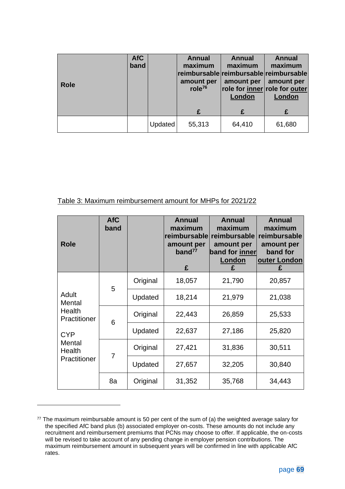| <b>Role</b> | <b>AfC</b><br>band |         | <b>Annual</b><br>maximum<br>amount per<br>role $76$ | <b>Annual</b><br>maximum<br>amount per<br>role for inner role for outer<br>London | <b>Annual</b><br>maximum<br> reimbursable reimbursable reimbursable <br>amount per<br>London |
|-------------|--------------------|---------|-----------------------------------------------------|-----------------------------------------------------------------------------------|----------------------------------------------------------------------------------------------|
|             |                    |         | £                                                   | £                                                                                 | £                                                                                            |
|             |                    | Updated | 55,313                                              | 64,410                                                                            | 61,680                                                                                       |

#### Table 3: Maximum reimbursement amount for MHPs for 2021/22

| <b>Role</b>                                                                                 | <b>AfC</b><br>band |          | <b>Annual</b><br>maximum<br>reimbursable<br>amount per<br>band $^{77}$<br>£ | <b>Annual</b><br>maximum<br>reimbursable<br>amount per<br>band for inner<br>London<br>£ | <b>Annual</b><br>maximum<br>reimbursable<br>amount per<br>band for<br>outer London<br>£ |
|---------------------------------------------------------------------------------------------|--------------------|----------|-----------------------------------------------------------------------------|-----------------------------------------------------------------------------------------|-----------------------------------------------------------------------------------------|
| Adult<br>Mental<br>Health<br>Practitioner<br><b>CYP</b><br>Mental<br>Health<br>Practitioner | 5                  | Original | 18,057                                                                      | 21,790                                                                                  | 20,857                                                                                  |
|                                                                                             |                    | Updated  | 18,214                                                                      | 21,979                                                                                  | 21,038                                                                                  |
|                                                                                             | 6                  | Original | 22,443                                                                      | 26,859                                                                                  | 25,533                                                                                  |
|                                                                                             |                    | Updated  | 22,637                                                                      | 27,186                                                                                  | 25,820                                                                                  |
|                                                                                             | 7                  | Original | 27,421                                                                      | 31,836                                                                                  | 30,511                                                                                  |
|                                                                                             |                    | Updated  | 27,657                                                                      | 32,205                                                                                  | 30,840                                                                                  |
|                                                                                             | 8a                 | Original | 31,352                                                                      | 35,768                                                                                  | 34,443                                                                                  |

 $77$  The maximum reimbursable amount is 50 per cent of the sum of (a) the weighted average salary for the specified AfC band plus (b) associated employer on-costs. These amounts do not include any recruitment and reimbursement premiums that PCNs may choose to offer. If applicable, the on-costs will be revised to take account of any pending change in employer pension contributions. The maximum reimbursement amount in subsequent years will be confirmed in line with applicable AfC rates.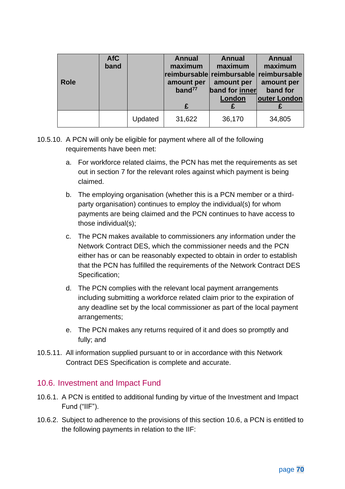| <b>Role</b> | <b>AfC</b><br>band |         | <b>Annual</b><br>maximum<br>amount per<br>band <sup>77</sup> | <b>Annual</b><br>maximum<br>reimbursable reimbursable reimbursable<br>amount per<br>band for inner<br>London | <b>Annual</b><br>maximum<br>amount per<br>band for<br>outer London |
|-------------|--------------------|---------|--------------------------------------------------------------|--------------------------------------------------------------------------------------------------------------|--------------------------------------------------------------------|
|             |                    | Updated | 31,622                                                       | 36,170                                                                                                       | 34,805                                                             |

- <span id="page-70-1"></span>10.5.10. A PCN will only be eligible for payment where all of the following requirements have been met:
	- a. For workforce related claims, the PCN has met the requirements as set out in section [7](#page-34-0) for the relevant roles against which payment is being claimed.
	- b. The employing organisation (whether this is a PCN member or a thirdparty organisation) continues to employ the individual(s) for whom payments are being claimed and the PCN continues to have access to those individual(s);
	- c. The PCN makes available to commissioners any information under the Network Contract DES, which the commissioner needs and the PCN either has or can be reasonably expected to obtain in order to establish that the PCN has fulfilled the requirements of the Network Contract DES Specification;
	- d. The PCN complies with the relevant local payment arrangements including submitting a workforce related claim prior to the expiration of any deadline set by the local commissioner as part of the local payment arrangements;
	- e. The PCN makes any returns required of it and does so promptly and fully; and
- 10.5.11. All information supplied pursuant to or in accordance with this Network Contract DES Specification is complete and accurate.

#### <span id="page-70-0"></span>10.6. Investment and Impact Fund

- 10.6.1. A PCN is entitled to additional funding by virtue of the Investment and Impact Fund ("IIF").
- 10.6.2. Subject to adherence to the provisions of this section [10.6,](#page-70-0) a PCN is entitled to the following payments in relation to the IIF: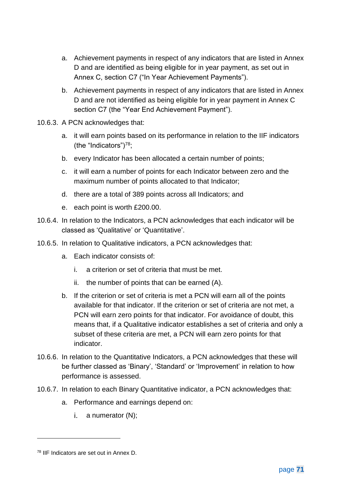- a. Achievement payments in respect of any indicators that are listed in Annex D and are identified as being eligible for in year payment, as set out in Annex C, section C7 ("In Year Achievement Payments").
- b. Achievement payments in respect of any indicators that are listed in Annex D and are not identified as being eligible for in year payment in Annex C section C7 (the "Year End Achievement Payment").
- 10.6.3. A PCN acknowledges that:
	- a. it will earn points based on its performance in relation to the IIF indicators (the "Indicators") $78$ ;
	- b. every Indicator has been allocated a certain number of points;
	- c. it will earn a number of points for each Indicator between zero and the maximum number of points allocated to that Indicator;
	- d. there are a total of 389 points across all Indicators; and
	- e. each point is worth £200.00.
- 10.6.4. In relation to the Indicators, a PCN acknowledges that each indicator will be classed as 'Qualitative' or 'Quantitative'.
- 10.6.5. In relation to Qualitative indicators, a PCN acknowledges that:
	- a. Each indicator consists of:
		- i. a criterion or set of criteria that must be met.
		- ii. the number of points that can be earned (A).
	- b. If the criterion or set of criteria is met a PCN will earn all of the points available for that indicator. If the criterion or set of criteria are not met, a PCN will earn zero points for that indicator. For avoidance of doubt, this means that, if a Qualitative indicator establishes a set of criteria and only a subset of these criteria are met, a PCN will earn zero points for that indicator.
- 10.6.6. In relation to the Quantitative Indicators, a PCN acknowledges that these will be further classed as 'Binary', 'Standard' or 'Improvement' in relation to how performance is assessed.
- 10.6.7. In relation to each Binary Quantitative indicator, a PCN acknowledges that:
	- a. Performance and earnings depend on:
		- i.  $a$  numerator  $(N)$ ;

<sup>78</sup> IIF Indicators are set out in Annex D.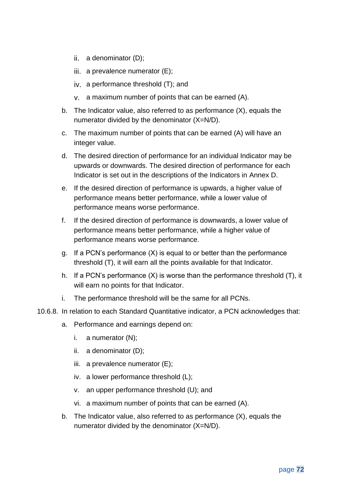- ii. a denominator  $(D)$ ;
- iii. a prevalence numerator  $(E)$ ;
- a performance threshold (T); and
- a maximum number of points that can be earned (A).
- b. The Indicator value, also referred to as performance (X), equals the numerator divided by the denominator (X=N/D).
- c. The maximum number of points that can be earned (A) will have an integer value.
- d. The desired direction of performance for an individual Indicator may be upwards or downwards. The desired direction of performance for each Indicator is set out in the descriptions of the Indicators in [Annex D.](#page-113-0)
- e. If the desired direction of performance is upwards, a higher value of performance means better performance, while a lower value of performance means worse performance.
- f. If the desired direction of performance is downwards, a lower value of performance means better performance, while a higher value of performance means worse performance.
- g. If a PCN's performance (X) is equal to or better than the performance threshold (T), it will earn all the points available for that Indicator.
- h. If a PCN's performance (X) is worse than the performance threshold (T), it will earn no points for that Indicator.
- i. The performance threshold will be the same for all PCNs.
- 10.6.8. In relation to each Standard Quantitative indicator, a PCN acknowledges that:
	- a. Performance and earnings depend on:
		- i. a numerator (N);
		- ii. a denominator (D);
		- iii. a prevalence numerator (E);
		- iv. a lower performance threshold (L);
		- v. an upper performance threshold (U); and
		- vi. a maximum number of points that can be earned (A).
	- b. The Indicator value, also referred to as performance (X), equals the numerator divided by the denominator (X=N/D).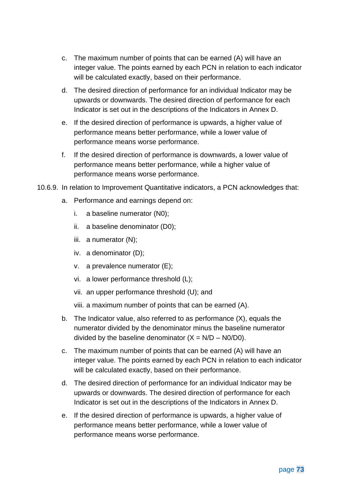- c. The maximum number of points that can be earned (A) will have an integer value. The points earned by each PCN in relation to each indicator will be calculated exactly, based on their performance.
- d. The desired direction of performance for an individual Indicator may be upwards or downwards. The desired direction of performance for each Indicator is set out in the descriptions of the Indicators in [Annex D.](#page-113-0)
- e. If the desired direction of performance is upwards, a higher value of performance means better performance, while a lower value of performance means worse performance.
- f. If the desired direction of performance is downwards, a lower value of performance means better performance, while a higher value of performance means worse performance.
- 10.6.9. In relation to Improvement Quantitative indicators, a PCN acknowledges that:
	- a. Performance and earnings depend on:
		- i. a baseline numerator (N0);
		- ii. a baseline denominator (D0);
		- iii. a numerator (N);
		- iv. a denominator (D);
		- v. a prevalence numerator (E);
		- vi. a lower performance threshold (L);
		- vii. an upper performance threshold (U); and

viii. a maximum number of points that can be earned (A).

- b. The Indicator value, also referred to as performance (X), equals the numerator divided by the denominator minus the baseline numerator divided by the baseline denominator  $(X = N/D - N0/D0)$ .
- c. The maximum number of points that can be earned (A) will have an integer value. The points earned by each PCN in relation to each indicator will be calculated exactly, based on their performance.
- d. The desired direction of performance for an individual Indicator may be upwards or downwards. The desired direction of performance for each Indicator is set out in the descriptions of the Indicators in [Annex D.](#page-113-0)
- e. If the desired direction of performance is upwards, a higher value of performance means better performance, while a lower value of performance means worse performance.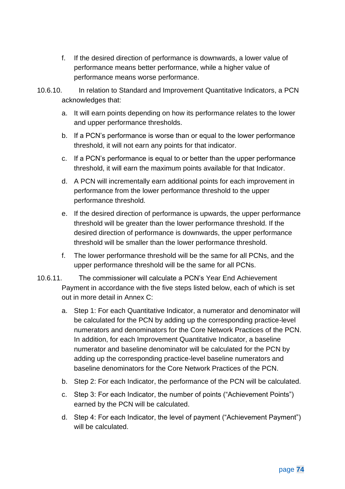- f. If the desired direction of performance is downwards, a lower value of performance means better performance, while a higher value of performance means worse performance.
- 10.6.10. In relation to Standard and Improvement Quantitative Indicators, a PCN acknowledges that:
	- a. It will earn points depending on how its performance relates to the lower and upper performance thresholds.
	- b. If a PCN's performance is worse than or equal to the lower performance threshold, it will not earn any points for that indicator.
	- c. If a PCN's performance is equal to or better than the upper performance threshold, it will earn the maximum points available for that Indicator.
	- d. A PCN will incrementally earn additional points for each improvement in performance from the lower performance threshold to the upper performance threshold.
	- e. If the desired direction of performance is upwards, the upper performance threshold will be greater than the lower performance threshold. If the desired direction of performance is downwards, the upper performance threshold will be smaller than the lower performance threshold.
	- f. The lower performance threshold will be the same for all PCNs, and the upper performance threshold will be the same for all PCNs.
- 10.6.11. The commissioner will calculate a PCN's Year End Achievement Payment in accordance with the five steps listed below, each of which is set out in more detail in [Annex C:](#page-105-0)
	- a. Step 1: For each Quantitative Indicator, a numerator and denominator will be calculated for the PCN by adding up the corresponding practice-level numerators and denominators for the Core Network Practices of the PCN. In addition, for each Improvement Quantitative Indicator, a baseline numerator and baseline denominator will be calculated for the PCN by adding up the corresponding practice-level baseline numerators and baseline denominators for the Core Network Practices of the PCN.
	- b. Step 2: For each Indicator, the performance of the PCN will be calculated.
	- c. Step 3: For each Indicator, the number of points ("Achievement Points") earned by the PCN will be calculated.
	- d. Step 4: For each Indicator, the level of payment ("Achievement Payment") will be calculated.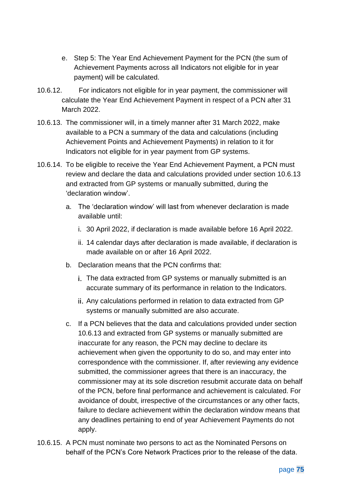- e. Step 5: The Year End Achievement Payment for the PCN (the sum of Achievement Payments across all Indicators not eligible for in year payment) will be calculated.
- 10.6.12. For indicators not eligible for in year payment, the commissioner will calculate the Year End Achievement Payment in respect of a PCN after 31 March 2022.
- <span id="page-75-0"></span>10.6.13. The commissioner will, in a timely manner after 31 March 2022, make available to a PCN a summary of the data and calculations (including Achievement Points and Achievement Payments) in relation to it for Indicators not eligible for in year payment from GP systems.
- <span id="page-75-1"></span>10.6.14. To be eligible to receive the Year End Achievement Payment, a PCN must review and declare the data and calculations provided under section [10.6.13](#page-75-0) and extracted from GP systems or manually submitted, during the 'declaration window'.
	- a. The 'declaration window' will last from whenever declaration is made available until:
		- i. 30 April 2022, if declaration is made available before 16 April 2022.
		- ii. 14 calendar days after declaration is made available, if declaration is made available on or after 16 April 2022.
	- b. Declaration means that the PCN confirms that:
		- i. The data extracted from GP systems or manually submitted is an accurate summary of its performance in relation to the Indicators.
		- Any calculations performed in relation to data extracted from GP systems or manually submitted are also accurate.
	- c. If a PCN believes that the data and calculations provided under section [10.6.13](#page-75-0) and extracted from GP systems or manually submitted are inaccurate for any reason, the PCN may decline to declare its achievement when given the opportunity to do so, and may enter into correspondence with the commissioner. If, after reviewing any evidence submitted, the commissioner agrees that there is an inaccuracy, the commissioner may at its sole discretion resubmit accurate data on behalf of the PCN, before final performance and achievement is calculated. For avoidance of doubt, irrespective of the circumstances or any other facts, failure to declare achievement within the declaration window means that any deadlines pertaining to end of year Achievement Payments do not apply.
- 10.6.15. A PCN must nominate two persons to act as the Nominated Persons on behalf of the PCN's Core Network Practices prior to the release of the data.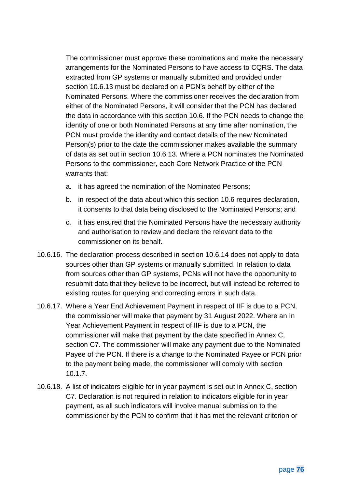The commissioner must approve these nominations and make the necessary arrangements for the Nominated Persons to have access to CQRS. The data extracted from GP systems or manually submitted and provided under section [10.6.13](#page-75-0) must be declared on a PCN's behalf by either of the Nominated Persons. Where the commissioner receives the declaration from either of the Nominated Persons, it will consider that the PCN has declared the data in accordance with this section 10.6. If the PCN needs to change the identity of one or both Nominated Persons at any time after nomination, the PCN must provide the identity and contact details of the new Nominated Person(s) prior to the date the commissioner makes available the summary of data as set out in section [10.6.13.](#page-75-0) Where a PCN nominates the Nominated Persons to the commissioner, each Core Network Practice of the PCN warrants that:

- a. it has agreed the nomination of the Nominated Persons;
- b. in respect of the data about which this section [10.6](#page-70-0) requires declaration, it consents to that data being disclosed to the Nominated Persons; and
- c. it has ensured that the Nominated Persons have the necessary authority and authorisation to review and declare the relevant data to the commissioner on its behalf.
- 10.6.16. The declaration process described in section [10.6.14](#page-75-1) does not apply to data sources other than GP systems or manually submitted. In relation to data from sources other than GP systems, PCNs will not have the opportunity to resubmit data that they believe to be incorrect, but will instead be referred to existing routes for querying and correcting errors in such data.
- 10.6.17. Where a Year End Achievement Payment in respect of IIF is due to a PCN, the commissioner will make that payment by 31 August 2022. Where an In Year Achievement Payment in respect of IIF is due to a PCN, the commissioner will make that payment by the date specified in Annex C, section C7. The commissioner will make any payment due to the Nominated Payee of the PCN. If there is a change to the Nominated Payee or PCN prior to the payment being made, the commissioner will comply with section [10.1.7.](#page-56-0)
- 10.6.18. A list of indicators eligible for in year payment is set out in Annex C, section [C7.](#page-110-0) Declaration is not required in relation to indicators eligible for in year payment, as all such indicators will involve manual submission to the commissioner by the PCN to confirm that it has met the relevant criterion or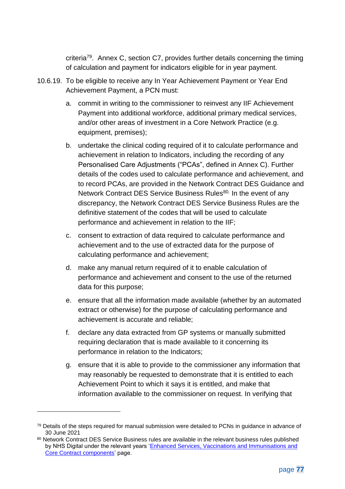criteria<sup>79</sup>. Annex C, section [C7,](#page-110-0) provides further details concerning the timing of calculation and payment for indicators eligible for in year payment.

- <span id="page-77-0"></span>10.6.19. To be eligible to receive any In Year Achievement Payment or Year End Achievement Payment, a PCN must:
	- a. commit in writing to the commissioner to reinvest any IIF Achievement Payment into additional workforce, additional primary medical services, and/or other areas of investment in a Core Network Practice (e.g. equipment, premises);
	- b. undertake the clinical coding required of it to calculate performance and achievement in relation to Indicators, including the recording of any Personalised Care Adjustments ("PCAs", defined in [Annex C\)](#page-105-0). Further details of the codes used to calculate performance and achievement, and to record PCAs, are provided in the Network Contract DES Guidance and Network Contract DES Service Business Rules<sup>80.</sup> In the event of any discrepancy, the Network Contract DES Service Business Rules are the definitive statement of the codes that will be used to calculate performance and achievement in relation to the IIF;
	- c. consent to extraction of data required to calculate performance and achievement and to the use of extracted data for the purpose of calculating performance and achievement;
	- d. make any manual return required of it to enable calculation of performance and achievement and consent to the use of the returned data for this purpose;
	- e. ensure that all the information made available (whether by an automated extract or otherwise) for the purpose of calculating performance and achievement is accurate and reliable;
	- f. declare any data extracted from GP systems or manually submitted requiring declaration that is made available to it concerning its performance in relation to the Indicators;
	- g. ensure that it is able to provide to the commissioner any information that may reasonably be requested to demonstrate that it is entitled to each Achievement Point to which it says it is entitled, and make that information available to the commissioner on request. In verifying that

<sup>79</sup> Details of the steps required for manual submission were detailed to PCNs in guidance in advance of 30 June 2021

<sup>80</sup> Network Contract DES Service Business rules are available in the relevant business rules published by NHS Digital under the relevant years 'Enhanced Services, Vaccinations and Immunisations and [Core Contract components'](https://digital.nhs.uk/data-and-information/data-collections-and-data-sets/data-collections/quality-and-outcomes-framework-qof) page.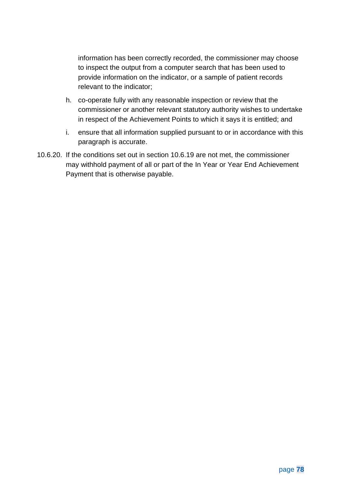information has been correctly recorded, the commissioner may choose to inspect the output from a computer search that has been used to provide information on the indicator, or a sample of patient records relevant to the indicator;

- h. co-operate fully with any reasonable inspection or review that the commissioner or another relevant statutory authority wishes to undertake in respect of the Achievement Points to which it says it is entitled; and
- i. ensure that all information supplied pursuant to or in accordance with this paragraph is accurate.
- 10.6.20. If the conditions set out in section [10.6.19](#page-77-0) are not met, the commissioner may withhold payment of all or part of the In Year or Year End Achievement Payment that is otherwise payable.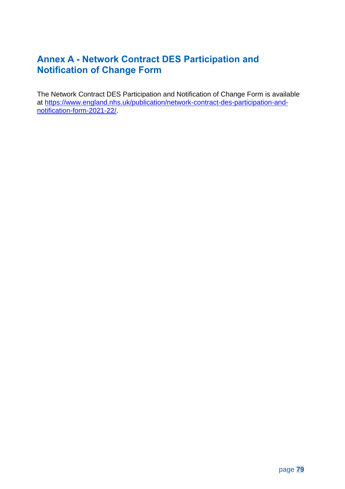# **Annex A - Network Contract DES Participation and Notification of Change Form**

The Network Contract DES Participation and Notification of Change Form is available at [https://www.england.nhs.uk/publication/network-contract-des-participation-and](https://www.england.nhs.uk/publication/network-contract-des-participation-and-notification-form-2021-22/)[notification-form-2021-22/.](https://www.england.nhs.uk/publication/network-contract-des-participation-and-notification-form-2021-22/)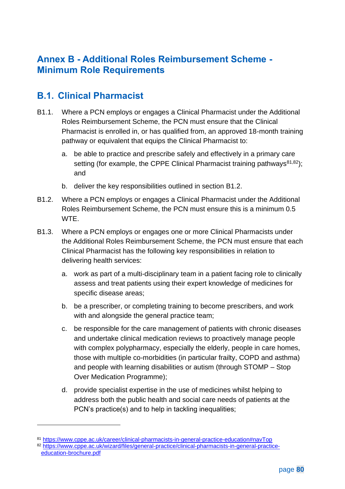## **Annex B - Additional Roles Reimbursement Scheme - Minimum Role Requirements**

### **B.1. Clinical Pharmacist**

- B1.1. Where a PCN employs or engages a Clinical Pharmacist under the Additional Roles Reimbursement Scheme, the PCN must ensure that the Clinical Pharmacist is enrolled in, or has qualified from, an approved 18-month training pathway or equivalent that equips the Clinical Pharmacist to:
	- a. be able to practice and prescribe safely and effectively in a primary care setting (for example, the CPPE Clinical Pharmacist training pathways<sup>81,82</sup>); and
	- b. deliver the key responsibilities outlined in section [B1.2.](#page-80-0)
- <span id="page-80-0"></span>B1.2. Where a PCN employs or engages a Clinical Pharmacist under the Additional Roles Reimbursement Scheme, the PCN must ensure this is a minimum 0.5 WTE.
- B1.3. Where a PCN employs or engages one or more Clinical Pharmacists under the Additional Roles Reimbursement Scheme, the PCN must ensure that each Clinical Pharmacist has the following key responsibilities in relation to delivering health services:
	- a. work as part of a multi-disciplinary team in a patient facing role to clinically assess and treat patients using their expert knowledge of medicines for specific disease areas;
	- b. be a prescriber, or completing training to become prescribers, and work with and alongside the general practice team;
	- c. be responsible for the care management of patients with chronic diseases and undertake clinical medication reviews to proactively manage people with complex polypharmacy, especially the elderly, people in care homes, those with multiple co-morbidities (in particular frailty, COPD and asthma) and people with learning disabilities or autism (through STOMP – Stop Over Medication Programme);
	- d. provide specialist expertise in the use of medicines whilst helping to address both the public health and social care needs of patients at the PCN's practice(s) and to help in tackling inequalities;

<sup>81</sup> <https://www.cppe.ac.uk/career/clinical-pharmacists-in-general-practice-education#navTop> <sup>82</sup> [https://www.cppe.ac.uk/wizard/files/general-practice/clinical-pharmacists-in-general-practice](https://www.cppe.ac.uk/wizard/files/general-practice/clinical-pharmacists-in-general-practice-education-brochure.pdf)[education-brochure.pdf](https://www.cppe.ac.uk/wizard/files/general-practice/clinical-pharmacists-in-general-practice-education-brochure.pdf)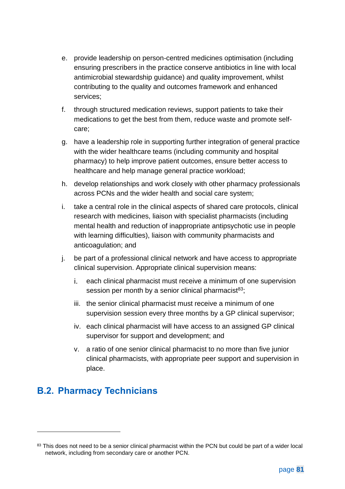- e. provide leadership on person-centred medicines optimisation (including ensuring prescribers in the practice conserve antibiotics in line with local antimicrobial stewardship guidance) and quality improvement, whilst contributing to the quality and outcomes framework and enhanced services;
- f. through structured medication reviews, support patients to take their medications to get the best from them, reduce waste and promote selfcare;
- g. have a leadership role in supporting further integration of general practice with the wider healthcare teams (including community and hospital pharmacy) to help improve patient outcomes, ensure better access to healthcare and help manage general practice workload;
- h. develop relationships and work closely with other pharmacy professionals across PCNs and the wider health and social care system;
- i. take a central role in the clinical aspects of shared care protocols, clinical research with medicines, liaison with specialist pharmacists (including mental health and reduction of inappropriate antipsychotic use in people with learning difficulties), liaison with community pharmacists and anticoagulation; and
- j. be part of a professional clinical network and have access to appropriate clinical supervision. Appropriate clinical supervision means:
	- i. each clinical pharmacist must receive a minimum of one supervision session per month by a senior clinical pharmacist $83$ ;
	- iii. the senior clinical pharmacist must receive a minimum of one supervision session every three months by a GP clinical supervisor;
	- iv. each clinical pharmacist will have access to an assigned GP clinical supervisor for support and development; and
	- v. a ratio of one senior clinical pharmacist to no more than five junior clinical pharmacists, with appropriate peer support and supervision in place.

# **B.2. Pharmacy Technicians**

<sup>83</sup> This does not need to be a senior clinical pharmacist within the PCN but could be part of a wider local network, including from secondary care or another PCN.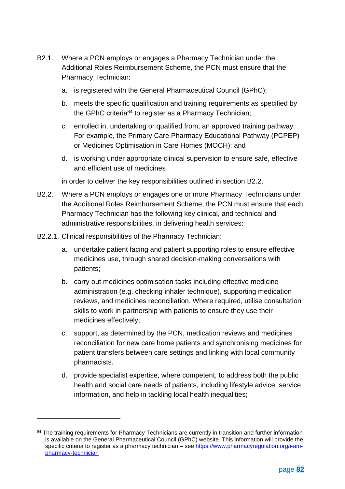- B2.1. Where a PCN employs or engages a Pharmacy Technician under the Additional Roles Reimbursement Scheme, the PCN must ensure that the Pharmacy Technician:
	- a. is registered with the General Pharmaceutical Council (GPhC);
	- b. meets the specific qualification and training requirements as specified by the GPhC criteria<sup>84</sup> to register as a Pharmacy Technician;
	- c. enrolled in, undertaking or qualified from, an approved training pathway. For example, the Primary Care Pharmacy Educational Pathway (PCPEP) or Medicines Optimisation in Care Homes (MOCH); and
	- d. is working under appropriate clinical supervision to ensure safe, effective and efficient use of medicines

in order to deliver the key responsibilities outlined in section [B2.2.](#page-82-0)

- <span id="page-82-0"></span>B2.2. Where a PCN employs or engages one or more Pharmacy Technicians under the Additional Roles Reimbursement Scheme, the PCN must ensure that each Pharmacy Technician has the following key clinical, and technical and administrative responsibilities, in delivering health services:
- B2.2.1. Clinical responsibilities of the Pharmacy Technician:
	- a. undertake patient facing and patient supporting roles to ensure effective medicines use, through shared decision-making conversations with patients;
	- b. carry out medicines optimisation tasks including effective medicine administration (e.g. checking inhaler technique), supporting medication reviews, and medicines reconciliation. Where required, utilise consultation skills to work in partnership with patients to ensure they use their medicines effectively;
	- c. support, as determined by the PCN, medication reviews and medicines reconciliation for new care home patients and synchronising medicines for patient transfers between care settings and linking with local community pharmacists.
	- d. provide specialist expertise, where competent, to address both the public health and social care needs of patients, including lifestyle advice, service information, and help in tackling local health inequalities;

<sup>84</sup> The training requirements for Pharmacy Technicians are currently in transition and further information is available on the General Pharmaceutical Council (GPhC) website. This information will provide the specific criteria to register as a pharmacy technician – see [https://www.pharmacyregulation.org/i-am](https://www.pharmacyregulation.org/i-am-pharmacy-technician)[pharmacy-technician](https://www.pharmacyregulation.org/i-am-pharmacy-technician)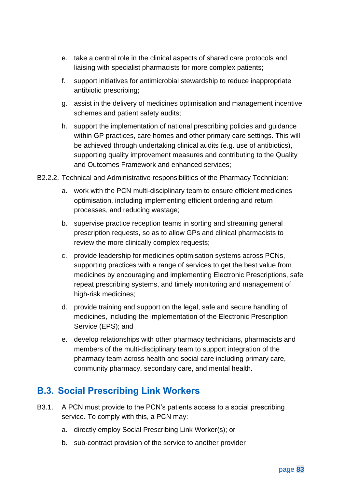- e. take a central role in the clinical aspects of shared care protocols and liaising with specialist pharmacists for more complex patients;
- f. support initiatives for antimicrobial stewardship to reduce inappropriate antibiotic prescribing;
- g. assist in the delivery of medicines optimisation and management incentive schemes and patient safety audits;
- h. support the implementation of national prescribing policies and guidance within GP practices, care homes and other primary care settings. This will be achieved through undertaking clinical audits (e.g. use of antibiotics), supporting quality improvement measures and contributing to the Quality and Outcomes Framework and enhanced services;
- B2.2.2. Technical and Administrative responsibilities of the Pharmacy Technician:
	- a. work with the PCN multi-disciplinary team to ensure efficient medicines optimisation, including implementing efficient ordering and return processes, and reducing wastage;
	- b. supervise practice reception teams in sorting and streaming general prescription requests, so as to allow GPs and clinical pharmacists to review the more clinically complex requests;
	- c. provide leadership for medicines optimisation systems across PCNs, supporting practices with a range of services to get the best value from medicines by encouraging and implementing Electronic Prescriptions, safe repeat prescribing systems, and timely monitoring and management of high-risk medicines;
	- d. provide training and support on the legal, safe and secure handling of medicines, including the implementation of the Electronic Prescription Service (EPS); and
	- e. develop relationships with other pharmacy technicians, pharmacists and members of the multi-disciplinary team to support integration of the pharmacy team across health and social care including primary care, community pharmacy, secondary care, and mental health.

## **B.3. Social Prescribing Link Workers**

- B3.1. A PCN must provide to the PCN's patients access to a social prescribing service. To comply with this, a PCN may:
	- a. directly employ Social Prescribing Link Worker(s); or
	- b. sub-contract provision of the service to another provider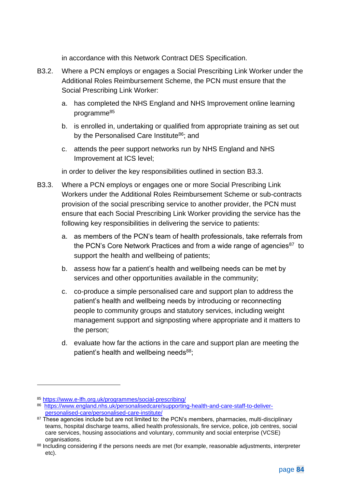in accordance with this Network Contract DES Specification.

- B3.2. Where a PCN employs or engages a Social Prescribing Link Worker under the Additional Roles Reimbursement Scheme, the PCN must ensure that the Social Prescribing Link Worker:
	- a. has completed the NHS England and NHS Improvement online learning programme<sup>85</sup>
	- b. is enrolled in, undertaking or qualified from appropriate training as set out by the Personalised Care Institute<sup>86</sup>; and
	- c. attends the peer support networks run by NHS England and NHS Improvement at ICS level;

in order to deliver the key responsibilities outlined in section [B3.3.](#page-84-0)

- <span id="page-84-0"></span>B3.3. Where a PCN employs or engages one or more Social Prescribing Link Workers under the Additional Roles Reimbursement Scheme or sub-contracts provision of the social prescribing service to another provider, the PCN must ensure that each Social Prescribing Link Worker providing the service has the following key responsibilities in delivering the service to patients:
	- a. as members of the PCN's team of health professionals, take referrals from the PCN's Core Network Practices and from a wide range of agencies<sup>87</sup> to support the health and wellbeing of patients;
	- b. assess how far a patient's health and wellbeing needs can be met by services and other opportunities available in the community;
	- c. co-produce a simple personalised care and support plan to address the patient's health and wellbeing needs by introducing or reconnecting people to community groups and statutory services, including weight management support and signposting where appropriate and it matters to the person;
	- d. evaluate how far the actions in the care and support plan are meeting the patient's health and wellbeing needs<sup>88</sup>;

<sup>85</sup> <https://www.e-lfh.org.uk/programmes/social-prescribing/>

<sup>86</sup> [https://www.england.nhs.uk/personalisedcare/supporting-health-and-care-staff-to-deliver](https://www.england.nhs.uk/personalisedcare/supporting-health-and-care-staff-to-deliver-personalised-care/personalised-care-institute/)[personalised-care/personalised-care-institute/](https://www.england.nhs.uk/personalisedcare/supporting-health-and-care-staff-to-deliver-personalised-care/personalised-care-institute/)

<sup>87</sup> These agencies include but are not limited to: the PCN's members, pharmacies, multi-disciplinary teams, hospital discharge teams, allied health professionals, fire service, police, job centres, social care services, housing associations and voluntary, community and social enterprise (VCSE) organisations.

<sup>88</sup> Including considering if the persons needs are met (for example, reasonable adjustments, interpreter etc).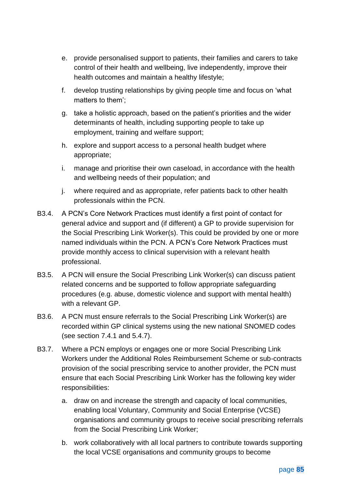- e. provide personalised support to patients, their families and carers to take control of their health and wellbeing, live independently, improve their health outcomes and maintain a healthy lifestyle;
- f. develop trusting relationships by giving people time and focus on 'what matters to them';
- g. take a holistic approach, based on the patient's priorities and the wider determinants of health, including supporting people to take up employment, training and welfare support;
- h. explore and support access to a personal health budget where appropriate;
- i. manage and prioritise their own caseload, in accordance with the health and wellbeing needs of their population; and
- j. where required and as appropriate, refer patients back to other health professionals within the PCN.
- B3.4. A PCN's Core Network Practices must identify a first point of contact for general advice and support and (if different) a GP to provide supervision for the Social Prescribing Link Worker(s). This could be provided by one or more named individuals within the PCN. A PCN's Core Network Practices must provide monthly access to clinical supervision with a relevant health professional.
- B3.5. A PCN will ensure the Social Prescribing Link Worker(s) can discuss patient related concerns and be supported to follow appropriate safeguarding procedures (e.g. abuse, domestic violence and support with mental health) with a relevant GP.
- B3.6. A PCN must ensure referrals to the Social Prescribing Link Worker(s) are recorded within GP clinical systems using the new national SNOMED codes (see section [7.4.1](#page-39-0) and [5.4.7\)](#page-23-0).
- B3.7. Where a PCN employs or engages one or more Social Prescribing Link Workers under the Additional Roles Reimbursement Scheme or sub-contracts provision of the social prescribing service to another provider, the PCN must ensure that each Social Prescribing Link Worker has the following key wider responsibilities:
	- a. draw on and increase the strength and capacity of local communities, enabling local Voluntary, Community and Social Enterprise (VCSE) organisations and community groups to receive social prescribing referrals from the Social Prescribing Link Worker;
	- b. work collaboratively with all local partners to contribute towards supporting the local VCSE organisations and community groups to become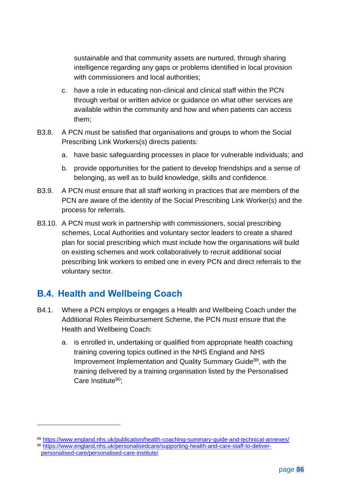sustainable and that community assets are nurtured, through sharing intelligence regarding any gaps or problems identified in local provision with commissioners and local authorities;

- c. have a role in educating non-clinical and clinical staff within the PCN through verbal or written advice or guidance on what other services are available within the community and how and when patients can access them;
- B3.8. A PCN must be satisfied that organisations and groups to whom the Social Prescribing Link Workers(s) directs patients:
	- a. have basic safeguarding processes in place for vulnerable individuals; and
	- b. provide opportunities for the patient to develop friendships and a sense of belonging, as well as to build knowledge, skills and confidence.
- B3.9. A PCN must ensure that all staff working in practices that are members of the PCN are aware of the identity of the Social Prescribing Link Worker(s) and the process for referrals.
- B3.10. A PCN must work in partnership with commissioners, social prescribing schemes, Local Authorities and voluntary sector leaders to create a shared plan for social prescribing which must include how the organisations will build on existing schemes and work collaboratively to recruit additional social prescribing link workers to embed one in every PCN and direct referrals to the voluntary sector.

# **B.4. Health and Wellbeing Coach**

- B4.1. Where a PCN employs or engages a Health and Wellbeing Coach under the Additional Roles Reimbursement Scheme, the PCN must ensure that the Health and Wellbeing Coach:
	- a. is enrolled in, undertaking or qualified from appropriate health coaching training covering topics outlined in the NHS England and NHS Improvement Implementation and Quality Summary Guide<sup>89</sup>, with the training delivered by a training organisation listed by the Personalised Care Institute<sup>90</sup>:

<sup>89</sup> <https://www.england.nhs.uk/publication/health-coaching-summary-guide-and-technical-annexes/> <sup>90</sup> [https://www.england.nhs.uk/personalisedcare/supporting-health-and-care-staff-to-deliver](https://www.england.nhs.uk/personalisedcare/supporting-health-and-care-staff-to-deliver-personalised-care/personalised-care-institute/)[personalised-care/personalised-care-institute/](https://www.england.nhs.uk/personalisedcare/supporting-health-and-care-staff-to-deliver-personalised-care/personalised-care-institute/)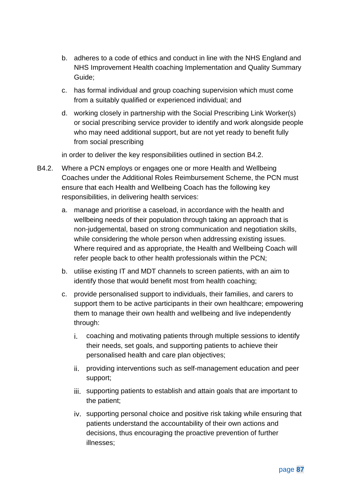- b. adheres to a code of ethics and conduct in line with the NHS England and NHS Improvement Health coaching Implementation and Quality Summary Guide;
- c. has formal individual and group coaching supervision which must come from a suitably qualified or experienced individual; and
- d. working closely in partnership with the Social Prescribing Link Worker(s) or social prescribing service provider to identify and work alongside people who may need additional support, but are not yet ready to benefit fully from social prescribing

in order to deliver the key responsibilities outlined in section [B4.2.](#page-87-0)

- <span id="page-87-0"></span>B4.2. Where a PCN employs or engages one or more Health and Wellbeing Coaches under the Additional Roles Reimbursement Scheme, the PCN must ensure that each Health and Wellbeing Coach has the following key responsibilities, in delivering health services:
	- a. manage and prioritise a caseload, in accordance with the health and wellbeing needs of their population through taking an approach that is non-judgemental, based on strong communication and negotiation skills, while considering the whole person when addressing existing issues. Where required and as appropriate, the Health and Wellbeing Coach will refer people back to other health professionals within the PCN;
	- b. utilise existing IT and MDT channels to screen patients, with an aim to identify those that would benefit most from health coaching;
	- c. provide personalised support to individuals, their families, and carers to support them to be active participants in their own healthcare; empowering them to manage their own health and wellbeing and live independently through:
		- coaching and motivating patients through multiple sessions to identify their needs, set goals, and supporting patients to achieve their personalised health and care plan objectives;
		- providing interventions such as self-management education and peer support;
		- iii. supporting patients to establish and attain goals that are important to the patient;
		- iv. supporting personal choice and positive risk taking while ensuring that patients understand the accountability of their own actions and decisions, thus encouraging the proactive prevention of further illnesses;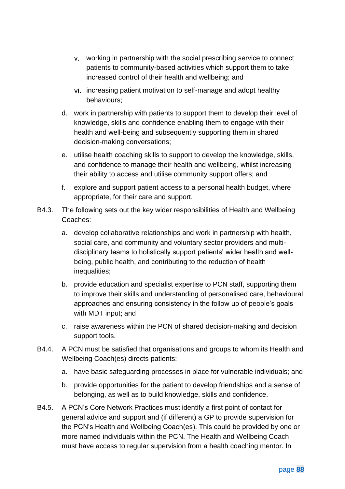- working in partnership with the social prescribing service to connect patients to community-based activities which support them to take increased control of their health and wellbeing; and
- vi. increasing patient motivation to self-manage and adopt healthy behaviours;
- d. work in partnership with patients to support them to develop their level of knowledge, skills and confidence enabling them to engage with their health and well-being and subsequently supporting them in shared decision-making conversations;
- e. utilise health coaching skills to support to develop the knowledge, skills, and confidence to manage their health and wellbeing, whilst increasing their ability to access and utilise community support offers; and
- f. explore and support patient access to a personal health budget, where appropriate, for their care and support.
- B4.3. The following sets out the key wider responsibilities of Health and Wellbeing Coaches:
	- a. develop collaborative relationships and work in partnership with health, social care, and community and voluntary sector providers and multidisciplinary teams to holistically support patients' wider health and wellbeing, public health, and contributing to the reduction of health inequalities;
	- b. provide education and specialist expertise to PCN staff, supporting them to improve their skills and understanding of personalised care, behavioural approaches and ensuring consistency in the follow up of people's goals with MDT input; and
	- c. raise awareness within the PCN of shared decision-making and decision support tools.
- B4.4. A PCN must be satisfied that organisations and groups to whom its Health and Wellbeing Coach(es) directs patients:
	- a. have basic safeguarding processes in place for vulnerable individuals; and
	- b. provide opportunities for the patient to develop friendships and a sense of belonging, as well as to build knowledge, skills and confidence.
- B4.5. A PCN's Core Network Practices must identify a first point of contact for general advice and support and (if different) a GP to provide supervision for the PCN's Health and Wellbeing Coach(es). This could be provided by one or more named individuals within the PCN. The Health and Wellbeing Coach must have access to regular supervision from a health coaching mentor. In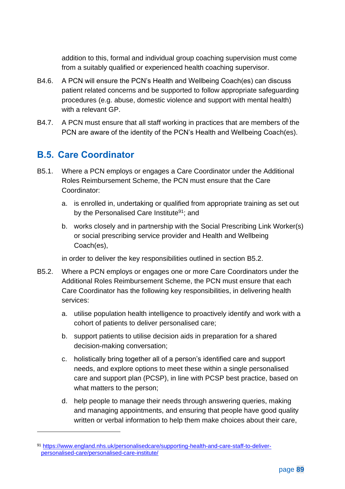addition to this, formal and individual group coaching supervision must come from a suitably qualified or experienced health coaching supervisor.

- B4.6. A PCN will ensure the PCN's Health and Wellbeing Coach(es) can discuss patient related concerns and be supported to follow appropriate safeguarding procedures (e.g. abuse, domestic violence and support with mental health) with a relevant GP.
- B4.7. A PCN must ensure that all staff working in practices that are members of the PCN are aware of the identity of the PCN's Health and Wellbeing Coach(es).

### **B.5. Care Coordinator**

- B5.1. Where a PCN employs or engages a Care Coordinator under the Additional Roles Reimbursement Scheme, the PCN must ensure that the Care Coordinator:
	- a. is enrolled in, undertaking or qualified from appropriate training as set out by the Personalised Care Institute<sup>91</sup>; and
	- b. works closely and in partnership with the Social Prescribing Link Worker(s) or social prescribing service provider and Health and Wellbeing Coach(es),

in order to deliver the key responsibilities outlined in section [B5.2.](#page-89-0)

- <span id="page-89-0"></span>B5.2. Where a PCN employs or engages one or more Care Coordinators under the Additional Roles Reimbursement Scheme, the PCN must ensure that each Care Coordinator has the following key responsibilities, in delivering health services:
	- a. utilise population health intelligence to proactively identify and work with a cohort of patients to deliver personalised care;
	- b. support patients to utilise decision aids in preparation for a shared decision-making conversation;
	- c. holistically bring together all of a person's identified care and support needs, and explore options to meet these within a single personalised care and support plan (PCSP), in line with PCSP best practice, based on what matters to the person;
	- d. help people to manage their needs through answering queries, making and managing appointments, and ensuring that people have good quality written or verbal information to help them make choices about their care,

<sup>91</sup> [https://www.england.nhs.uk/personalisedcare/supporting-health-and-care-staff-to-deliver](https://www.england.nhs.uk/personalisedcare/supporting-health-and-care-staff-to-deliver-personalised-care/personalised-care-institute/)[personalised-care/personalised-care-institute/](https://www.england.nhs.uk/personalisedcare/supporting-health-and-care-staff-to-deliver-personalised-care/personalised-care-institute/)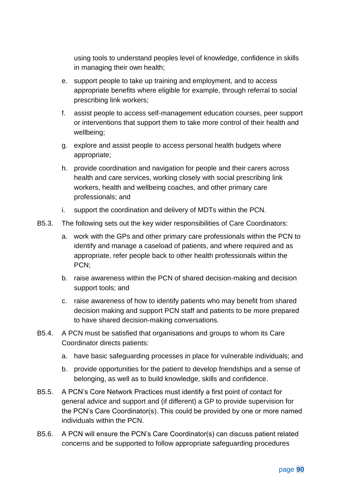using tools to understand peoples level of knowledge, confidence in skills in managing their own health;

- e. support people to take up training and employment, and to access appropriate benefits where eligible for example, through referral to social prescribing link workers;
- f. assist people to access self-management education courses, peer support or interventions that support them to take more control of their health and wellbeing;
- g. explore and assist people to access personal health budgets where appropriate;
- h. provide coordination and navigation for people and their carers across health and care services, working closely with social prescribing link workers, health and wellbeing coaches, and other primary care professionals; and
- i. support the coordination and delivery of MDTs within the PCN.
- B5.3. The following sets out the key wider responsibilities of Care Coordinators:
	- a. work with the GPs and other primary care professionals within the PCN to identify and manage a caseload of patients, and where required and as appropriate, refer people back to other health professionals within the PCN;
	- b. raise awareness within the PCN of shared decision-making and decision support tools; and
	- c. raise awareness of how to identify patients who may benefit from shared decision making and support PCN staff and patients to be more prepared to have shared decision-making conversations.
- B5.4. A PCN must be satisfied that organisations and groups to whom its Care Coordinator directs patients:
	- a. have basic safeguarding processes in place for vulnerable individuals; and
	- b. provide opportunities for the patient to develop friendships and a sense of belonging, as well as to build knowledge, skills and confidence.
- B5.5. A PCN's Core Network Practices must identify a first point of contact for general advice and support and (if different) a GP to provide supervision for the PCN's Care Coordinator(s). This could be provided by one or more named individuals within the PCN.
- B5.6. A PCN will ensure the PCN's Care Coordinator(s) can discuss patient related concerns and be supported to follow appropriate safeguarding procedures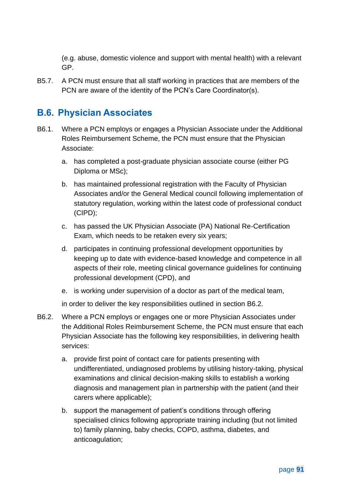(e.g. abuse, domestic violence and support with mental health) with a relevant GP.

B5.7. A PCN must ensure that all staff working in practices that are members of the PCN are aware of the identity of the PCN's Care Coordinator(s).

# **B.6. Physician Associates**

- B6.1. Where a PCN employs or engages a Physician Associate under the Additional Roles Reimbursement Scheme, the PCN must ensure that the Physician Associate:
	- a. has completed a post-graduate physician associate course (either PG Diploma or MSc);
	- b. has maintained professional registration with the Faculty of Physician Associates and/or the General Medical council following implementation of statutory regulation, working within the latest code of professional conduct (CIPD);
	- c. has passed the UK Physician Associate (PA) National Re-Certification Exam, which needs to be retaken every six years;
	- d. participates in continuing professional development opportunities by keeping up to date with evidence-based knowledge and competence in all aspects of their role, meeting clinical governance guidelines for continuing professional development (CPD), and
	- e. is working under supervision of a doctor as part of the medical team,

in order to deliver the key responsibilities outlined in section [B6.2.](#page-91-0)

- <span id="page-91-0"></span>B6.2. Where a PCN employs or engages one or more Physician Associates under the Additional Roles Reimbursement Scheme, the PCN must ensure that each Physician Associate has the following key responsibilities, in delivering health services:
	- a. provide first point of contact care for patients presenting with undifferentiated, undiagnosed problems by utilising history-taking, physical examinations and clinical decision-making skills to establish a working diagnosis and management plan in partnership with the patient (and their carers where applicable);
	- b. support the management of patient's conditions through offering specialised clinics following appropriate training including (but not limited to) family planning, baby checks, COPD, asthma, diabetes, and anticoagulation;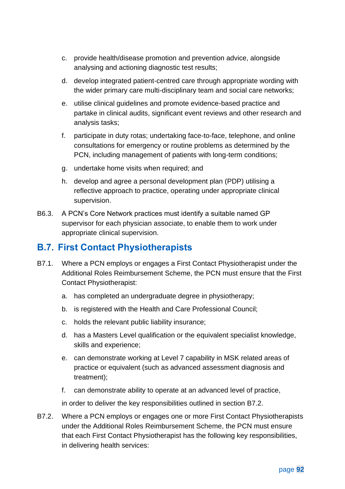- c. provide health/disease promotion and prevention advice, alongside analysing and actioning diagnostic test results;
- d. develop integrated patient-centred care through appropriate wording with the wider primary care multi-disciplinary team and social care networks;
- e. utilise clinical guidelines and promote evidence-based practice and partake in clinical audits, significant event reviews and other research and analysis tasks;
- f. participate in duty rotas; undertaking face-to-face, telephone, and online consultations for emergency or routine problems as determined by the PCN, including management of patients with long-term conditions;
- g. undertake home visits when required; and
- h. develop and agree a personal development plan (PDP) utilising a reflective approach to practice, operating under appropriate clinical supervision.
- B6.3. A PCN's Core Network practices must identify a suitable named GP supervisor for each physician associate, to enable them to work under appropriate clinical supervision.

## **B.7. First Contact Physiotherapists**

- B7.1. Where a PCN employs or engages a First Contact Physiotherapist under the Additional Roles Reimbursement Scheme, the PCN must ensure that the First Contact Physiotherapist:
	- a. has completed an undergraduate degree in physiotherapy;
	- b. is registered with the Health and Care Professional Council;
	- c. holds the relevant public liability insurance;
	- d. has a Masters Level qualification or the equivalent specialist knowledge, skills and experience;
	- e. can demonstrate working at Level 7 capability in MSK related areas of practice or equivalent (such as advanced assessment diagnosis and treatment);
	- f. can demonstrate ability to operate at an advanced level of practice,

in order to deliver the key responsibilities outlined in section [B7.2.](#page-92-0)

<span id="page-92-0"></span>B7.2. Where a PCN employs or engages one or more First Contact Physiotherapists under the Additional Roles Reimbursement Scheme, the PCN must ensure that each First Contact Physiotherapist has the following key responsibilities, in delivering health services: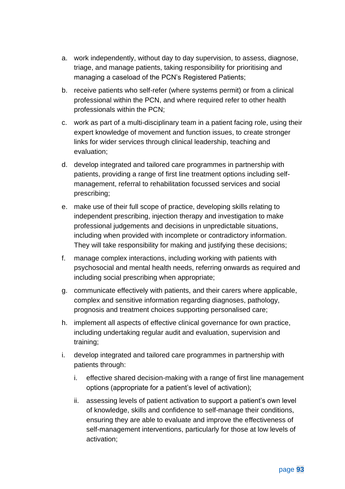- a. work independently, without day to day supervision, to assess, diagnose, triage, and manage patients, taking responsibility for prioritising and managing a caseload of the PCN's Registered Patients;
- b. receive patients who self-refer (where systems permit) or from a clinical professional within the PCN, and where required refer to other health professionals within the PCN;
- c. work as part of a multi-disciplinary team in a patient facing role, using their expert knowledge of movement and function issues, to create stronger links for wider services through clinical leadership, teaching and evaluation;
- d. develop integrated and tailored care programmes in partnership with patients, providing a range of first line treatment options including selfmanagement, referral to rehabilitation focussed services and social prescribing;
- e. make use of their full scope of practice, developing skills relating to independent prescribing, injection therapy and investigation to make professional judgements and decisions in unpredictable situations, including when provided with incomplete or contradictory information. They will take responsibility for making and justifying these decisions;
- f. manage complex interactions, including working with patients with psychosocial and mental health needs, referring onwards as required and including social prescribing when appropriate;
- g. communicate effectively with patients, and their carers where applicable, complex and sensitive information regarding diagnoses, pathology, prognosis and treatment choices supporting personalised care;
- h. implement all aspects of effective clinical governance for own practice, including undertaking regular audit and evaluation, supervision and training;
- i. develop integrated and tailored care programmes in partnership with patients through:
	- i. effective shared decision-making with a range of first line management options (appropriate for a patient's level of activation);
	- ii. assessing levels of patient activation to support a patient's own level of knowledge, skills and confidence to self-manage their conditions, ensuring they are able to evaluate and improve the effectiveness of self-management interventions, particularly for those at low levels of activation;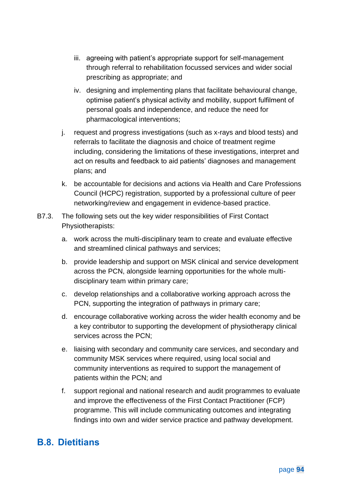- iii. agreeing with patient's appropriate support for self-management through referral to rehabilitation focussed services and wider social prescribing as appropriate; and
- iv. designing and implementing plans that facilitate behavioural change, optimise patient's physical activity and mobility, support fulfilment of personal goals and independence, and reduce the need for pharmacological interventions;
- j. request and progress investigations (such as x-rays and blood tests) and referrals to facilitate the diagnosis and choice of treatment regime including, considering the limitations of these investigations, interpret and act on results and feedback to aid patients' diagnoses and management plans; and
- k. be accountable for decisions and actions via Health and Care Professions Council (HCPC) registration, supported by a professional culture of peer networking/review and engagement in evidence-based practice.
- B7.3. The following sets out the key wider responsibilities of First Contact Physiotherapists:
	- a. work across the multi-disciplinary team to create and evaluate effective and streamlined clinical pathways and services;
	- b. provide leadership and support on MSK clinical and service development across the PCN, alongside learning opportunities for the whole multidisciplinary team within primary care;
	- c. develop relationships and a collaborative working approach across the PCN, supporting the integration of pathways in primary care;
	- d. encourage collaborative working across the wider health economy and be a key contributor to supporting the development of physiotherapy clinical services across the PCN;
	- e. liaising with secondary and community care services, and secondary and community MSK services where required, using local social and community interventions as required to support the management of patients within the PCN; and
	- f. support regional and national research and audit programmes to evaluate and improve the effectiveness of the First Contact Practitioner (FCP) programme. This will include communicating outcomes and integrating findings into own and wider service practice and pathway development.

## **B.8. Dietitians**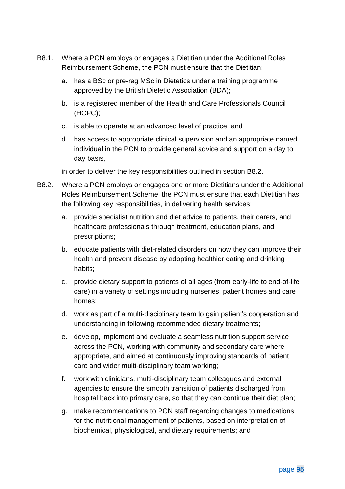- B8.1. Where a PCN employs or engages a Dietitian under the Additional Roles Reimbursement Scheme, the PCN must ensure that the Dietitian:
	- a. has a BSc or pre-reg MSc in Dietetics under a training programme approved by the British Dietetic Association (BDA);
	- b. is a registered member of the Health and Care Professionals Council (HCPC);
	- c. is able to operate at an advanced level of practice; and
	- d. has access to appropriate clinical supervision and an appropriate named individual in the PCN to provide general advice and support on a day to day basis,

in order to deliver the key responsibilities outlined in section [B8.2.](#page-95-0)

- <span id="page-95-0"></span>B8.2. Where a PCN employs or engages one or more Dietitians under the Additional Roles Reimbursement Scheme, the PCN must ensure that each Dietitian has the following key responsibilities, in delivering health services:
	- a. provide specialist nutrition and diet advice to patients, their carers, and healthcare professionals through treatment, education plans, and prescriptions;
	- b. educate patients with diet-related disorders on how they can improve their health and prevent disease by adopting healthier eating and drinking habits;
	- c. provide dietary support to patients of all ages (from early-life to end-of-life care) in a variety of settings including nurseries, patient homes and care homes;
	- d. work as part of a multi-disciplinary team to gain patient's cooperation and understanding in following recommended dietary treatments;
	- e. develop, implement and evaluate a seamless nutrition support service across the PCN, working with community and secondary care where appropriate, and aimed at continuously improving standards of patient care and wider multi-disciplinary team working;
	- f. work with clinicians, multi-disciplinary team colleagues and external agencies to ensure the smooth transition of patients discharged from hospital back into primary care, so that they can continue their diet plan;
	- g. make recommendations to PCN staff regarding changes to medications for the nutritional management of patients, based on interpretation of biochemical, physiological, and dietary requirements; and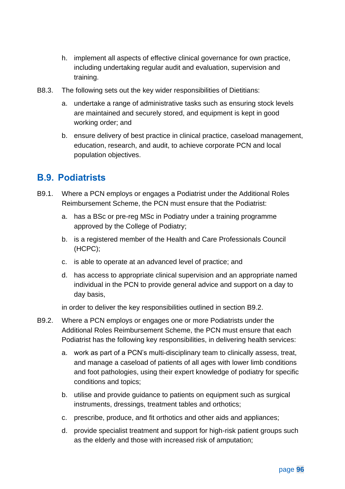- h. implement all aspects of effective clinical governance for own practice, including undertaking regular audit and evaluation, supervision and training.
- B8.3. The following sets out the key wider responsibilities of Dietitians:
	- a. undertake a range of administrative tasks such as ensuring stock levels are maintained and securely stored, and equipment is kept in good working order; and
	- b. ensure delivery of best practice in clinical practice, caseload management, education, research, and audit, to achieve corporate PCN and local population objectives.

### **B.9. Podiatrists**

- B9.1. Where a PCN employs or engages a Podiatrist under the Additional Roles Reimbursement Scheme, the PCN must ensure that the Podiatrist:
	- a. has a BSc or pre-reg MSc in Podiatry under a training programme approved by the College of Podiatry;
	- b. is a registered member of the Health and Care Professionals Council (HCPC);
	- c. is able to operate at an advanced level of practice; and
	- d. has access to appropriate clinical supervision and an appropriate named individual in the PCN to provide general advice and support on a day to day basis,

in order to deliver the key responsibilities outlined in section [B9.2.](#page-96-0)

- <span id="page-96-0"></span>B9.2. Where a PCN employs or engages one or more Podiatrists under the Additional Roles Reimbursement Scheme, the PCN must ensure that each Podiatrist has the following key responsibilities, in delivering health services:
	- a. work as part of a PCN's multi-disciplinary team to clinically assess, treat, and manage a caseload of patients of all ages with lower limb conditions and foot pathologies, using their expert knowledge of podiatry for specific conditions and topics;
	- b. utilise and provide guidance to patients on equipment such as surgical instruments, dressings, treatment tables and orthotics;
	- c. prescribe, produce, and fit orthotics and other aids and appliances;
	- d. provide specialist treatment and support for high-risk patient groups such as the elderly and those with increased risk of amputation;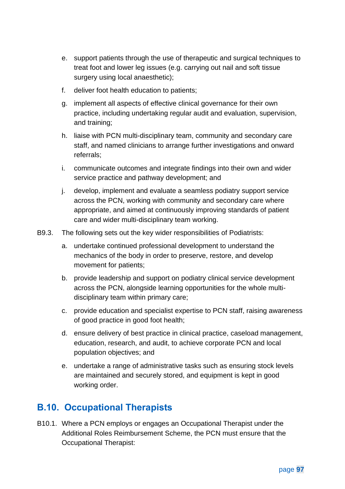- e. support patients through the use of therapeutic and surgical techniques to treat foot and lower leg issues (e.g. carrying out nail and soft tissue surgery using local anaesthetic);
- f. deliver foot health education to patients;
- g. implement all aspects of effective clinical governance for their own practice, including undertaking regular audit and evaluation, supervision, and training;
- h. liaise with PCN multi-disciplinary team, community and secondary care staff, and named clinicians to arrange further investigations and onward referrals;
- i. communicate outcomes and integrate findings into their own and wider service practice and pathway development; and
- j. develop, implement and evaluate a seamless podiatry support service across the PCN, working with community and secondary care where appropriate, and aimed at continuously improving standards of patient care and wider multi-disciplinary team working.
- B9.3. The following sets out the key wider responsibilities of Podiatrists:
	- a. undertake continued professional development to understand the mechanics of the body in order to preserve, restore, and develop movement for patients;
	- b. provide leadership and support on podiatry clinical service development across the PCN, alongside learning opportunities for the whole multidisciplinary team within primary care;
	- c. provide education and specialist expertise to PCN staff, raising awareness of good practice in good foot health;
	- d. ensure delivery of best practice in clinical practice, caseload management, education, research, and audit, to achieve corporate PCN and local population objectives; and
	- e. undertake a range of administrative tasks such as ensuring stock levels are maintained and securely stored, and equipment is kept in good working order.

### **B.10. Occupational Therapists**

B10.1. Where a PCN employs or engages an Occupational Therapist under the Additional Roles Reimbursement Scheme, the PCN must ensure that the Occupational Therapist: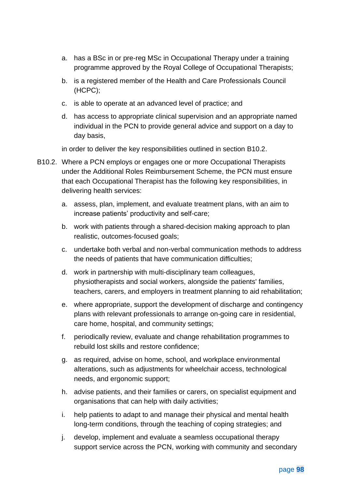- a. has a BSc in or pre-reg MSc in Occupational Therapy under a training programme approved by the Royal College of Occupational Therapists;
- b. is a registered member of the Health and Care Professionals Council (HCPC);
- c. is able to operate at an advanced level of practice; and
- d. has access to appropriate clinical supervision and an appropriate named individual in the PCN to provide general advice and support on a day to day basis,

in order to deliver the key responsibilities outlined in section [B10.2.](#page-98-0)

- <span id="page-98-0"></span>B10.2. Where a PCN employs or engages one or more Occupational Therapists under the Additional Roles Reimbursement Scheme, the PCN must ensure that each Occupational Therapist has the following key responsibilities, in delivering health services:
	- a. assess, plan, implement, and evaluate treatment plans, with an aim to increase patients' productivity and self-care;
	- b. work with patients through a shared-decision making approach to plan realistic, outcomes-focused goals;
	- c. undertake both verbal and non-verbal communication methods to address the needs of patients that have communication difficulties;
	- d. work in partnership with multi-disciplinary team colleagues, physiotherapists and social workers, alongside the patients' families, teachers, carers, and employers in treatment planning to aid rehabilitation;
	- e. where appropriate, support the development of discharge and contingency plans with relevant professionals to arrange on-going care in residential, care home, hospital, and community settings;
	- f. periodically review, evaluate and change rehabilitation programmes to rebuild lost skills and restore confidence;
	- g. as required, advise on home, school, and workplace environmental alterations, such as adjustments for wheelchair access, technological needs, and ergonomic support;
	- h. advise patients, and their families or carers, on specialist equipment and organisations that can help with daily activities;
	- i. help patients to adapt to and manage their physical and mental health long-term conditions, through the teaching of coping strategies; and
	- j. develop, implement and evaluate a seamless occupational therapy support service across the PCN, working with community and secondary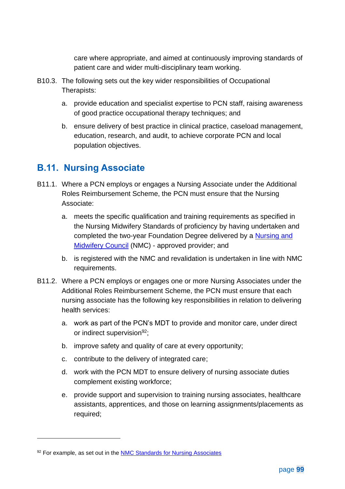care where appropriate, and aimed at continuously improving standards of patient care and wider multi-disciplinary team working.

- B10.3. The following sets out the key wider responsibilities of Occupational Therapists:
	- a. provide education and specialist expertise to PCN staff, raising awareness of good practice occupational therapy techniques; and
	- b. ensure delivery of best practice in clinical practice, caseload management, education, research, and audit, to achieve corporate PCN and local population objectives.

### **B.11. Nursing Associate**

- B11.1. Where a PCN employs or engages a Nursing Associate under the Additional Roles Reimbursement Scheme, the PCN must ensure that the Nursing Associate:
	- a. meets the specific qualification and training requirements as specified in the Nursing Midwifery Standards of proficiency by having undertaken and completed the two-year Foundation Degree delivered by a [Nursing and](https://www.nmc.org.uk/education/approved-programmes/)  [Midwifery Council](https://www.nmc.org.uk/education/approved-programmes/) (NMC) - approved provider; and
	- b. is registered with the NMC and revalidation is undertaken in line with NMC requirements.
- B11.2. Where a PCN employs or engages one or more Nursing Associates under the Additional Roles Reimbursement Scheme, the PCN must ensure that each nursing associate has the following key responsibilities in relation to delivering health services:
	- a. work as part of the PCN's MDT to provide and monitor care, under direct or indirect supervision<sup>92</sup>;
	- b. improve safety and quality of care at every opportunity;
	- c. contribute to the delivery of integrated care;
	- d. work with the PCN MDT to ensure delivery of nursing associate duties complement existing workforce;
	- e. provide support and supervision to training nursing associates, healthcare assistants, apprentices, and those on learning assignments/placements as required;

<sup>92</sup> For example, as set out in the **NMC Standards for Nursing Associates**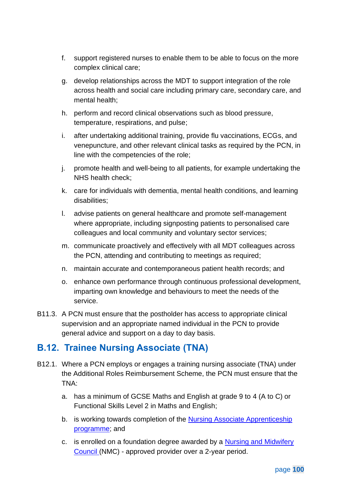- f. support registered nurses to enable them to be able to focus on the more complex clinical care;
- g. develop relationships across the MDT to support integration of the role across health and social care including primary care, secondary care, and mental health;
- h. perform and record clinical observations such as blood pressure, temperature, respirations, and pulse;
- i. after undertaking additional training, provide flu vaccinations, ECGs, and venepuncture, and other relevant clinical tasks as required by the PCN, in line with the competencies of the role;
- j. promote health and well-being to all patients, for example undertaking the NHS health check;
- k. care for individuals with dementia, mental health conditions, and learning disabilities;
- l. advise patients on general healthcare and promote self-management where appropriate, including signposting patients to personalised care colleagues and local community and voluntary sector services;
- m. communicate proactively and effectively with all MDT colleagues across the PCN, attending and contributing to meetings as required;
- n. maintain accurate and contemporaneous patient health records; and
- o. enhance own performance through continuous professional development, imparting own knowledge and behaviours to meet the needs of the service.
- B11.3. A PCN must ensure that the postholder has access to appropriate clinical supervision and an appropriate named individual in the PCN to provide general advice and support on a day to day basis.

### **B.12. Trainee Nursing Associate (TNA)**

- B12.1. Where a PCN employs or engages a training nursing associate (TNA) under the Additional Roles Reimbursement Scheme, the PCN must ensure that the TNA:
	- a. has a minimum of GCSE Maths and English at grade 9 to 4 (A to C) or Functional Skills Level 2 in Maths and English;
	- b. is working towards completion of the **Nursing Associate Apprenticeship** [programme;](https://www.nmc.org.uk/globalassets/sitedocuments/education-standards/nursing-associates-programme-standards.pdf) and
	- c. is enrolled on a foundation degree awarded by a Nursing and Midwifery [Council](https://www.nmc.org.uk/education/approved-programmes/) (NMC) - approved provider over a 2-year period.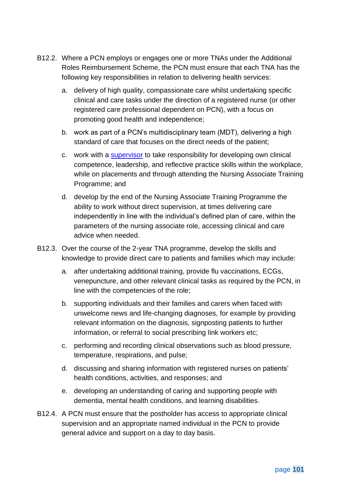- B12.2. Where a PCN employs or engages one or more TNAs under the Additional Roles Reimbursement Scheme, the PCN must ensure that each TNA has the following key responsibilities in relation to delivering health services:
	- a. delivery of high quality, compassionate care whilst undertaking specific clinical and care tasks under the direction of a registered nurse (or other registered care professional dependent on PCN), with a focus on promoting good health and independence;
	- b. work as part of a PCN's multidisciplinary team (MDT), delivering a high standard of care that focuses on the direct needs of the patient;
	- c. work with a [supervisor](https://www.nmc.org.uk/globalassets/sitedocuments/education-standards/student-supervision-assessment.pdf) to take responsibility for developing own clinical competence, leadership, and reflective practice skills within the workplace, while on placements and through attending the Nursing Associate Training Programme; and
	- d. develop by the end of the Nursing Associate Training Programme the ability to work without direct supervision, at times delivering care independently in line with the individual's defined plan of care, within the parameters of the nursing associate role, accessing clinical and care advice when needed.
- B12.3. Over the course of the 2-year TNA programme, develop the skills and knowledge to provide direct care to patients and families which may include:
	- a. after undertaking additional training, provide flu vaccinations, ECGs, venepuncture, and other relevant clinical tasks as required by the PCN, in line with the competencies of the role;
	- b. supporting individuals and their families and carers when faced with unwelcome news and life-changing diagnoses, for example by providing relevant information on the diagnosis, signposting patients to further information, or referral to social prescribing link workers etc;
	- c. performing and recording clinical observations such as blood pressure, temperature, respirations, and pulse;
	- d. discussing and sharing information with registered nurses on patients' health conditions, activities, and responses; and
	- e. developing an understanding of caring and supporting people with dementia, mental health conditions, and learning disabilities.
- B12.4. A PCN must ensure that the postholder has access to appropriate clinical supervision and an appropriate named individual in the PCN to provide general advice and support on a day to day basis.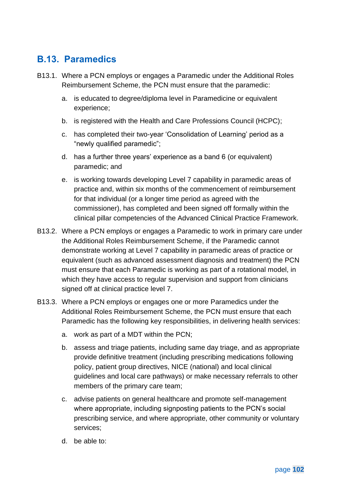# **B.13. Paramedics**

- B13.1. Where a PCN employs or engages a Paramedic under the Additional Roles Reimbursement Scheme, the PCN must ensure that the paramedic:
	- a. is educated to degree/diploma level in Paramedicine or equivalent experience;
	- b. is registered with the Health and Care Professions Council (HCPC);
	- c. has completed their two-year 'Consolidation of Learning' period as a "newly qualified paramedic";
	- d. has a further three years' experience as a band 6 (or equivalent) paramedic; and
	- e. is working towards developing Level 7 capability in paramedic areas of practice and, within six months of the commencement of reimbursement for that individual (or a longer time period as agreed with the commissioner), has completed and been signed off formally within the clinical pillar competencies of the Advanced Clinical Practice Framework.
- B13.2. Where a PCN employs or engages a Paramedic to work in primary care under the Additional Roles Reimbursement Scheme, if the Paramedic cannot demonstrate working at Level 7 capability in paramedic areas of practice or equivalent (such as advanced assessment diagnosis and treatment) the PCN must ensure that each Paramedic is working as part of a rotational model, in which they have access to regular supervision and support from clinicians signed off at clinical practice level 7.
- B13.3. Where a PCN employs or engages one or more Paramedics under the Additional Roles Reimbursement Scheme, the PCN must ensure that each Paramedic has the following key responsibilities, in delivering health services:
	- a. work as part of a MDT within the PCN;
	- b. assess and triage patients, including same day triage, and as appropriate provide definitive treatment (including prescribing medications following policy, patient group directives, NICE (national) and local clinical guidelines and local care pathways) or make necessary referrals to other members of the primary care team;
	- c. advise patients on general healthcare and promote self-management where appropriate, including signposting patients to the PCN's social prescribing service, and where appropriate, other community or voluntary services;
	- d. be able to: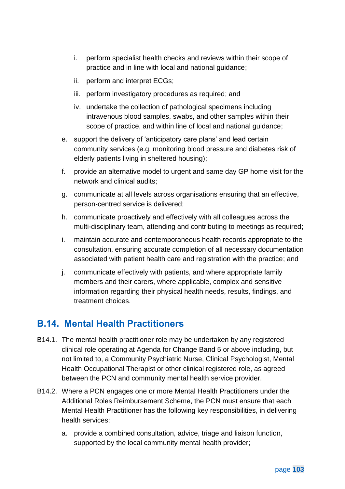- i. perform specialist health checks and reviews within their scope of practice and in line with local and national guidance;
- ii. perform and interpret ECGs;
- iii. perform investigatory procedures as required; and
- iv. undertake the collection of pathological specimens including intravenous blood samples, swabs, and other samples within their scope of practice, and within line of local and national guidance;
- e. support the delivery of 'anticipatory care plans' and lead certain community services (e.g. monitoring blood pressure and diabetes risk of elderly patients living in sheltered housing);
- f. provide an alternative model to urgent and same day GP home visit for the network and clinical audits;
- g. communicate at all levels across organisations ensuring that an effective, person-centred service is delivered;
- h. communicate proactively and effectively with all colleagues across the multi-disciplinary team, attending and contributing to meetings as required;
- i. maintain accurate and contemporaneous health records appropriate to the consultation, ensuring accurate completion of all necessary documentation associated with patient health care and registration with the practice; and
- j. communicate effectively with patients, and where appropriate family members and their carers, where applicable, complex and sensitive information regarding their physical health needs, results, findings, and treatment choices.

### **B.14. Mental Health Practitioners**

- B14.1. The mental health practitioner role may be undertaken by any registered clinical role operating at Agenda for Change Band 5 or above including, but not limited to, a Community Psychiatric Nurse, Clinical Psychologist, Mental Health Occupational Therapist or other clinical registered role, as agreed between the PCN and community mental health service provider.
- B14.2. Where a PCN engages one or more Mental Health Practitioners under the Additional Roles Reimbursement Scheme, the PCN must ensure that each Mental Health Practitioner has the following key responsibilities, in delivering health services:
	- a. provide a combined consultation, advice, triage and liaison function, supported by the local community mental health provider;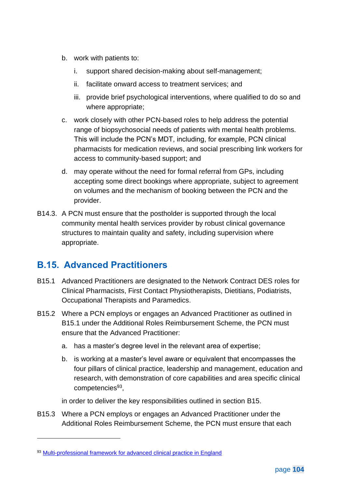- b. work with patients to:
	- i. support shared decision-making about self-management;
	- ii. facilitate onward access to treatment services; and
	- iii. provide brief psychological interventions, where qualified to do so and where appropriate;
- c. work closely with other PCN-based roles to help address the potential range of biopsychosocial needs of patients with mental health problems. This will include the PCN's MDT, including, for example, PCN clinical pharmacists for medication reviews, and social prescribing link workers for access to community-based support; and
- d. may operate without the need for formal referral from GPs, including accepting some direct bookings where appropriate, subject to agreement on volumes and the mechanism of booking between the PCN and the provider.
- B14.3. A PCN must ensure that the postholder is supported through the local community mental health services provider by robust clinical governance structures to maintain quality and safety, including supervision where appropriate.

### **B.15. Advanced Practitioners**

- <span id="page-104-0"></span>B15.1 Advanced Practitioners are designated to the Network Contract DES roles for Clinical Pharmacists, First Contact Physiotherapists, Dietitians, Podiatrists, Occupational Therapists and Paramedics.
- B15.2 Where a PCN employs or engages an Advanced Practitioner as outlined in [B15.1](#page-104-0) under the Additional Roles Reimbursement Scheme, the PCN must ensure that the Advanced Practitioner:
	- a. has a master's degree level in the relevant area of expertise;
	- b. is working at a master's level aware or equivalent that encompasses the four pillars of clinical practice, leadership and management, education and research, with demonstration of core capabilities and area specific clinical competencies<sup>93</sup>,
	- in order to deliver the key responsibilities outlined in section B15.
- B15.3 Where a PCN employs or engages an Advanced Practitioner under the Additional Roles Reimbursement Scheme, the PCN must ensure that each

<sup>93</sup> [Multi-professional framework for advanced clinical practice in England](https://www.hee.nhs.uk/sites/default/files/documents/Multi-professional%20framework%20for%20advanced%20clinical%20practice%20in%20England.pdf)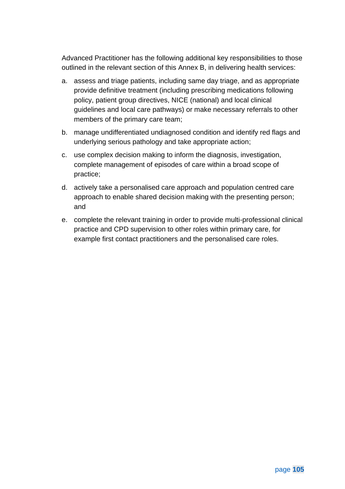Advanced Practitioner has the following additional key responsibilities to those outlined in the relevant section of this Annex B, in delivering health services:

- a. assess and triage patients, including same day triage, and as appropriate provide definitive treatment (including prescribing medications following policy, patient group directives, NICE (national) and local clinical guidelines and local care pathways) or make necessary referrals to other members of the primary care team;
- b. manage undifferentiated undiagnosed condition and identify red flags and underlying serious pathology and take appropriate action;
- c. use complex decision making to inform the diagnosis, investigation, complete management of episodes of care within a broad scope of practice;
- d. actively take a personalised care approach and population centred care approach to enable shared decision making with the presenting person; and
- <span id="page-105-0"></span>e. complete the relevant training in order to provide multi-professional clinical practice and CPD supervision to other roles within primary care, for example first contact practitioners and the personalised care roles.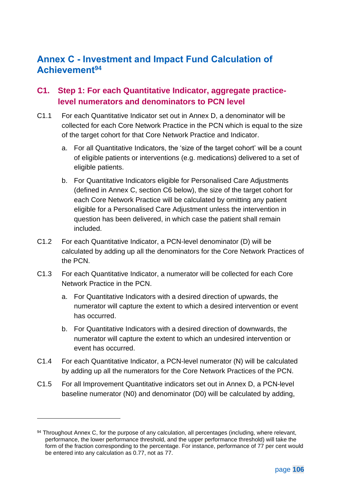### **Annex C - Investment and Impact Fund Calculation of Achievement<sup>94</sup>**

#### **C1. Step 1: For each Quantitative Indicator, aggregate practicelevel numerators and denominators to PCN level**

- C1.1 For each Quantitative Indicator set out in [Annex D,](#page-113-0) a denominator will be collected for each Core Network Practice in the PCN which is equal to the size of the target cohort for that Core Network Practice and Indicator.
	- a. For all Quantitative Indicators, the 'size of the target cohort' will be a count of eligible patients or interventions (e.g. medications) delivered to a set of eligible patients.
	- b. For Quantitative Indicators eligible for Personalised Care Adjustments (defined in Annex C, section [C6](#page-110-1) below), the size of the target cohort for each Core Network Practice will be calculated by omitting any patient eligible for a Personalised Care Adjustment unless the intervention in question has been delivered, in which case the patient shall remain included.
- C1.2 For each Quantitative Indicator, a PCN-level denominator (D) will be calculated by adding up all the denominators for the Core Network Practices of the PCN.
- C1.3 For each Quantitative Indicator, a numerator will be collected for each Core Network Practice in the PCN.
	- a. For Quantitative Indicators with a desired direction of upwards, the numerator will capture the extent to which a desired intervention or event has occurred.
	- b. For Quantitative Indicators with a desired direction of downwards, the numerator will capture the extent to which an undesired intervention or event has occurred.
- C1.4 For each Quantitative Indicator, a PCN-level numerator (N) will be calculated by adding up all the numerators for the Core Network Practices of the PCN.
- C1.5 For all Improvement Quantitative indicators set out in Annex D, a PCN-level baseline numerator (N0) and denominator (D0) will be calculated by adding,

<sup>94</sup> Throughout Annex C, for the purpose of any calculation, all percentages (including, where relevant, performance, the lower performance threshold, and the upper performance threshold) will take the form of the fraction corresponding to the percentage. For instance, performance of 77 per cent would be entered into any calculation as 0.77, not as 77.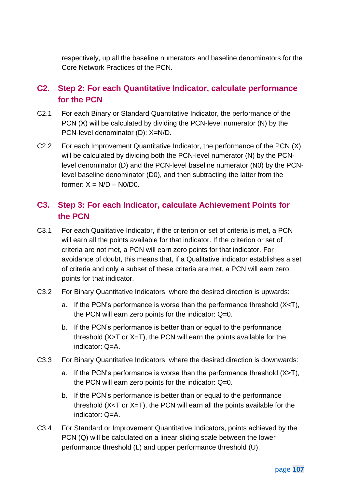respectively, up all the baseline numerators and baseline denominators for the Core Network Practices of the PCN.

#### **C2. Step 2: For each Quantitative Indicator, calculate performance for the PCN**

- C2.1 For each Binary or Standard Quantitative Indicator, the performance of the PCN (X) will be calculated by dividing the PCN-level numerator (N) by the PCN-level denominator (D): X=N/D.
- C2.2 For each Improvement Quantitative Indicator, the performance of the PCN (X) will be calculated by dividing both the PCN-level numerator (N) by the PCNlevel denominator (D) and the PCN-level baseline numerator (N0) by the PCNlevel baseline denominator (D0), and then subtracting the latter from the former:  $X = N/D - N0/D0$ .

#### **C3. Step 3: For each Indicator, calculate Achievement Points for the PCN**

- C3.1 For each Qualitative Indicator, if the criterion or set of criteria is met, a PCN will earn all the points available for that indicator. If the criterion or set of criteria are not met, a PCN will earn zero points for that indicator. For avoidance of doubt, this means that, if a Qualitative indicator establishes a set of criteria and only a subset of these criteria are met, a PCN will earn zero points for that indicator.
- C3.2 For Binary Quantitative Indicators, where the desired direction is upwards:
	- a. If the PCN's performance is worse than the performance threshold (X<T), the PCN will earn zero points for the indicator: Q=0.
	- b. If the PCN's performance is better than or equal to the performance threshold  $(X>T$  or  $X=T$ ), the PCN will earn the points available for the indicator: Q=A.
- C3.3 For Binary Quantitative Indicators, where the desired direction is downwards:
	- a. If the PCN's performance is worse than the performance threshold (X>T), the PCN will earn zero points for the indicator: Q=0.
	- b. If the PCN's performance is better than or equal to the performance threshold  $(X < T$  or  $X = T$ ), the PCN will earn all the points available for the indicator: Q=A.
- C3.4 For Standard or Improvement Quantitative Indicators, points achieved by the PCN (Q) will be calculated on a linear sliding scale between the lower performance threshold (L) and upper performance threshold (U).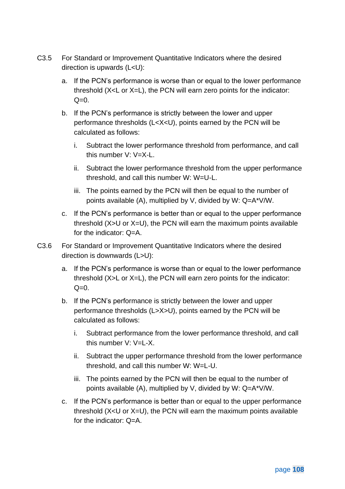- C3.5 For Standard or Improvement Quantitative Indicators where the desired direction is upwards (L<U):
	- a. If the PCN's performance is worse than or equal to the lower performance threshold (X<L or X=L), the PCN will earn zero points for the indicator:  $Q=0$ .
	- b. If the PCN's performance is strictly between the lower and upper performance thresholds (L<X<U), points earned by the PCN will be calculated as follows:
		- i. Subtract the lower performance threshold from performance, and call this number V: V=X-L.
		- ii. Subtract the lower performance threshold from the upper performance threshold, and call this number W: W=U-L.
		- iii. The points earned by the PCN will then be equal to the number of points available (A), multiplied by V, divided by W: Q=A\*V/W.
	- c. If the PCN's performance is better than or equal to the upper performance threshold (X>U or X=U), the PCN will earn the maximum points available for the indicator: Q=A.
- C3.6 For Standard or Improvement Quantitative Indicators where the desired direction is downwards (L>U):
	- a. If the PCN's performance is worse than or equal to the lower performance threshold (X>L or X=L), the PCN will earn zero points for the indicator:  $Q=0$ .
	- b. If the PCN's performance is strictly between the lower and upper performance thresholds (L>X>U), points earned by the PCN will be calculated as follows:
		- i. Subtract performance from the lower performance threshold, and call this number V: V=L-X.
		- ii. Subtract the upper performance threshold from the lower performance threshold, and call this number W: W=L-U.
		- iii. The points earned by the PCN will then be equal to the number of points available (A), multiplied by V, divided by W: Q=A\*V/W.
	- c. If the PCN's performance is better than or equal to the upper performance threshold (X<U or X=U), the PCN will earn the maximum points available for the indicator: Q=A.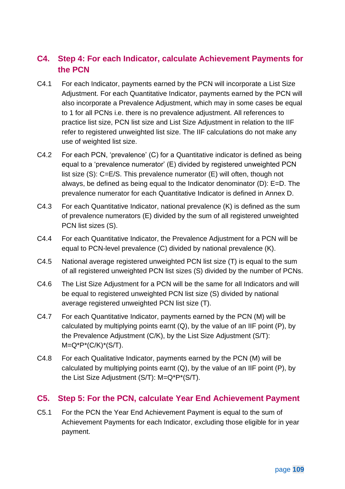## **C4. Step 4: For each Indicator, calculate Achievement Payments for the PCN**

- C4.1 For each Indicator, payments earned by the PCN will incorporate a List Size Adjustment. For each Quantitative Indicator, payments earned by the PCN will also incorporate a Prevalence Adjustment, which may in some cases be equal to 1 for all PCNs i.e. there is no prevalence adjustment. All references to practice list size, PCN list size and List Size Adjustment in relation to the IIF refer to registered unweighted list size. The IIF calculations do not make any use of weighted list size.
- C4.2 For each PCN, 'prevalence' (C) for a Quantitative indicator is defined as being equal to a 'prevalence numerator' (E) divided by registered unweighted PCN list size (S): C=E/S. This prevalence numerator (E) will often, though not always, be defined as being equal to the Indicator denominator (D): E=D. The prevalence numerator for each Quantitative Indicator is defined in Annex D.
- C4.3 For each Quantitative Indicator, national prevalence (K) is defined as the sum of prevalence numerators (E) divided by the sum of all registered unweighted PCN list sizes (S).
- C4.4 For each Quantitative Indicator, the Prevalence Adjustment for a PCN will be equal to PCN-level prevalence (C) divided by national prevalence (K).
- C4.5 National average registered unweighted PCN list size (T) is equal to the sum of all registered unweighted PCN list sizes (S) divided by the number of PCNs.
- C4.6 The List Size Adjustment for a PCN will be the same for all Indicators and will be equal to registered unweighted PCN list size (S) divided by national average registered unweighted PCN list size (T).
- C4.7 For each Quantitative Indicator, payments earned by the PCN (M) will be calculated by multiplying points earnt  $(Q)$ , by the value of an IIF point  $(P)$ , by the Prevalence Adjustment (C/K), by the List Size Adjustment (S/T):  $M=Q^*P^*(C/K)^*(S/T)$ .
- C4.8 For each Qualitative Indicator, payments earned by the PCN (M) will be calculated by multiplying points earnt  $(Q)$ , by the value of an IIF point  $(P)$ , by the List Size Adjustment (S/T): M=Q\*P\*(S/T).

#### **C5. Step 5: For the PCN, calculate Year End Achievement Payment**

C5.1 For the PCN the Year End Achievement Payment is equal to the sum of Achievement Payments for each Indicator, excluding those eligible for in year payment.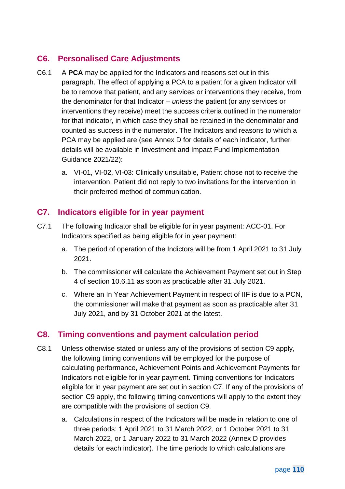### **C6. Personalised Care Adjustments**

- C6.1 A **PCA** may be applied for the Indicators and reasons set out in this paragraph. The effect of applying a PCA to a patient for a given Indicator will be to remove that patient, and any services or interventions they receive, from the denominator for that Indicator – *unless* the patient (or any services or interventions they receive) meet the success criteria outlined in the numerator for that indicator, in which case they shall be retained in the denominator and counted as success in the numerator. The Indicators and reasons to which a PCA may be applied are (see Annex D for details of each indicator, further details will be available in Investment and Impact Fund Implementation Guidance 2021/22):
	- a. VI-01, VI-02, VI-03: Clinically unsuitable, Patient chose not to receive the intervention, Patient did not reply to two invitations for the intervention in their preferred method of communication.

#### <span id="page-110-0"></span>**C7. Indicators eligible for in year payment**

- C7.1 The following Indicator shall be eligible for in year payment: ACC-01. For Indicators specified as being eligible for in year payment:
	- a. The period of operation of the Indictors will be from 1 April 2021 to 31 July 2021.
	- b. The commissioner will calculate the Achievement Payment set out in Step 4 of section [10.6.11](#page-74-0) as soon as practicable after 31 July 2021.
	- c. Where an In Year Achievement Payment in respect of IIF is due to a PCN, the commissioner will make that payment as soon as practicable after 31 July 2021, and by 31 October 2021 at the latest.

#### <span id="page-110-1"></span>**C8. Timing conventions and payment calculation period**

- C8.1 Unless otherwise stated or unless any of the provisions of section [C9](#page-112-0) apply, the following timing conventions will be employed for the purpose of calculating performance, Achievement Points and Achievement Payments for Indicators not eligible for in year payment. Timing conventions for Indicators eligible for in year payment are set out in section [C7.](#page-110-0) If any of the provisions of section [C9](#page-112-0) apply, the following timing conventions will apply to the extent they are compatible with the provisions of section [C9.](#page-112-0)
	- a. Calculations in respect of the Indicators will be made in relation to one of three periods: 1 April 2021 to 31 March 2022, or 1 October 2021 to 31 March 2022, or 1 January 2022 to 31 March 2022 (Annex D provides details for each indicator). The time periods to which calculations are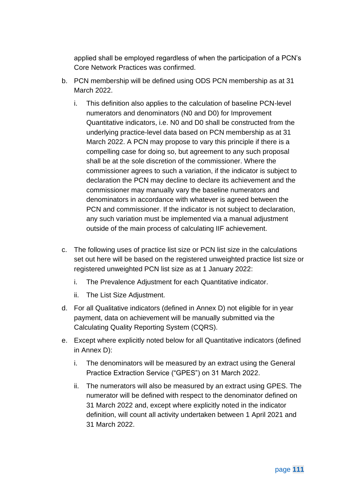applied shall be employed regardless of when the participation of a PCN's Core Network Practices was confirmed.

- b. PCN membership will be defined using ODS PCN membership as at 31 March 2022.
	- i. This definition also applies to the calculation of baseline PCN-level numerators and denominators (N0 and D0) for Improvement Quantitative indicators, i.e. N0 and D0 shall be constructed from the underlying practice-level data based on PCN membership as at 31 March 2022. A PCN may propose to vary this principle if there is a compelling case for doing so, but agreement to any such proposal shall be at the sole discretion of the commissioner. Where the commissioner agrees to such a variation, if the indicator is subject to declaration the PCN may decline to declare its achievement and the commissioner may manually vary the baseline numerators and denominators in accordance with whatever is agreed between the PCN and commissioner. If the indicator is not subject to declaration, any such variation must be implemented via a manual adjustment outside of the main process of calculating IIF achievement.
- c. The following uses of practice list size or PCN list size in the calculations set out here will be based on the registered unweighted practice list size or registered unweighted PCN list size as at 1 January 2022:
	- i. The Prevalence Adjustment for each Quantitative indicator.
	- ii. The List Size Adjustment.
- d. For all Qualitative indicators (defined in [Annex D\)](#page-113-0) not eligible for in year payment, data on achievement will be manually submitted via the Calculating Quality Reporting System (CQRS).
- e. Except where explicitly noted below for all Quantitative indicators (defined in [Annex D\)](#page-113-0):
	- i. The denominators will be measured by an extract using the General Practice Extraction Service ("GPES") on 31 March 2022.
	- ii. The numerators will also be measured by an extract using GPES. The numerator will be defined with respect to the denominator defined on 31 March 2022 and, except where explicitly noted in the indicator definition, will count all activity undertaken between 1 April 2021 and 31 March 2022.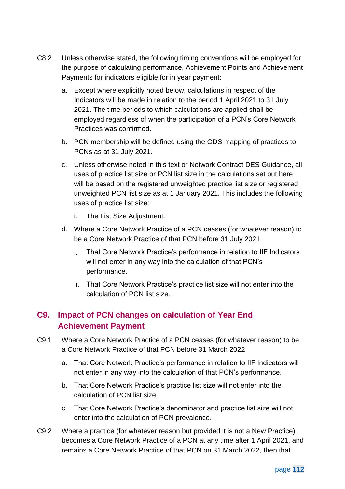- C8.2 Unless otherwise stated, the following timing conventions will be employed for the purpose of calculating performance, Achievement Points and Achievement Payments for indicators eligible for in year payment:
	- a. Except where explicitly noted below, calculations in respect of the Indicators will be made in relation to the period 1 April 2021 to 31 July 2021. The time periods to which calculations are applied shall be employed regardless of when the participation of a PCN's Core Network Practices was confirmed.
	- b. PCN membership will be defined using the ODS mapping of practices to PCNs as at 31 July 2021.
	- c. Unless otherwise noted in this text or Network Contract DES Guidance, all uses of practice list size or PCN list size in the calculations set out here will be based on the registered unweighted practice list size or registered unweighted PCN list size as at 1 January 2021. This includes the following uses of practice list size:
		- i. The List Size Adjustment.
	- d. Where a Core Network Practice of a PCN ceases (for whatever reason) to be a Core Network Practice of that PCN before 31 July 2021:
		- That Core Network Practice's performance in relation to IIF Indicators i. will not enter in any way into the calculation of that PCN's performance.
		- That Core Network Practice's practice list size will not enter into the calculation of PCN list size.

## <span id="page-112-0"></span>**C9. Impact of PCN changes on calculation of Year End Achievement Payment**

- C9.1 Where a Core Network Practice of a PCN ceases (for whatever reason) to be a Core Network Practice of that PCN before 31 March 2022:
	- a. That Core Network Practice's performance in relation to IIF Indicators will not enter in any way into the calculation of that PCN's performance.
	- b. That Core Network Practice's practice list size will not enter into the calculation of PCN list size.
	- c. That Core Network Practice's denominator and practice list size will not enter into the calculation of PCN prevalence.
- C9.2 Where a practice (for whatever reason but provided it is not a New Practice) becomes a Core Network Practice of a PCN at any time after 1 April 2021, and remains a Core Network Practice of that PCN on 31 March 2022, then that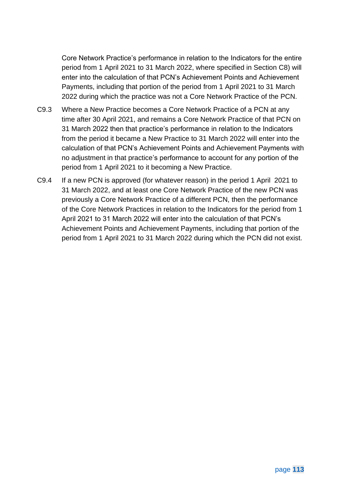Core Network Practice's performance in relation to the Indicators for the entire period from 1 April 2021 to 31 March 2022, where specified in Section [C8\)](#page-110-1) will enter into the calculation of that PCN's Achievement Points and Achievement Payments, including that portion of the period from 1 April 2021 to 31 March 2022 during which the practice was not a Core Network Practice of the PCN.

- C9.3 Where a New Practice becomes a Core Network Practice of a PCN at any time after 30 April 2021, and remains a Core Network Practice of that PCN on 31 March 2022 then that practice's performance in relation to the Indicators from the period it became a New Practice to 31 March 2022 will enter into the calculation of that PCN's Achievement Points and Achievement Payments with no adjustment in that practice's performance to account for any portion of the period from 1 April 2021 to it becoming a New Practice.
- <span id="page-113-0"></span>C9.4 If a new PCN is approved (for whatever reason) in the period 1 April 2021 to 31 March 2022, and at least one Core Network Practice of the new PCN was previously a Core Network Practice of a different PCN, then the performance of the Core Network Practices in relation to the Indicators for the period from 1 April 2021 to 31 March 2022 will enter into the calculation of that PCN's Achievement Points and Achievement Payments, including that portion of the period from 1 April 2021 to 31 March 2022 during which the PCN did not exist.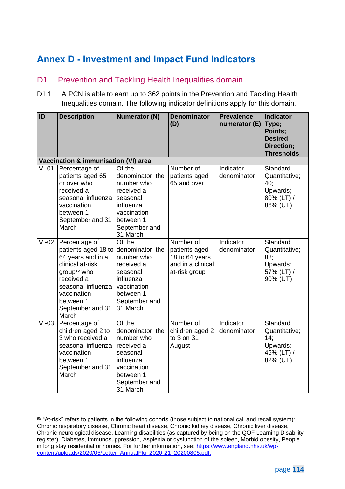# **Annex D - Investment and Impact Fund Indicators**

#### D1. Prevention and Tackling Health Inequalities domain

D1.1 A PCN is able to earn up to 362 points in the Prevention and Tackling Health Inequalities domain. The following indicator definitions apply for this domain.

| ID                                   | <b>Description</b>                                                                                                                                                                                                     | <b>Numerator (N)</b>                                                                                                                     | <b>Denominator</b><br>(D)                                                          | <b>Prevalence</b><br>numerator (E) | <b>Indicator</b><br>Type;<br>Points;<br><b>Desired</b><br>Direction;<br><b>Thresholds</b> |  |  |  |  |  |
|--------------------------------------|------------------------------------------------------------------------------------------------------------------------------------------------------------------------------------------------------------------------|------------------------------------------------------------------------------------------------------------------------------------------|------------------------------------------------------------------------------------|------------------------------------|-------------------------------------------------------------------------------------------|--|--|--|--|--|
| Vaccination & immunisation (VI) area |                                                                                                                                                                                                                        |                                                                                                                                          |                                                                                    |                                    |                                                                                           |  |  |  |  |  |
| $VI-01$                              | Percentage of<br>patients aged 65<br>or over who<br>received a<br>seasonal influenza<br>vaccination<br>between 1<br>September and 31<br>March                                                                          | Of the<br>denominator, the<br>number who<br>received a<br>seasonal<br>influenza<br>vaccination<br>between 1<br>September and<br>31 March | Number of<br>patients aged<br>65 and over                                          | Indicator<br>denominator           | Standard<br>Quantitative;<br>40;<br>Upwards;<br>80% (LT) /<br>86% (UT)                    |  |  |  |  |  |
| $VI-02$                              | Percentage of<br>patients aged 18 to denominator, the<br>64 years and in a<br>clinical at-risk<br>group <sup>95</sup> who<br>received a<br>seasonal influenza<br>vaccination<br>between 1<br>September and 31<br>March | Of the<br>number who<br>received a<br>seasonal<br>influenza<br>vaccination<br>between 1<br>September and<br>31 March                     | Number of<br>patients aged<br>18 to 64 years<br>and in a clinical<br>at-risk group | Indicator<br>denominator           | Standard<br>Quantitative;<br>88;<br>Upwards;<br>57% (LT) /<br>90% (UT)                    |  |  |  |  |  |
| $VI-03$                              | Percentage of<br>children aged 2 to<br>3 who received a<br>seasonal influenza<br>vaccination<br>between 1<br>September and 31<br>March                                                                                 | Of the<br>denominator, the<br>number who<br>received a<br>seasonal<br>influenza<br>vaccination<br>between 1<br>September and<br>31 March | Number of<br>children aged 2<br>to 3 on 31<br>August                               | Indicator<br>denominator           | Standard<br>Quantitative;<br>14;<br>Upwards;<br>45% (LT) /<br>82% (UT)                    |  |  |  |  |  |

<sup>95</sup> ["At-risk" refers to patients in the following cohorts \(those subject to national call and recall system\):](https://www.england.nhs.uk/wp-content/uploads/2020/05/Letter_AnnualFlu_2020-21_20200805.pdf) [Chronic respiratory disease, Chronic heart disease, Chronic kidney disease, Chronic liver disease,](https://www.england.nhs.uk/wp-content/uploads/2020/05/Letter_AnnualFlu_2020-21_20200805.pdf)  [Chronic neurological disease, Learning disabilities \(as captured by being on the QOF Learning Disability](https://www.england.nhs.uk/wp-content/uploads/2020/05/Letter_AnnualFlu_2020-21_20200805.pdf)  [register\), Diabetes, Immunosuppression, Asplenia or dysfunction of the spleen, Morbid obesity, People](https://www.england.nhs.uk/wp-content/uploads/2020/05/Letter_AnnualFlu_2020-21_20200805.pdf)  [in long stay residential or homes. For further information, see: https://www.england.nhs.uk/wp](https://www.england.nhs.uk/wp-content/uploads/2020/05/Letter_AnnualFlu_2020-21_20200805.pdf)[content/uploads/2020/05/Letter\\_AnnualFlu\\_2020-21\\_20200805.pdf.](https://www.england.nhs.uk/wp-content/uploads/2020/05/Letter_AnnualFlu_2020-21_20200805.pdf)